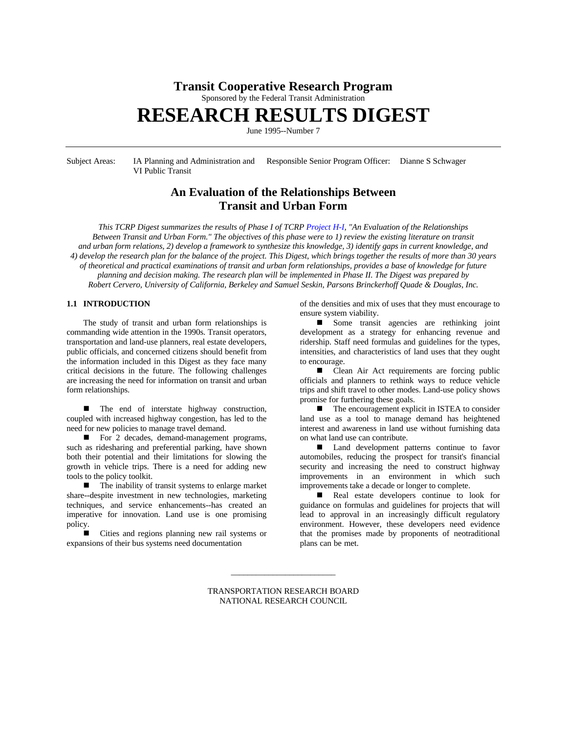# **Transit Cooperative Research Program**

Sponsored by the Federal Transit Administration

# **RESEARCH RESULTS DIGEST**

June 1995--Number 7

Subject Areas: IA Planning and Administration and Responsible Senior Program Officer: Dianne S Schwager VI Public Transit

# **An Evaluation of the Relationships Between Transit and Urban Form**

*This TCRP Digest summarizes the results of Phase I of TCRP [Project H-I,](http://www4.nationalacademies.org/trb/crp.nsf/All+Projects/TCRP+H-01) "An Evaluation of the Relationships Between Transit and Urban Form." The objectives of this phase were to 1) review the existing literature on transit and urban form relations, 2) develop a framework to synthesize this knowledge, 3) identify gaps in current knowledge, and 4) develop the research plan for the balance of the project. This Digest, which brings together the results of more than 30 years of theoretical and practical examinations of transit and urban form relationships, provides a base of knowledge for future planning and decision making. The research plan will be implemented in Phase II. The Digest was prepared by Robert Cervero, University of California, Berkeley and Samuel Seskin, Parsons Brinckerhoff Quade & Douglas, Inc.*

## **1.1 INTRODUCTION**

The study of transit and urban form relationships is commanding wide attention in the 1990s. Transit operators, transportation and land-use planners, real estate developers, public officials, and concerned citizens should benefit from the information included in this Digest as they face many critical decisions in the future. The following challenges are increasing the need for information on transit and urban form relationships.

The end of interstate highway construction, coupled with increased highway congestion, has led to the need for new policies to manage travel demand.

■ For 2 decades, demand-management programs, such as ridesharing and preferential parking, have shown both their potential and their limitations for slowing the growth in vehicle trips. There is a need for adding new tools to the policy toolkit.

 $\blacksquare$  The inability of transit systems to enlarge market share--despite investment in new technologies, marketing techniques, and service enhancements--has created an imperative for innovation. Land use is one promising policy.

Cities and regions planning new rail systems or expansions of their bus systems need documentation

of the densities and mix of uses that they must encourage to ensure system viability.

■ Some transit agencies are rethinking joint development as a strategy for enhancing revenue and ridership. Staff need formulas and guidelines for the types, intensities, and characteristics of land uses that they ought to encourage.

■ Clean Air Act requirements are forcing public officials and planners to rethink ways to reduce vehicle trips and shift travel to other modes. Land-use policy shows promise for furthering these goals.

 $\blacksquare$  The encouragement explicit in ISTEA to consider land use as a tool to manage demand has heightened interest and awareness in land use without furnishing data on what land use can contribute.

■ Land development patterns continue to favor automobiles, reducing the prospect for transit's financial security and increasing the need to construct highway improvements in an environment in which such improvements take a decade or longer to complete.

n Real estate developers continue to look for guidance on formulas and guidelines for projects that will lead to approval in an increasingly difficult regulatory environment. However, these developers need evidence that the promises made by proponents of neotraditional plans can be met.

TRANSPORTATION RESEARCH BOARD NATIONAL RESEARCH COUNCIL

\_\_\_\_\_\_\_\_\_\_\_\_\_\_\_\_\_\_\_\_\_\_\_\_\_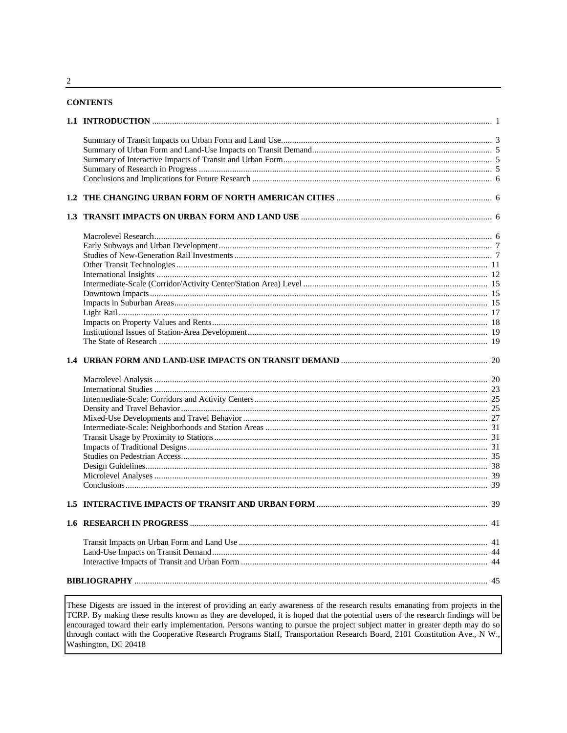## **CONTENTS**

These Digests are issued in the interest of providing an early awareness of the research results emanating from projects in the TCRP. By making these results known as they are developed, it is hoped that the potential users of the research findings will be encouraged toward their early implementation. Persons wanting to pursue the project subject matter in greater depth may do so through contact with the Cooperative Research Programs Staff, Transportation Research Board, 2101 Constitution Ave., N W., Washington, DC 20418

 $\overline{2}$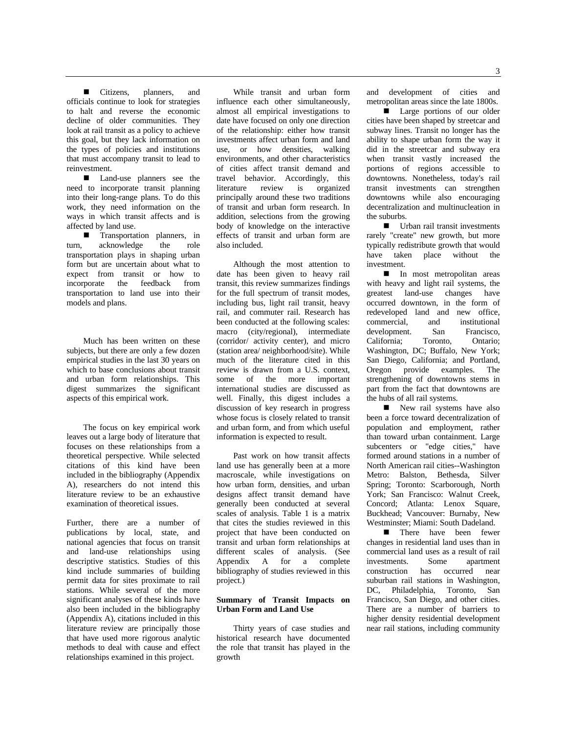■ Citizens, planners, and officials continue to look for strategies to halt and reverse the economic decline of older communities. They look at rail transit as a policy to achieve this goal, but they lack information on the types of policies and institutions that must accompany transit to lead to reinvestment.

■ Land-use planners see the need to incorporate transit planning into their long-range plans. To do this work, they need information on the ways in which transit affects and is affected by land use.

**n** Transportation planners, in acknowledge the role turn, acknowledge transportation plays in shaping urban form but are uncertain about what to expect from transit or how to incorporate the feedback from transportation to land use into their models and plans.

Much has been written on these subjects, but there are only a few dozen empirical studies in the last 30 years on which to base conclusions about transit and urban form relationships. This digest summarizes the significant aspects of this empirical work.

The focus on key empirical work leaves out a large body of literature that focuses on these relationships from a theoretical perspective. While selected citations of this kind have been included in the bibliography (Appendix A), researchers do not intend this literature review to be an exhaustive examination of theoretical issues.

Further, there are a number of publications by local, state, and national agencies that focus on transit and land-use relationships using descriptive statistics. Studies of this kind include summaries of building permit data for sites proximate to rail stations. While several of the more significant analyses of these kinds have also been included in the bibliography (Appendix A), citations included in this literature review are principally those that have used more rigorous analytic methods to deal with cause and effect relationships examined in this project.

While transit and urban form influence each other simultaneously, almost all empirical investigations to date have focused on only one direction of the relationship: either how transit investments affect urban form and land use, or how densities, walking environments, and other characteristics of cities affect transit demand and travel behavior. Accordingly, this literature review is organized principally around these two traditions of transit and urban form research. In addition, selections from the growing body of knowledge on the interactive effects of transit and urban form are also included.

Although the most attention to date has been given to heavy rail transit, this review summarizes findings for the full spectrum of transit modes, including bus, light rail transit, heavy rail, and commuter rail. Research has been conducted at the following scales: macro (city/regional), intermediate (corridor/ activity center), and micro (station area/ neighborhood/site). While much of the literature cited in this review is drawn from a U.S. context, some of the more important international studies are discussed as well. Finally, this digest includes a discussion of key research in progress whose focus is closely related to transit and urban form, and from which useful information is expected to result.

Past work on how transit affects land use has generally been at a more macroscale, while investigations on how urban form, densities, and urban designs affect transit demand have generally been conducted at several scales of analysis. Table 1 is a matrix that cites the studies reviewed in this project that have been conducted on transit and urban form relationships at different scales of analysis. (See Appendix A for a complete bibliography of studies reviewed in this project.)

#### **Summary of Transit Impacts on Urban Form and Land Use**

Thirty years of case studies and historical research have documented the role that transit has played in the growth

and development of cities and metropolitan areas since the late 1800s.

**n** Large portions of our older cities have been shaped by streetcar and subway lines. Transit no longer has the ability to shape urban form the way it did in the streetcar and subway era when transit vastly increased the portions of regions accessible to downtowns. Nonetheless, today's rail transit investments can strengthen downtowns while also encouraging decentralization and multinucleation in the suburbs.

 $\blacksquare$  Urban rail transit investments rarely "create" new growth, but more typically redistribute growth that would have taken place without the investment.

In most metropolitan areas with heavy and light rail systems, the greatest land-use changes have occurred downtown, in the form of redeveloped land and new office, commercial, and institutional development. San Francisco,<br>California: Toronto. Ontario: California; Toronto, Ontario; Washington, DC; Buffalo, New York; San Diego, California; and Portland, Oregon provide examples. The strengthening of downtowns stems in part from the fact that downtowns are the hubs of all rail systems.

New rail systems have also been a force toward decentralization of population and employment, rather than toward urban containment. Large subcenters or "edge cities," have formed around stations in a number of North American rail cities--Washington Metro: Balston, Bethesda, Silver Spring; Toronto: Scarborough, North York; San Francisco: Walnut Creek, Concord; Atlanta: Lenox Square, Buckhead; Vancouver: Burnaby, New Westminster; Miami: South Dadeland.

**n** There have been fewer changes in residential land uses than in commercial land uses as a result of rail investments. Some apartment construction has occurred near suburban rail stations in Washington, DC, Philadelphia, Toronto, San Francisco, San Diego, and other cities. There are a number of barriers to higher density residential development near rail stations, including community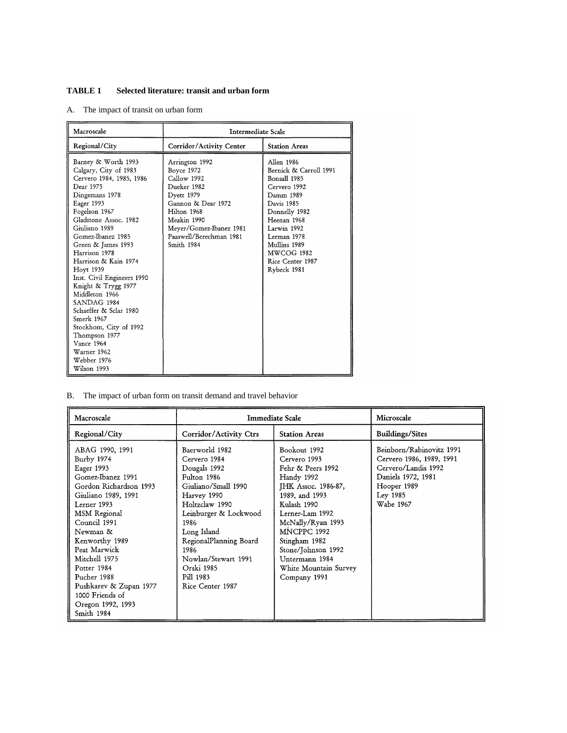## **TABLE 1 Selected literature: transit and urban form**

A. The impact of transit on urban form

| Macroscale                                                                                                                                                                                                                                                                                                                                                                                                                                                                                                            | Intermediate Scale                                                                                                                                                                               |                                                                                                                                                                                                                                       |  |  |
|-----------------------------------------------------------------------------------------------------------------------------------------------------------------------------------------------------------------------------------------------------------------------------------------------------------------------------------------------------------------------------------------------------------------------------------------------------------------------------------------------------------------------|--------------------------------------------------------------------------------------------------------------------------------------------------------------------------------------------------|---------------------------------------------------------------------------------------------------------------------------------------------------------------------------------------------------------------------------------------|--|--|
| Regional/City                                                                                                                                                                                                                                                                                                                                                                                                                                                                                                         | Corridor/Activity Center                                                                                                                                                                         | <b>Station Areas</b>                                                                                                                                                                                                                  |  |  |
| Barney & Worth 1993<br>Calgary, City of 1983<br>Cervero 1984, 1985, 1986<br>Dear 1975<br>Dingemans 1978<br>Eager 1993<br>Fogelson 1967<br>Gladstone Assoc. 1982<br>Giuliano 1989<br>Gomez-Ibanez 1985<br>Green & James 1993<br>Harrison 1978<br>Harrison & Kain 1974<br>Hoyt 1939<br>Inst. Civil Engineers 1990<br>Knight & Trygg 1977<br>Middleton 1966<br>SANDAG 1984<br>Schaeffer & Sclar 1980<br>Smerk 1967<br>Stockhom, City of 1992<br>Thompson 1977<br>Vance 1964<br>Warner 1962<br>Webber 1976<br>Wilson 1993 | Arrington 1992<br>Boyce 1972<br>Callow 1992<br>Dueker 1982<br>Dyett 1979<br>Gannon & Dear 1972<br>Hilton 1968<br>Meakin 1990<br>Meyer/Gomez-Ibanez 1981<br>Paaswell/Berechman 1981<br>Smith 1984 | Allen 1986<br>Bernick & Carroll 1991<br>Bonsall 1985<br>Cervero 1992<br>Damm 1989<br>Davis 1985<br>Donnelly 1982<br>Heenan 1968<br>Larwin 1992<br>Lerman 1978<br>Mullins 1989<br><b>MWCOG 1982</b><br>Rice Center 1987<br>Rybeck 1981 |  |  |

B. The impact of urban form on transit demand and travel behavior

| Macroscale                                                                                                                                                                                                                                                                                                                                    |                                                                                                                                                                                                                                                                               | Immediate Scale                                                                                                                                                                                                                                                                         | Microscale                                                                                                                                |  |
|-----------------------------------------------------------------------------------------------------------------------------------------------------------------------------------------------------------------------------------------------------------------------------------------------------------------------------------------------|-------------------------------------------------------------------------------------------------------------------------------------------------------------------------------------------------------------------------------------------------------------------------------|-----------------------------------------------------------------------------------------------------------------------------------------------------------------------------------------------------------------------------------------------------------------------------------------|-------------------------------------------------------------------------------------------------------------------------------------------|--|
| Regional/City                                                                                                                                                                                                                                                                                                                                 | Corridor/Activity Ctrs                                                                                                                                                                                                                                                        | <b>Station Areas</b>                                                                                                                                                                                                                                                                    | <b>Buildings/Sites</b>                                                                                                                    |  |
| ABAG 1990, 1991<br>Burby 1974<br>Eager 1993<br>Gomez-Ibanez 1991<br>Gordon Richardson 1993<br>Giuliano 1989, 1991<br>Lerner 1993<br>MSM Regional<br>Council 1991<br>Newman &<br>Kenworthy 1989<br>Peat Marwick<br>Mitchell 1975<br>Potter 1984<br>Pucher 1988<br>Pushkarev & Zupan 1977<br>1000 Friends of<br>Oregon 1992, 1993<br>Smith 1984 | Baerworld 1982<br>Cervero 1984<br>Dougals 1992<br>Fulton 1986<br>Giuliano/Small 1990<br>Harvey 1990<br>Holtzclaw 1990<br>Leinburger & Lockwood<br>1986<br>Long Island<br>RegionalPlanning Board<br>1986<br>Nowlan/Stewart 1991<br>Orski 1985<br>Pill 1983<br>Rice Center 1987 | Bookout 1992<br>Cervero 1993<br>Fehr & Peers 1992<br>Handy 1992<br><b>IHK Assoc. 1986-87,</b><br>1989, and 1993<br>Kulash 1990<br>Lerner-Lam 1992<br>McNally/Ryan 1993<br>MNCPPC 1992<br>Stingham 1982<br>Stone/Johnson 1992<br>Untermann 1984<br>White Mountain Survey<br>Company 1991 | Beinborn/Rabinovitz 1991<br>Cervero 1986, 1989, 1991<br>Cervero/Landis 1992<br>Daniels 1972, 1981<br>Hooper 1989<br>Ley 1985<br>Wabe 1967 |  |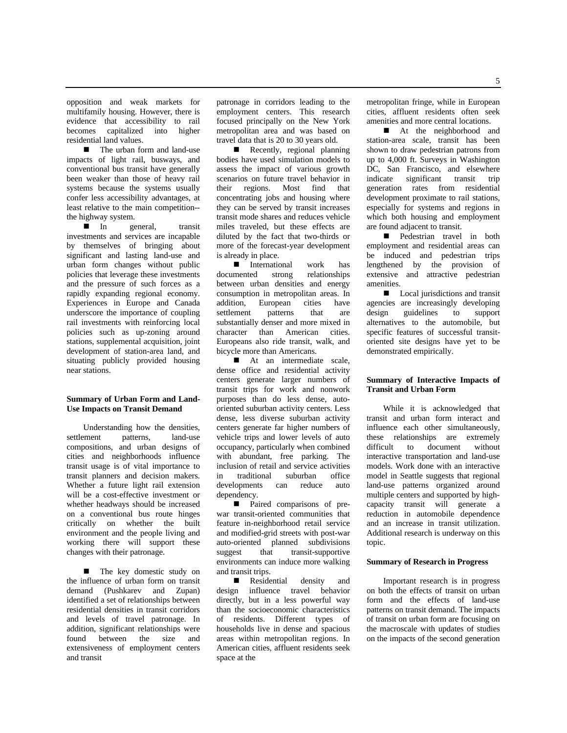opposition and weak markets for multifamily housing. However, there is evidence that accessibility to rail becomes capitalized into higher residential land values.

■ The urban form and land-use impacts of light rail, busways, and conventional bus transit have generally been weaker than those of heavy rail systems because the systems usually confer less accessibility advantages, at least relative to the main competition- the highway system.<br> $\blacksquare$  In ge

general, transit investments and services are incapable by themselves of bringing about significant and lasting land-use and urban form changes without public policies that leverage these investments and the pressure of such forces as a rapidly expanding regional economy. Experiences in Europe and Canada underscore the importance of coupling rail investments with reinforcing local policies such as up-zoning around stations, supplemental acquisition, joint development of station-area land, and situating publicly provided housing near stations.

## **Summary of Urban Form and Land-Use Impacts on Transit Demand**

Understanding how the densities, settlement patterns, land-use compositions, and urban designs of cities and neighborhoods influence transit usage is of vital importance to transit planners and decision makers. Whether a future light rail extension will be a cost-effective investment or whether headways should be increased on a conventional bus route hinges critically on whether the built environment and the people living and working there will support these changes with their patronage.

**n** The key domestic study on the influence of urban form on transit demand (Pushkarev and Zupan) identified a set of relationships between residential densities in transit corridors and levels of travel patronage. In addition, significant relationships were found between the size and extensiveness of employment centers and transit

patronage in corridors leading to the employment centers. This research focused principally on the New York metropolitan area and was based on travel data that is 20 to 30 years old.

 $\blacksquare$  Recently, regional planning bodies have used simulation models to assess the impact of various growth scenarios on future travel behavior in their regions. Most find that concentrating jobs and housing where they can be served by transit increases transit mode shares and reduces vehicle miles traveled, but these effects are diluted by the fact that two-thirds or more of the forecast-year development is already in place.

 $\blacksquare$  International work has<br>documented strong relationships relationships between urban densities and energy consumption in metropolitan areas. In addition, European cities have settlement patterns that are substantially denser and more mixed in character than American cities. Europeans also ride transit, walk, and bicycle more than Americans.

 $\blacksquare$  At an intermediate scale, dense office and residential activity centers generate larger numbers of transit trips for work and nonwork purposes than do less dense, autooriented suburban activity centers. Less dense, less diverse suburban activity centers generate far higher numbers of vehicle trips and lower levels of auto occupancy, particularly when combined with abundant, free parking. The inclusion of retail and service activities in traditional suburban office developments can reduce auto dependency.

n Paired comparisons of prewar transit-oriented communities that feature in-neighborhood retail service and modified-grid streets with post-war auto-oriented planned subdivisions suggest that transit-supportive environments can induce more walking and transit trips.

**n** Residential density and design influence travel behavior directly, but in a less powerful way than the socioeconomic characteristics of residents. Different types of households live in dense and spacious areas within metropolitan regions. In American cities, affluent residents seek space at the

metropolitan fringe, while in European cities, affluent residents often seek amenities and more central locations.

■ At the neighborhood and station-area scale, transit has been shown to draw pedestrian patrons from up to 4,000 ft. Surveys in Washington DC, San Francisco, and elsewhere<br>indicate significant transit trip indicate significant transit trip generation rates from residential development proximate to rail stations, especially for systems and regions in which both housing and employment are found adjacent to transit.

**n** Pedestrian travel in both employment and residential areas can be induced and pedestrian trips lengthened by the provision of extensive and attractive pedestrian amenities.

 $\blacksquare$  Local jurisdictions and transit agencies are increasingly developing design guidelines to support alternatives to the automobile, but specific features of successful transitoriented site designs have yet to be demonstrated empirically.

## **Summary of Interactive Impacts of Transit and Urban Form**

While it is acknowledged that transit and urban form interact and influence each other simultaneously, these relationships are extremely difficult to document without interactive transportation and land-use models. Work done with an interactive model in Seattle suggests that regional land-use patterns organized around multiple centers and supported by highcapacity transit will generate a reduction in automobile dependence and an increase in transit utilization. Additional research is underway on this topic.

#### **Summary of Research in Progress**

Important research is in progress on both the effects of transit on urban form and the effects of land-use patterns on transit demand. The impacts of transit on urban form are focusing on the macroscale with updates of studies on the impacts of the second generation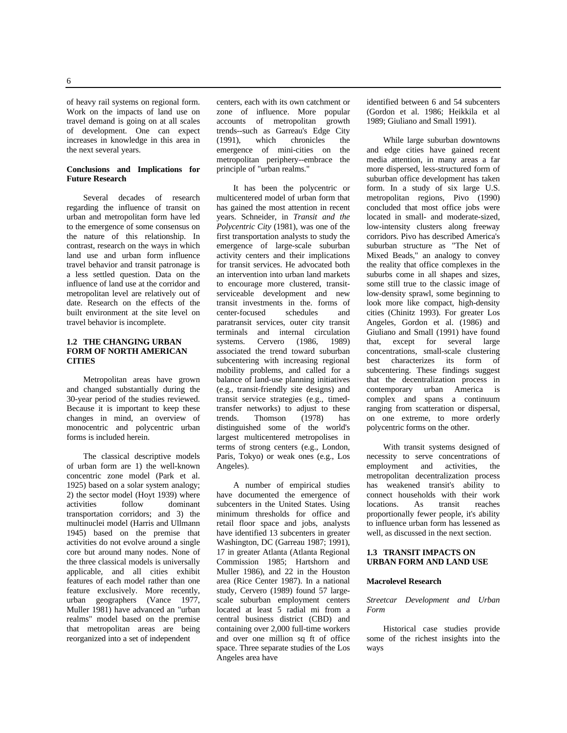of heavy rail systems on regional form. Work on the impacts of land use on travel demand is going on at all scales of development. One can expect increases in knowledge in this area in the next several years.

## **Conclusions and Implications for Future Research**

Several decades of research regarding the influence of transit on urban and metropolitan form have led to the emergence of some consensus on the nature of this relationship. In contrast, research on the ways in which land use and urban form influence travel behavior and transit patronage is a less settled question. Data on the influence of land use at the corridor and metropolitan level are relatively out of date. Research on the effects of the built environment at the site level on travel behavior is incomplete.

## **1.2 THE CHANGING URBAN FORM OF NORTH AMERICAN CITIES**

Metropolitan areas have grown and changed substantially during the 30-year period of the studies reviewed. Because it is important to keep these changes in mind, an overview of monocentric and polycentric urban forms is included herein.

The classical descriptive models of urban form are 1) the well-known concentric zone model (Park et al. 1925) based on a solar system analogy; 2) the sector model (Hoyt 1939) where<br>activities follow dominant activities follow dominant transportation corridors; and 3) the multinuclei model (Harris and Ullmann 1945) based on the premise that activities do not evolve around a single core but around many nodes. None of the three classical models is universally applicable, and all cities exhibit features of each model rather than one feature exclusively. More recently, urban geographers (Vance 1977, Muller 1981) have advanced an "urban realms" model based on the premise that metropolitan areas are being reorganized into a set of independent

centers, each with its own catchment or zone of influence. More popular accounts of metropolitan growth trends--such as Garreau's Edge City<br>(1991), which chronicles the (1991), which chronicles the emergence of mini-cities on the metropolitan periphery--embrace the principle of "urban realms."

It has been the polycentric or multicentered model of urban form that has gained the most attention in recent years. Schneider, in *Transit and the Polycentric City* (1981), was one of the first transportation analysts to study the emergence of large-scale suburban activity centers and their implications for transit services. He advocated both an intervention into urban land markets to encourage more clustered, transitserviceable development and new transit investments in the. forms of center-focused schedules and paratransit services, outer city transit terminals and internal circulation systems. Cervero (1986, 1989) associated the trend toward suburban subcentering with increasing regional mobility problems, and called for a balance of land-use planning initiatives (e.g., transit-friendly site designs) and transit service strategies (e.g., timedtransfer networks) to adjust to these<br>trends. Thomson (1978) has trends. Thomson (1978) has distinguished some of the world's largest multicentered metropolises in terms of strong centers (e.g., London, Paris, Tokyo) or weak ones (e.g., Los Angeles).

A number of empirical studies have documented the emergence of subcenters in the United States. Using minimum thresholds for office and retail floor space and jobs, analysts have identified 13 subcenters in greater Washington, DC (Garreau 1987; 1991), 17 in greater Atlanta (Atlanta Regional Commission 1985; Hartshorn and Muller 1986), and 22 in the Houston area (Rice Center 1987). In a national study, Cervero (1989) found 57 largescale suburban employment centers located at least 5 radial mi from a central business district (CBD) and containing over 2,000 full-time workers and over one million sq ft of office space. Three separate studies of the Los Angeles area have

identified between 6 and 54 subcenters (Gordon et al. 1986; Heikkila et al 1989; Giuliano and Small 1991).

While large suburban downtowns and edge cities have gained recent media attention, in many areas a far more dispersed, less-structured form of suburban office development has taken form. In a study of six large U.S. metropolitan regions, Pivo (1990) concluded that most office jobs were located in small- and moderate-sized, low-intensity clusters along freeway corridors. Pivo has described America's suburban structure as "The Net of Mixed Beads," an analogy to convey the reality that office complexes in the suburbs come in all shapes and sizes, some still true to the classic image of low-density sprawl, some beginning to look more like compact, high-density cities (Chinitz 1993). For greater Los Angeles, Gordon et al. (1986) and Giuliano and Small (1991) have found that, except for several large concentrations, small-scale clustering best characterizes its form of subcentering. These findings suggest that the decentralization process in contemporary urban America is complex and spans a continuum ranging from scatteration or dispersal, on one extreme, to more orderly polycentric forms on the other.

With transit systems designed of necessity to serve concentrations of employment and activities, the metropolitan decentralization process has weakened transit's ability to connect households with their work locations. As transit reaches proportionally fewer people, it's ability to influence urban form has lessened as well, as discussed in the next section.

#### **1.3 TRANSIT IMPACTS ON URBAN FORM AND LAND USE**

#### **Macrolevel Research**

## *Streetcar Development and Urban Form*

Historical case studies provide some of the richest insights into the ways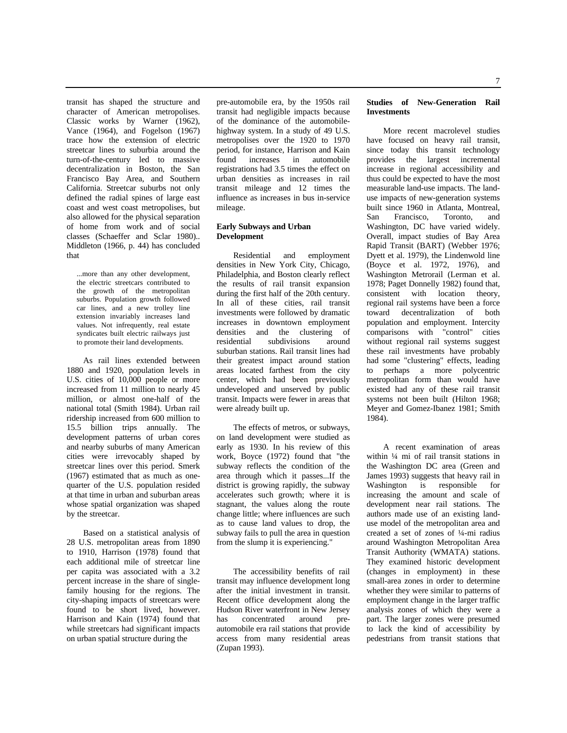transit has shaped the structure and character of American metropolises. Classic works by Warner (1962), Vance (1964), and Fogelson (1967) trace how the extension of electric streetcar lines to suburbia around the turn-of-the-century led to massive decentralization in Boston, the San Francisco Bay Area, and Southern California. Streetcar suburbs not only defined the radial spines of large east coast and west coast metropolises, but also allowed for the physical separation of home from work and of social classes (Schaeffer and Sclar 1980).. Middleton (1966, p. 44) has concluded that

...more than any other development, the electric streetcars contributed to the growth of the metropolitan suburbs. Population growth followed car lines, and a new trolley line extension invariably increases land values. Not infrequently, real estate syndicates built electric railways just to promote their land developments.

As rail lines extended between 1880 and 1920, population levels in U.S. cities of 10,000 people or more increased from 11 million to nearly 45 million, or almost one-half of the national total (Smith 1984). Urban rail ridership increased from 600 million to 15.5 billion trips annually. The development patterns of urban cores and nearby suburbs of many American cities were irrevocably shaped by streetcar lines over this period. Smerk (1967) estimated that as much as onequarter of the U.S. population resided at that time in urban and suburban areas whose spatial organization was shaped by the streetcar.

Based on a statistical analysis of 28 U.S. metropolitan areas from 1890 to 1910, Harrison (1978) found that each additional mile of streetcar line per capita was associated with a 3.2 percent increase in the share of singlefamily housing for the regions. The city-shaping impacts of streetcars were found to be short lived, however. Harrison and Kain (1974) found that while streetcars had significant impacts on urban spatial structure during the

pre-automobile era, by the 1950s rail transit had negligible impacts because of the dominance of the automobilehighway system. In a study of 49 U.S. metropolises over the 1920 to 1970 period, for instance, Harrison and Kain found increases in automobile registrations had 3.5 times the effect on urban densities as increases in rail transit mileage and 12 times the influence as increases in bus in-service mileage.

## **Early Subways and Urban Development**

Residential and employment densities in New York City, Chicago, Philadelphia, and Boston clearly reflect the results of rail transit expansion during the first half of the 20th century. In all of these cities, rail transit investments were followed by dramatic increases in downtown employment densities and the clustering of residential subdivisions around suburban stations. Rail transit lines had their greatest impact around station areas located farthest from the city center, which had been previously undeveloped and unserved by public transit. Impacts were fewer in areas that were already built up.

The effects of metros, or subways, on land development were studied as early as 1930. In his review of this work, Boyce (1972) found that "the subway reflects the condition of the area through which it passes...If the district is growing rapidly, the subway accelerates such growth; where it is stagnant, the values along the route change little; where influences are such as to cause land values to drop, the subway fails to pull the area in question from the slump it is experiencing."

The accessibility benefits of rail transit may influence development long after the initial investment in transit. Recent office development along the Hudson River waterfront in New Jersey has concentrated around preautomobile era rail stations that provide access from many residential areas (Zupan 1993).

## **Studies of New-Generation Rail Investments**

More recent macrolevel studies have focused on heavy rail transit, since today this transit technology provides the largest incremental increase in regional accessibility and thus could be expected to have the most measurable land-use impacts. The landuse impacts of new-generation systems built since 1960 in Atlanta, Montreal,<br>San Francisco. Toronto. and San Francisco, Toronto, and Washington, DC have varied widely. Overall, impact studies of Bay Area Rapid Transit (BART) (Webber 1976; Dyett et al. 1979), the Lindenwold line (Boyce et al. 1972, 1976), and Washington Metrorail (Lerman et al. 1978; Paget Donnelly 1982) found that, consistent with location theory, regional rail systems have been a force toward decentralization of both population and employment. Intercity comparisons with "control" cities without regional rail systems suggest these rail investments have probably had some "clustering" effects, leading to perhaps a more polycentric metropolitan form than would have existed had any of these rail transit systems not been built (Hilton 1968; Meyer and Gomez-Ibanez 1981; Smith 1984).

A recent examination of areas within ¼ mi of rail transit stations in the Washington DC area (Green and James 1993) suggests that heavy rail in Washington is responsible for increasing the amount and scale of development near rail stations. The authors made use of an existing landuse model of the metropolitan area and created a set of zones of ¼-mi radius around Washington Metropolitan Area Transit Authority (WMATA) stations. They examined historic development (changes in employment) in these small-area zones in order to determine whether they were similar to patterns of employment change in the larger traffic analysis zones of which they were a part. The larger zones were presumed to lack the kind of accessibility by pedestrians from transit stations that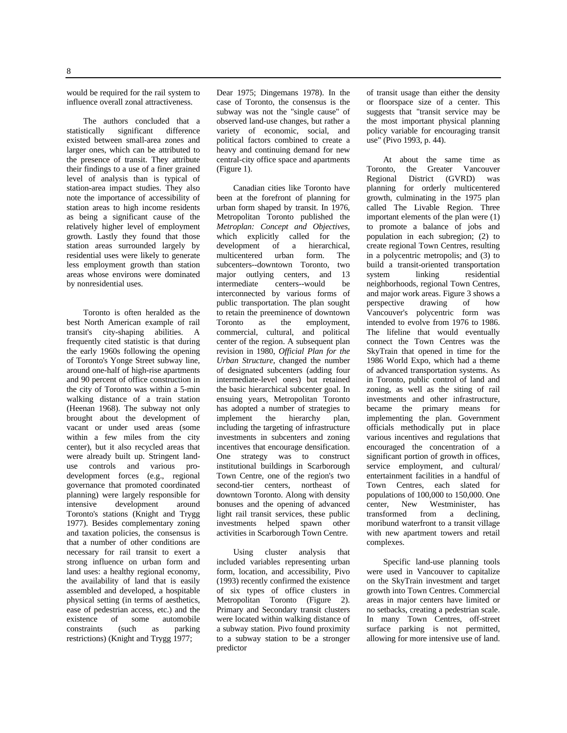8

would be required for the rail system to influence overall zonal attractiveness.

The authors concluded that a statistically significant difference existed between small-area zones and larger ones, which can be attributed to the presence of transit. They attribute their findings to a use of a finer grained level of analysis than is typical of station-area impact studies. They also note the importance of accessibility of station areas to high income residents as being a significant cause of the relatively higher level of employment growth. Lastly they found that those station areas surrounded largely by residential uses were likely to generate less employment growth than station areas whose environs were dominated by nonresidential uses.

Toronto is often heralded as the best North American example of rail transit's city-shaping abilities. A frequently cited statistic is that during the early 1960s following the opening of Toronto's Yonge Street subway line, around one-half of high-rise apartments and 90 percent of office construction in the city of Toronto was within a 5-min walking distance of a train station (Heenan 1968). The subway not only brought about the development of vacant or under used areas (some within a few miles from the city center), but it also recycled areas that were already built up. Stringent landuse controls and various prodevelopment forces (e.g., regional governance that promoted coordinated planning) were largely responsible for intensive development around Toronto's stations (Knight and Trygg 1977). Besides complementary zoning and taxation policies, the consensus is that a number of other conditions are necessary for rail transit to exert a strong influence on urban form and land uses: a healthy regional economy, the availability of land that is easily assembled and developed, a hospitable physical setting (in terms of aesthetics, ease of pedestrian access, etc.) and the existence of some automobile constraints (such as parking restrictions) (Knight and Trygg 1977;

Dear 1975; Dingemans 1978). In the case of Toronto, the consensus is the subway was not the "single cause" of observed land-use changes, but rather a variety of economic, social, and political factors combined to create a heavy and continuing demand for new central-city office space and apartments (Figure 1).

Canadian cities like Toronto have been at the forefront of planning for urban form shaped by transit. In 1976, Metropolitan Toronto published the *Metroplan: Concept and Objectives,* which explicitly called for the development of a hierarchical, multicentered urban form. The subcenters--downtown Toronto, two major outlying centers, and 13<br>intermediate centers--would be centers--would interconnected by various forms of public transportation. The plan sought to retain the preeminence of downtown Toronto as the employment, commercial, cultural, and political center of the region. A subsequent plan revision in 1980, *Official Plan for the Urban Structure,* changed the number of designated subcenters (adding four intermediate-level ones) but retained the basic hierarchical subcenter goal. In ensuing years, Metropolitan Toronto has adopted a number of strategies to implement the hierarchy plan, including the targeting of infrastructure investments in subcenters and zoning incentives that encourage densification. One strategy was to construct institutional buildings in Scarborough Town Centre, one of the region's two second-tier centers, northeast of downtown Toronto. Along with density bonuses and the opening of advanced light rail transit services, these public investments helped spawn other activities in Scarborough Town Centre.

Using cluster analysis that included variables representing urban form, location, and accessibility, Pivo (1993) recently confirmed the existence of six types of office clusters in Metropolitan Toronto (Figure 2). Primary and Secondary transit clusters were located within walking distance of a subway station. Pivo found proximity to a subway station to be a stronger predictor

of transit usage than either the density or floorspace size of a center. This suggests that "transit service may be the most important physical planning policy variable for encouraging transit use" (Pivo 1993, p. 44).

At about the same time as Toronto, the Greater Vancouver Regional District (GVRD) was planning for orderly multicentered growth, culminating in the 1975 plan called The Livable Region. Three important elements of the plan were (1) to promote a balance of jobs and population in each subregion; (2) to create regional Town Centres, resulting in a polycentric metropolis; and (3) to build a transit-oriented transportation<br>system linking residential residential neighborhoods, regional Town Centres, and major work areas. Figure 3 shows a perspective drawing of how Vancouver's polycentric form was intended to evolve from 1976 to 1986. The lifeline that would eventually connect the Town Centres was the SkyTrain that opened in time for the 1986 World Expo, which had a theme of advanced transportation systems. As in Toronto, public control of land and zoning, as well as the siting of rail investments and other infrastructure, became the primary means for implementing the plan. Government officials methodically put in place various incentives and regulations that encouraged the concentration of a significant portion of growth in offices, service employment, and cultural/ entertainment facilities in a handful of Town Centres, each slated for populations of 100,000 to 150,000. One center, New Westminister, has<br>transformed from a declining, transformed moribund waterfront to a transit village with new apartment towers and retail complexes.

Specific land-use planning tools were used in Vancouver to capitalize on the SkyTrain investment and target growth into Town Centres. Commercial areas in major centers have limited or no setbacks, creating a pedestrian scale. In many Town Centres, off-street surface parking is not permitted, allowing for more intensive use of land.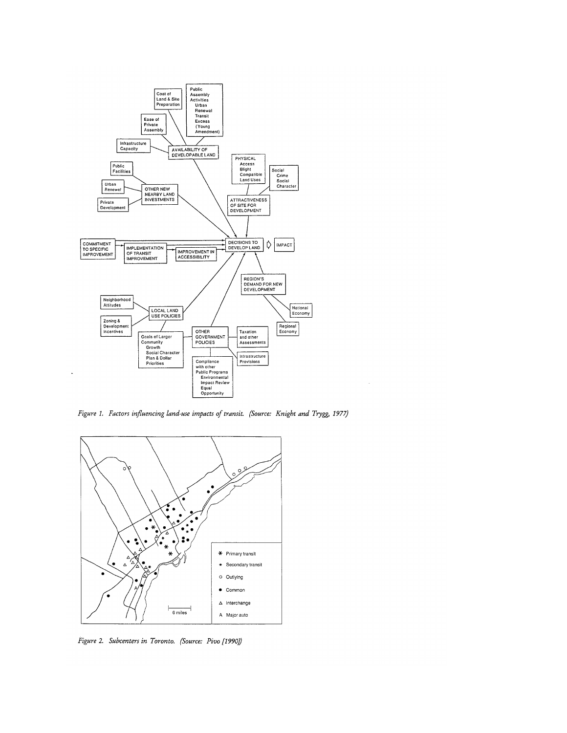

Figure 1. Factors influencing land-use impacts of transit. (Source: Knight and Trygg, 1977)

 $\bar{\gamma}$ 



Figure 2. Subcenters in Toronto. (Source: Pivo [1990])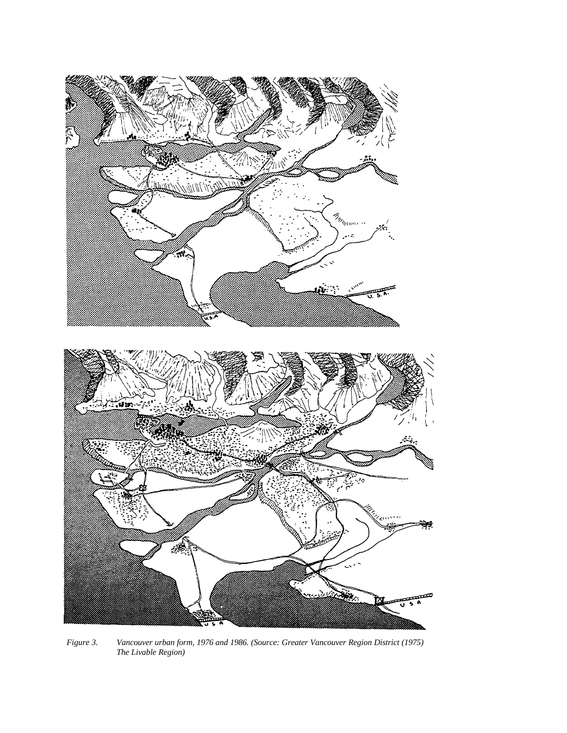

*Figure 3. Vancouver urban form, 1976 and 1986. (Source: Greater Vancouver Region District (1975) The Livable Region)*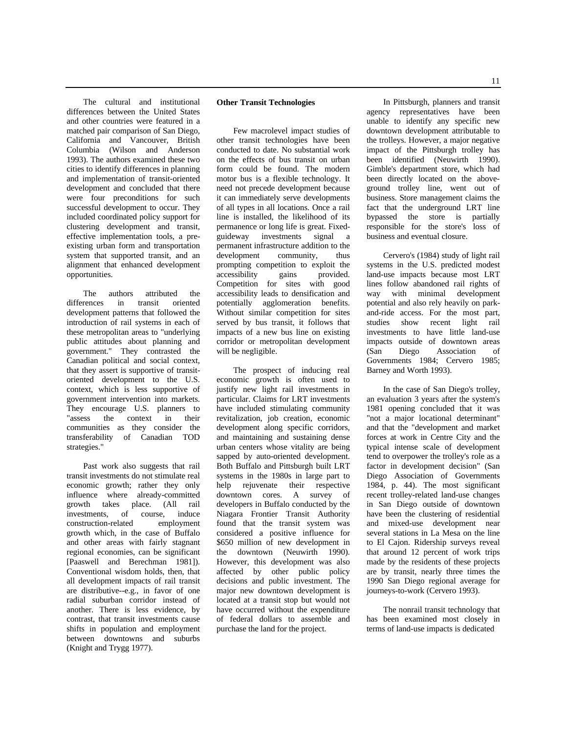The cultural and institutional differences between the United States and other countries were featured in a matched pair comparison of San Diego, California and Vancouver, British Columbia (Wilson and Anderson 1993). The authors examined these two cities to identify differences in planning and implementation of transit-oriented development and concluded that there were four preconditions for such successful development to occur. They included coordinated policy support for clustering development and transit, effective implementation tools, a preexisting urban form and transportation system that supported transit, and an alignment that enhanced development opportunities.

The authors attributed the differences in transit oriented development patterns that followed the introduction of rail systems in each of these metropolitan areas to "underlying public attitudes about planning and government." They contrasted the Canadian political and social context, that they assert is supportive of transitoriented development to the U.S. context, which is less supportive of government intervention into markets. They encourage U.S. planners to "assess the context in their communities as they consider the transferability of Canadian TOD strategies."

Past work also suggests that rail transit investments do not stimulate real economic growth; rather they only influence where already-committed<br>growth takes place. (All rail execution takes place. (All rail rail rail investments, of course, induce<br>construction-related employment construction-related growth which, in the case of Buffalo and other areas with fairly stagnant regional economies, can be significant [Paaswell and Berechman 1981]). Conventional wisdom holds, then, that all development impacts of rail transit are distributive--e.g., in favor of one radial suburban corridor instead of another. There is less evidence, by contrast, that transit investments cause shifts in population and employment between downtowns and suburbs (Knight and Trygg 1977).

#### **Other Transit Technologies**

Few macrolevel impact studies of other transit technologies have been conducted to date. No substantial work on the effects of bus transit on urban form could be found. The modern motor bus is a flexible technology. It need not precede development because it can immediately serve developments of all types in all locations. Once a rail line is installed, the likelihood of its permanence or long life is great. Fixedguideway investments signal a permanent infrastructure addition to the development community, thus prompting competition to exploit the accessibility gains provided. accessibility Competition for sites with good accessibility leads to densification and potentially agglomeration benefits. Without similar competition for sites served by bus transit, it follows that impacts of a new bus line on existing corridor or metropolitan development will be negligible.

The prospect of inducing real economic growth is often used to justify new light rail investments in particular. Claims for LRT investments have included stimulating community revitalization, job creation, economic development along specific corridors, and maintaining and sustaining dense urban centers whose vitality are being sapped by auto-oriented development. Both Buffalo and Pittsburgh built LRT systems in the 1980s in large part to help rejuvenate their respective downtown cores. A survey of developers in Buffalo conducted by the Niagara Frontier Transit Authority found that the transit system was considered a positive influence for \$650 million of new development in the downtown (Neuwirth 1990). However, this development was also affected by other public policy decisions and public investment. The major new downtown development is located at a transit stop but would not have occurred without the expenditure of federal dollars to assemble and purchase the land for the project.

In Pittsburgh, planners and transit agency representatives have been unable to identify any specific new downtown development attributable to the trolleys. However, a major negative impact of the Pittsburgh trolley has been identified (Neuwirth 1990). Gimble's department store, which had been directly located on the aboveground trolley line, went out of business. Store management claims the fact that the underground LRT line bypassed the store is partially responsible for the store's loss of business and eventual closure.

Cervero's (1984) study of light rail systems in the U.S. predicted modest land-use impacts because most LRT lines follow abandoned rail rights of way with minimal development potential and also rely heavily on parkand-ride access. For the most part, studies show recent light rail investments to have little land-use impacts outside of downtown areas (San Diego Association of Governments 1984; Cervero 1985; Barney and Worth 1993).

In the case of San Diego's trolley, an evaluation 3 years after the system's 1981 opening concluded that it was "not a major locational determinant" and that the "development and market forces at work in Centre City and the typical intense scale of development tend to overpower the trolley's role as a factor in development decision" (San Diego Association of Governments 1984, p. 44). The most significant recent trolley-related land-use changes in San Diego outside of downtown have been the clustering of residential and mixed-use development near several stations in La Mesa on the line to El Cajon. Ridership surveys reveal that around 12 percent of work trips made by the residents of these projects are by transit, nearly three times the 1990 San Diego regional average for journeys-to-work (Cervero 1993).

The nonrail transit technology that has been examined most closely in terms of land-use impacts is dedicated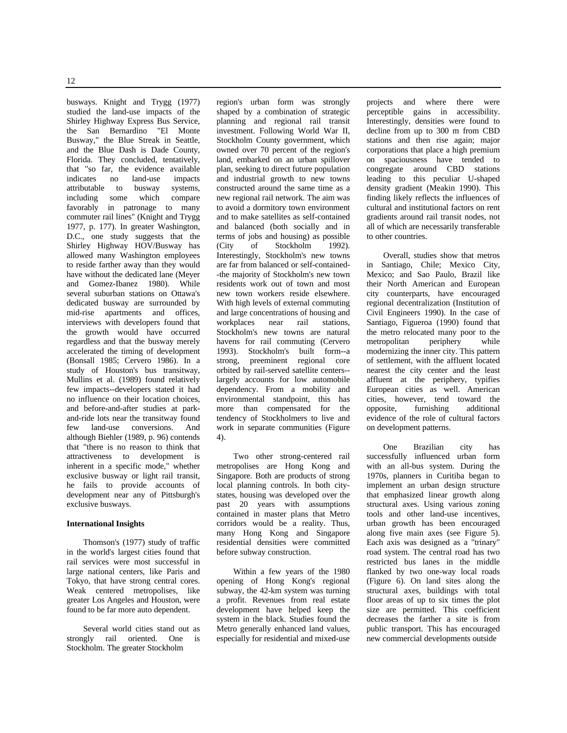busways. Knight and Trygg (1977) studied the land-use impacts of the Shirley Highway Express Bus Service, the San Bernardino "El Monte Busway," the Blue Streak in Seattle, and the Blue Dash is Dade County, Florida. They concluded, tentatively, that "so far, the evidence available indicates no land-use impacts attributable to busway systems, including some which compare favorably in patronage to many commuter rail lines" (Knight and Trygg 1977, p. 177). In greater Washington, D.C., one study suggests that the Shirley Highway HOV/Busway has allowed many Washington employees to reside farther away than they would have without the dedicated lane (Meyer and Gomez-Ibanez 1980). While several suburban stations on Ottawa's dedicated busway are surrounded by mid-rise apartments and offices, interviews with developers found that the growth would have occurred regardless and that the busway merely accelerated the timing of development (Bonsall 1985; Cervero 1986). In a study of Houston's bus transitway, Mullins et al. (1989) found relatively few impacts--developers stated it had no influence on their location choices, and before-and-after studies at parkand-ride lots near the transitway found few land-use conversions. And although Biehler (1989, p. 96) contends that "there is no reason to think that attractiveness to development is inherent in a specific mode," whether exclusive busway or light rail transit, he fails to provide accounts of development near any of Pittsburgh's exclusive busways.

#### **International Insights**

Thomson's (1977) study of traffic in the world's largest cities found that rail services were most successful in large national centers, like Paris and Tokyo, that have strong central cores. Weak centered metropolises, like greater Los Angeles and Houston, were found to be far more auto dependent.

Several world cities stand out as strongly rail oriented. One is Stockholm. The greater Stockholm

region's urban form was strongly shaped by a combination of strategic planning and regional rail transit investment. Following World War II, Stockholm County government, which owned over 70 percent of the region's land, embarked on an urban spillover plan, seeking to direct future population and industrial growth to new towns constructed around the same time as a new regional rail network. The aim was to avoid a dormitory town environment and to make satellites as self-contained and balanced (both socially and in terms of jobs and housing) as possible<br>(City of Stockholm 1992). Stockholm Interestingly, Stockholm's new towns are far from balanced or self-contained- -the majority of Stockholm's new town residents work out of town and most new town workers reside elsewhere. With high levels of external commuting and large concentrations of housing and workplaces near rail stations, Stockholm's new towns are natural havens for rail commuting (Cervero 1993). Stockholm's built form--a strong, preeminent regional core orbited by rail-served satellite centers- largely accounts for low automobile dependency. From a mobility and environmental standpoint, this has more than compensated for the tendency of Stockholmers to live and work in separate communities (Figure 4).

Two other strong-centered rail metropolises are Hong Kong and Singapore. Both are products of strong local planning controls. In both citystates, housing was developed over the past 20 years with assumptions contained in master plans that Metro corridors would be a reality. Thus, many Hong Kong and Singapore residential densities were committed before subway construction.

Within a few years of the 1980 opening of Hong Kong's regional subway, the 42-km system was turning a profit. Revenues from real estate development have helped keep the system in the black. Studies found the Metro generally enhanced land values, especially for residential and mixed-use

projects and where there were perceptible gains in accessibility. Interestingly, densities were found to decline from up to 300 m from CBD stations and then rise again; major corporations that place a high premium on spaciousness have tended to congregate around CBD stations leading to this peculiar U-shaped density gradient (Meakin 1990). This finding likely reflects the influences of cultural and institutional factors on rent gradients around rail transit nodes, not all of which are necessarily transferable to other countries.

Overall, studies show that metros in Santiago, Chile; Mexico City, Mexico; and Sao Paulo, Brazil like their North American and European city counterparts, have encouraged regional decentralization (Institution of Civil Engineers 1990). In the case of Santiago, Figueroa (1990) found that the metro relocated many poor to the metropolitan periphery while modernizing the inner city. This pattern of settlement, with the affluent located nearest the city center and the least affluent at the periphery, typifies European cities as well. American cities, however, tend toward the<br>opposite, furnishing additional furnishing additional evidence of the role of cultural factors on development patterns.

One Brazilian city has successfully influenced urban form with an all-bus system. During the 1970s, planners in Curitiba began to implement an urban design structure that emphasized linear growth along structural axes. Using various zoning tools and other land-use incentives, urban growth has been encouraged along five main axes (see Figure 5). Each axis was designed as a "trinary" road system. The central road has two restricted bus lanes in the middle flanked by two one-way local roads (Figure 6). On land sites along the structural axes, buildings with total floor areas of up to six times the plot size are permitted. This coefficient decreases the farther a site is from public transport. This has encouraged new commercial developments outside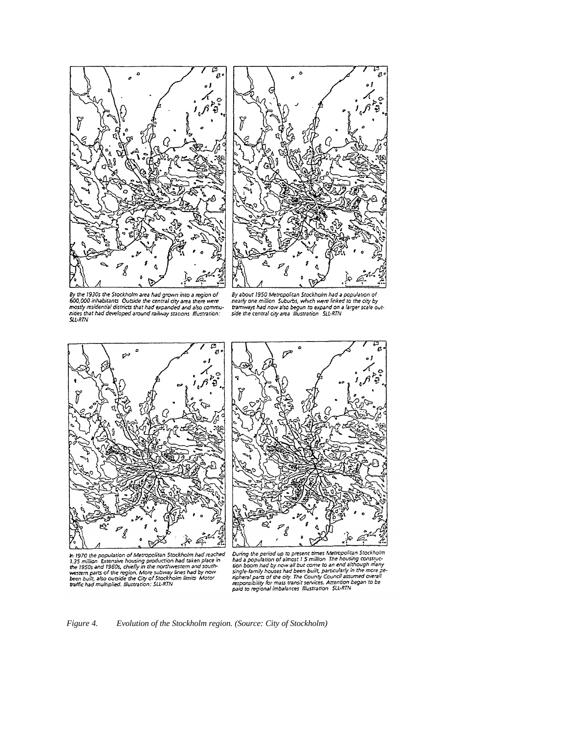



By the 1930s the Stockholm area had grown into a region of<br>600,000 inhabitants Outside the central city area there were state that is determined to the contract of the panded and also commu-<br>nives that had developed around railway stations Illustration: **SLL-RTN** 

By about 1950 Metropolitan Stockholm had a population of<br>the arty one million Suburbs, which were linked to the city by<br>tramways had now also begun to expand on a larger scale out-<br>side the central city area illustration S





In 1970 the population of Metropolitan Stockholm had reached<br>1.35 million Extensive housing production had taken place in<br>the 1950s and 1960s, chiefly in the northwestern and south<br>western parts of the region. More subway

Devine the period up to present times Metropolitan Stockholm<br>bard a population of almost 1 5 million. The housing construc-<br>tion boom had by now all but come to an end although many<br>single-lamily houses had been built, par

*Figure 4. Evolution of the Stockholm region. (Source: City of Stockholm)*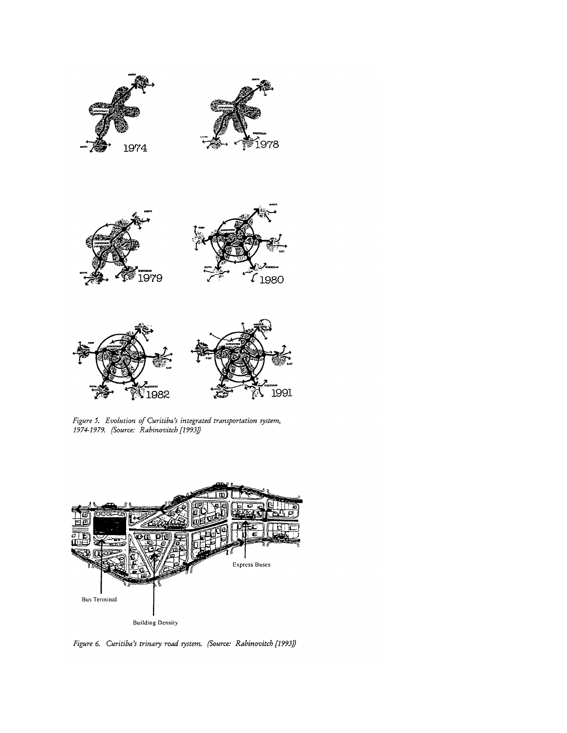





Figure 5. Evolution of Curitiba's integrated transportation system,<br>1974-1979. (Source: Rabinovitch [1993])



Figure 6. Curitiba's trinary road system. (Source: Rabinovitch [1993])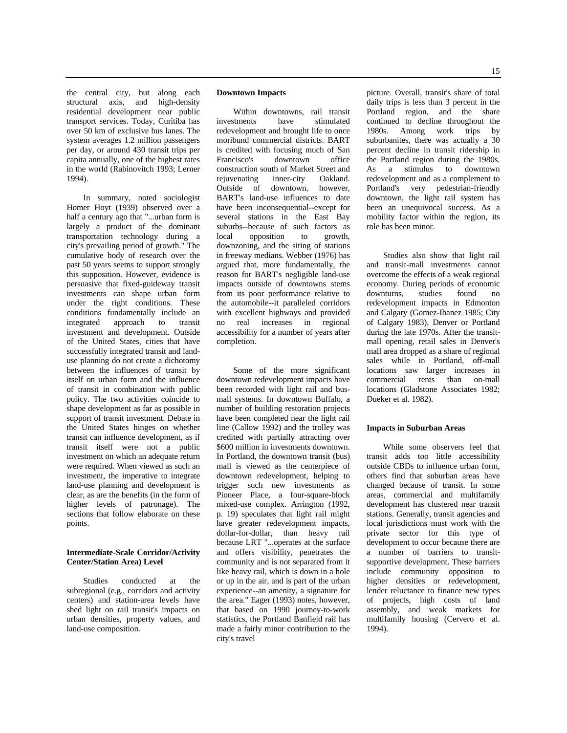the central city, but along each structural axis, and high-density residential development near public transport services. Today, Curitiba has over 50 km of exclusive bus lanes. The system averages 1.2 million passengers per day, or around 430 transit trips per capita annually, one of the highest rates in the world (Rabinovitch 1993; Lerner 1994).

In summary, noted sociologist Homer Hoyt (1939) observed over a half a century ago that "...urban form is largely a product of the dominant transportation technology during a city's prevailing period of growth." The cumulative body of research over the past 50 years seems to support strongly this supposition. However, evidence is persuasive that fixed-guideway transit investments can shape urban form under the right conditions. These conditions fundamentally include an integrated approach to transit investment and development. Outside of the United States, cities that have successfully integrated transit and landuse planning do not create a dichotomy between the influences of transit by itself on urban form and the influence of transit in combination with public policy. The two activities coincide to shape development as far as possible in support of transit investment. Debate in the United States hinges on whether transit can influence development, as if transit itself were not a public investment on which an adequate return were required. When viewed as such an investment, the imperative to integrate land-use planning and development is clear, as are the benefits (in the form of higher levels of patronage). The sections that follow elaborate on these points.

## **Intermediate-Scale Corridor/Activity Center/Station Area) Level**

Studies conducted at the subregional (e.g., corridors and activity centers) and station-area levels have shed light on rail transit's impacts on urban densities, property values, and land-use composition.

#### **Downtown Impacts**

Within downtowns, rail transit investments have stimulated redevelopment and brought life to once moribund commercial districts. BART is credited with focusing much of San Francisco's downtown office construction south of Market Street and rejuvenating inner-city Oakland. Outside of downtown, however, BART's land-use influences to date have been inconsequential--except for several stations in the East Bay suburbs--because of such factors as local opposition to growth, downzoning, and the siting of stations in freeway medians. Webber (1976) has argued that, more fundamentally, the reason for BART's negligible land-use impacts outside of downtowns stems from its poor performance relative to the automobile--it paralleled corridors with excellent highways and provided no real increases in regional accessibility for a number of years after completion.

Some of the more significant downtown redevelopment impacts have been recorded with light rail and busmall systems. In downtown Buffalo, a number of building restoration projects have been completed near the light rail line (Callow 1992) and the trolley was credited with partially attracting over \$600 million in investments downtown. In Portland, the downtown transit (bus) mall is viewed as the centerpiece of downtown redevelopment, helping to trigger such new investments as Pioneer Place, a four-square-block mixed-use complex. Arrington (1992, p. 19) speculates that light rail might have greater redevelopment impacts, dollar-for-dollar, than heavy rail because LRT "...operates at the surface and offers visibility, penetrates the community and is not separated from it like heavy rail, which is down in a hole or up in the air, and is part of the urban experience--an amenity, a signature for the area." Eager (1993) notes, however, that based on 1990 journey-to-work statistics, the Portland Banfield rail has made a fairly minor contribution to the city's travel

picture. Overall, transit's share of total daily trips is less than 3 percent in the Portland region, and the share continued to decline throughout the 1980s. Among work trips by suburbanites, there was actually a 30 percent decline in transit ridership in the Portland region during the 1980s. As a stimulus to downtown redevelopment and as a complement to Portland's very pedestrian-friendly downtown, the light rail system has been an unequivocal success. As a mobility factor within the region, its role has been minor.

Studies also show that light rail and transit-mall investments cannot overcome the effects of a weak regional economy. During periods of economic downturns, studies found no redevelopment impacts in Edmonton and Calgary (Gomez-Ibanez 1985; City of Calgary 1983), Denver or Portland during the late 1970s. After the transitmall opening, retail sales in Denver's mall area dropped as a share of regional sales while in Portland, off-mall locations saw larger increases in commercial rents than on-mall locations (Gladstone Associates 1982; Dueker et al. 1982).

#### **Impacts in Suburban Areas**

While some observers feel that transit adds too little accessibility outside CBDs to influence urban form, others find that suburban areas have changed because of transit. In some areas, commercial and multifamily development has clustered near transit stations. Generally, transit agencies and local jurisdictions must work with the private sector for this type of development to occur because there are a number of barriers to transitsupportive development. These barriers include community opposition to higher densities or redevelopment, lender reluctance to finance new types of projects, high costs of land assembly, and weak markets for multifamily housing (Cervero et al. 1994).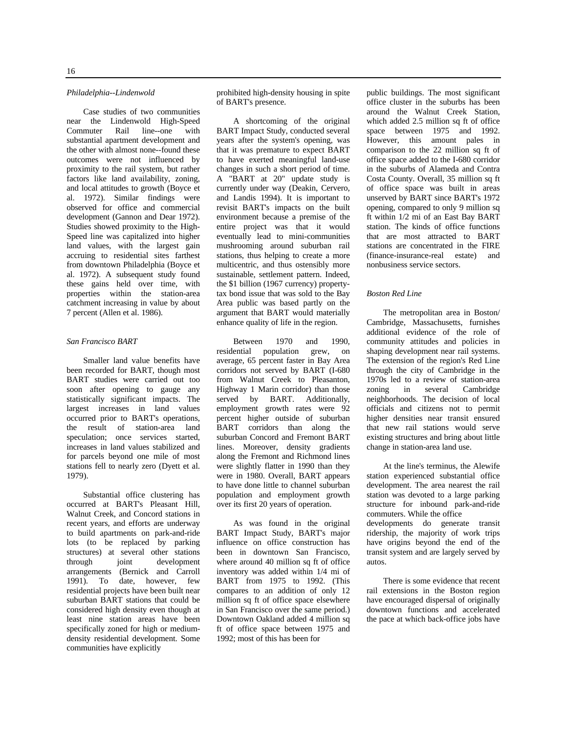#### *Philadelphia--Lindenwold*

Case studies of two communities near the Lindenwold High-Speed Commuter Rail line--one with substantial apartment development and the other with almost none--found these outcomes were not influenced by proximity to the rail system, but rather factors like land availability, zoning, and local attitudes to growth (Boyce et al. 1972). Similar findings were observed for office and commercial development (Gannon and Dear 1972). Studies showed proximity to the High-Speed line was capitalized into higher land values, with the largest gain accruing to residential sites farthest from downtown Philadelphia (Boyce et al. 1972). A subsequent study found these gains held over time, with properties within the station-area catchment increasing in value by about 7 percent (Allen et al. 1986).

#### *San Francisco BART*

Smaller land value benefits have been recorded for BART, though most BART studies were carried out too soon after opening to gauge any statistically significant impacts. The largest increases in land values occurred prior to BART's operations, the result of station-area land speculation; once services started, increases in land values stabilized and for parcels beyond one mile of most stations fell to nearly zero (Dyett et al. 1979).

Substantial office clustering has occurred at BART's Pleasant Hill, Walnut Creek, and Concord stations in recent years, and efforts are underway to build apartments on park-and-ride lots (to be replaced by parking structures) at several other stations through joint development arrangements (Bernick and Carroll 1991). To date, however, few residential projects have been built near suburban BART stations that could be considered high density even though at least nine station areas have been specifically zoned for high or mediumdensity residential development. Some communities have explicitly

prohibited high-density housing in spite of BART's presence.

A shortcoming of the original BART Impact Study, conducted several years after the system's opening, was that it was premature to expect BART to have exerted meaningful land-use changes in such a short period of time. A "BART at 20" update study is currently under way (Deakin, Cervero, and Landis 1994). It is important to revisit BART's impacts on the built environment because a premise of the entire project was that it would eventually lead to mini-communities mushrooming around suburban rail stations, thus helping to create a more multicentric, and thus ostensibly more sustainable, settlement pattern. Indeed, the \$1 billion (1967 currency) propertytax bond issue that was sold to the Bay Area public was based partly on the argument that BART would materially enhance quality of life in the region.

Between 1970 and 1990, residential population grew, on average, 65 percent faster in Bay Area corridors not served by BART (I-680 from Walnut Creek to Pleasanton, Highway 1 Marin corridor) than those served by BART. Additionally, employment growth rates were 92 percent higher outside of suburban BART corridors than along the suburban Concord and Fremont BART lines. Moreover, density gradients along the Fremont and Richmond lines were slightly flatter in 1990 than they were in 1980. Overall, BART appears to have done little to channel suburban population and employment growth over its first 20 years of operation.

As was found in the original BART Impact Study, BART's major influence on office construction has been in downtown San Francisco, where around 40 million sq ft of office inventory was added within 1/4 mi of BART from 1975 to 1992. (This compares to an addition of only 12 million sq ft of office space elsewhere in San Francisco over the same period.) Downtown Oakland added 4 million sq ft of office space between 1975 and 1992; most of this has been for

public buildings. The most significant office cluster in the suburbs has been around the Walnut Creek Station, which added 2.5 million sq ft of office space between 1975 and 1992. However, this amount pales in comparison to the 22 million sq ft of office space added to the I-680 corridor in the suburbs of Alameda and Contra Costa County. Overall, 35 million sq ft of office space was built in areas unserved by BART since BART's 1972 opening, compared to only 9 million sq ft within 1/2 mi of an East Bay BART station. The kinds of office functions that are most attracted to BART stations are concentrated in the FIRE (finance-insurance-real estate) and nonbusiness service sectors.

#### *Boston Red Line*

The metropolitan area in Boston/ Cambridge, Massachusetts, furnishes additional evidence of the role of community attitudes and policies in shaping development near rail systems. The extension of the region's Red Line through the city of Cambridge in the 1970s led to a review of station-area zoning in several Cambridge neighborhoods. The decision of local officials and citizens not to permit higher densities near transit ensured that new rail stations would serve existing structures and bring about little change in station-area land use.

At the line's terminus, the Alewife station experienced substantial office development. The area nearest the rail station was devoted to a large parking structure for inbound park-and-ride commuters. While the office developments do generate transit ridership, the majority of work trips have origins beyond the end of the transit system and are largely served by autos.

There is some evidence that recent rail extensions in the Boston region have encouraged dispersal of originally downtown functions and accelerated the pace at which back-office jobs have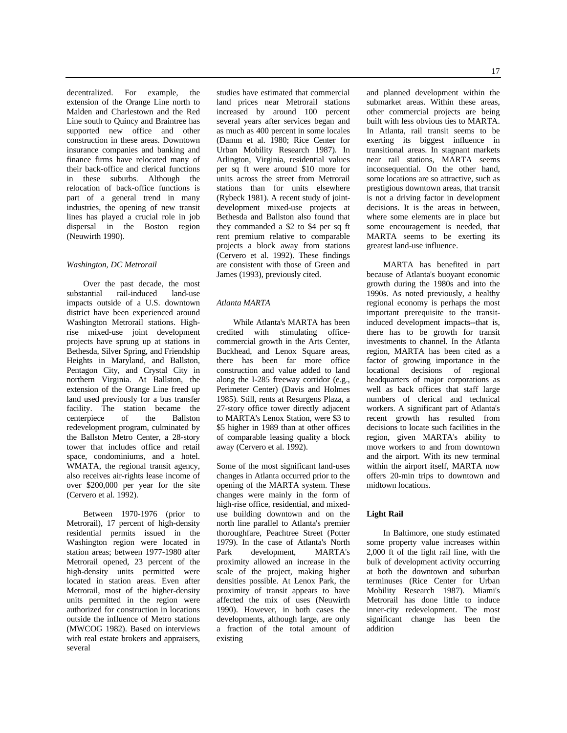decentralized. For example, the extension of the Orange Line north to Malden and Charlestown and the Red Line south to Quincy and Braintree has supported new office and other construction in these areas. Downtown insurance companies and banking and finance firms have relocated many of their back-office and clerical functions in these suburbs. Although the relocation of back-office functions is part of a general trend in many industries, the opening of new transit lines has played a crucial role in job dispersal in the Boston region (Neuwirth 1990).

#### *Washington, DC Metrorail*

Over the past decade, the most substantial rail-induced land-use impacts outside of a U.S. downtown district have been experienced around Washington Metrorail stations. Highrise mixed-use joint development projects have sprung up at stations in Bethesda, Silver Spring, and Friendship Heights in Maryland, and Ballston, Pentagon City, and Crystal City in northern Virginia. At Ballston, the extension of the Orange Line freed up land used previously for a bus transfer facility. The station became the centerpiece of the Ballston centerpiece of the Ballston redevelopment program, culminated by the Ballston Metro Center, a 28-story tower that includes office and retail space, condominiums, and a hotel. WMATA, the regional transit agency, also receives air-rights lease income of over \$200,000 per year for the site (Cervero et al. 1992).

Between 1970-1976 (prior to Metrorail), 17 percent of high-density residential permits issued in the Washington region were located in station areas; between 1977-1980 after Metrorail opened, 23 percent of the high-density units permitted were located in station areas. Even after Metrorail, most of the higher-density units permitted in the region were authorized for construction in locations outside the influence of Metro stations (MWCOG 1982). Based on interviews with real estate brokers and appraisers, several

studies have estimated that commercial land prices near Metrorail stations increased by around 100 percent several years after services began and as much as 400 percent in some locales (Damm et al. 1980; Rice Center for Urban Mobility Research 1987). In Arlington, Virginia, residential values per sq ft were around \$10 more for units across the street from Metrorail stations than for units elsewhere (Rybeck 1981). A recent study of jointdevelopment mixed-use projects at Bethesda and Ballston also found that they commanded a \$2 to \$4 per sq ft rent premium relative to comparable projects a block away from stations (Cervero et al. 1992). These findings are consistent with those of Green and James (1993), previously cited.

## *Atlanta MARTA*

While Atlanta's MARTA has been credited with stimulating officecommercial growth in the Arts Center, Buckhead, and Lenox Square areas, there has been far more office construction and value added to land along the I-285 freeway corridor (e.g., Perimeter Center) (Davis and Holmes 1985). Still, rents at Resurgens Plaza, a 27-story office tower directly adjacent to MARTA's Lenox Station, were \$3 to \$5 higher in 1989 than at other offices of comparable leasing quality a block away (Cervero et al. 1992).

Some of the most significant land-uses changes in Atlanta occurred prior to the opening of the MARTA system. These changes were mainly in the form of high-rise office, residential, and mixeduse building downtown and on the north line parallel to Atlanta's premier thoroughfare, Peachtree Street (Potter 1979). In the case of Atlanta's North Park development, MARTA's proximity allowed an increase in the scale of the project, making higher densities possible. At Lenox Park, the proximity of transit appears to have affected the mix of uses (Neuwirth 1990). However, in both cases the developments, although large, are only a fraction of the total amount of existing

and planned development within the submarket areas. Within these areas, other commercial projects are being built with less obvious ties to MARTA. In Atlanta, rail transit seems to be exerting its biggest influence in transitional areas. In stagnant markets near rail stations, MARTA seems inconsequential. On the other hand, some locations are so attractive, such as prestigious downtown areas, that transit is not a driving factor in development decisions. It is the areas in between, where some elements are in place but some encouragement is needed, that MARTA seems to be exerting its greatest land-use influence.

MARTA has benefited in part because of Atlanta's buoyant economic growth during the 1980s and into the 1990s. As noted previously, a healthy regional economy is perhaps the most important prerequisite to the transitinduced development impacts--that is, there has to be growth for transit investments to channel. In the Atlanta region, MARTA has been cited as a factor of growing importance in the locational decisions of regional headquarters of major corporations as well as back offices that staff large numbers of clerical and technical workers. A significant part of Atlanta's recent growth has resulted from decisions to locate such facilities in the region, given MARTA's ability to move workers to and from downtown and the airport. With its new terminal within the airport itself, MARTA now offers 20-min trips to downtown and midtown locations.

#### **Light Rail**

In Baltimore, one study estimated some property value increases within 2,000 ft of the light rail line, with the bulk of development activity occurring at both the downtown and suburban terminuses (Rice Center for Urban Mobility Research 1987). Miami's Metrorail has done little to induce inner-city redevelopment. The most significant change has been the addition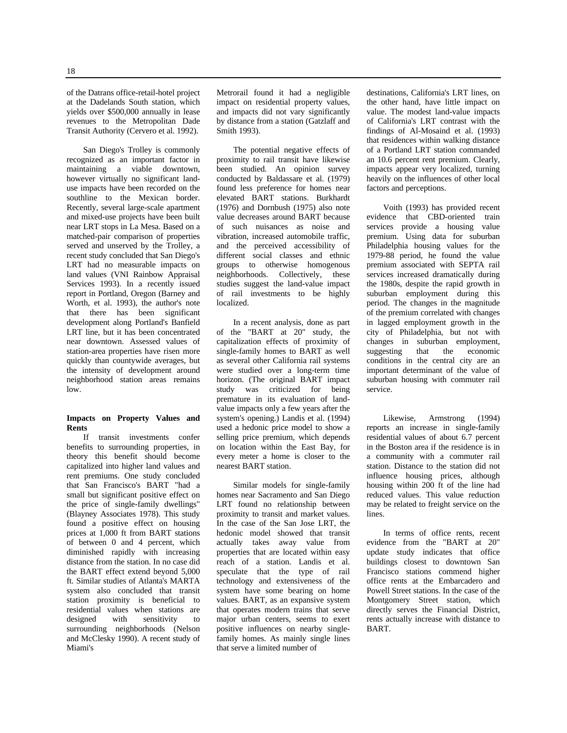of the Datrans office-retail-hotel project at the Dadelands South station, which yields over \$500,000 annually in lease revenues to the Metropolitan Dade Transit Authority (Cervero et al. 1992).

San Diego's Trolley is commonly recognized as an important factor in maintaining a viable downtown, however virtually no significant landuse impacts have been recorded on the southline to the Mexican border. Recently, several large-scale apartment and mixed-use projects have been built near LRT stops in La Mesa. Based on a matched-pair comparison of properties served and unserved by the Trolley, a recent study concluded that San Diego's LRT had no measurable impacts on land values (VNI Rainbow Appraisal Services 1993). In a recently issued report in Portland, Oregon (Barney and Worth, et al. 1993), the author's note that there has been significant development along Portland's Banfield LRT line, but it has been concentrated near downtown. Assessed values of station-area properties have risen more quickly than countywide averages, but the intensity of development around neighborhood station areas remains low.

## **Impacts on Property Values and Rents**

If transit investments confer benefits to surrounding properties, in theory this benefit should become capitalized into higher land values and rent premiums. One study concluded that San Francisco's BART "had a small but significant positive effect on the price of single-family dwellings" (Blayney Associates 1978). This study found a positive effect on housing prices at 1,000 ft from BART stations of between 0 and 4 percent, which diminished rapidly with increasing distance from the station. In no case did the BART effect extend beyond 5,000 ft. Similar studies of Atlanta's MARTA system also concluded that transit station proximity is beneficial to residential values when stations are designed with sensitivity to surrounding neighborhoods (Nelson and McClesky 1990). A recent study of Miami's

Metrorail found it had a negligible impact on residential property values, and impacts did not vary significantly by distance from a station (Gatzlaff and Smith 1993).

The potential negative effects of proximity to rail transit have likewise been studied. An opinion survey conducted by Baldassare et al. (1979) found less preference for homes near elevated BART stations. Burkhardt (1976) and Dornbush (1975) also note value decreases around BART because of such nuisances as noise and vibration, increased automobile traffic, and the perceived accessibility of different social classes and ethnic groups to otherwise homogenous neighborhoods. Collectively, these studies suggest the land-value impact of rail investments to be highly localized.

In a recent analysis, done as part of the "BART at 20" study, the capitalization effects of proximity of single-family homes to BART as well as several other California rail systems were studied over a long-term time horizon. (The original BART impact study was criticized for being premature in its evaluation of landvalue impacts only a few years after the system's opening.) Landis et al. (1994) used a hedonic price model to show a selling price premium, which depends on location within the East Bay, for every meter a home is closer to the nearest BART station.

Similar models for single-family homes near Sacramento and San Diego LRT found no relationship between proximity to transit and market values. In the case of the San Jose LRT, the hedonic model showed that transit actually takes away value from properties that are located within easy reach of a station. Landis et al. speculate that the type of rail technology and extensiveness of the system have some bearing on home values. BART, as an expansive system that operates modern trains that serve major urban centers, seems to exert positive influences on nearby singlefamily homes. As mainly single lines that serve a limited number of

destinations, California's LRT lines, on the other hand, have little impact on value. The modest land-value impacts of California's LRT contrast with the findings of Al-Mosaind et al. (1993) that residences within walking distance of a Portland LRT station commanded an 10.6 percent rent premium. Clearly, impacts appear very localized, turning heavily on the influences of other local factors and perceptions.

Voith (1993) has provided recent evidence that CBD-oriented train services provide a housing value premium. Using data for suburban Philadelphia housing values for the 1979-88 period, he found the value premium associated with SEPTA rail services increased dramatically during the 1980s, despite the rapid growth in suburban employment during this period. The changes in the magnitude of the premium correlated with changes in lagged employment growth in the city of Philadelphia, but not with changes in suburban employment, suggesting that the economic conditions in the central city are an important determinant of the value of suburban housing with commuter rail service.

Likewise, Armstrong (1994) reports an increase in single-family residential values of about 6.7 percent in the Boston area if the residence is in a community with a commuter rail station. Distance to the station did not influence housing prices, although housing within 200 ft of the line had reduced values. This value reduction may be related to freight service on the lines.

In terms of office rents, recent evidence from the "BART at 20" update study indicates that office buildings closest to downtown San Francisco stations commend higher office rents at the Embarcadero and Powell Street stations. In the case of the Montgomery Street station, which directly serves the Financial District, rents actually increase with distance to BART.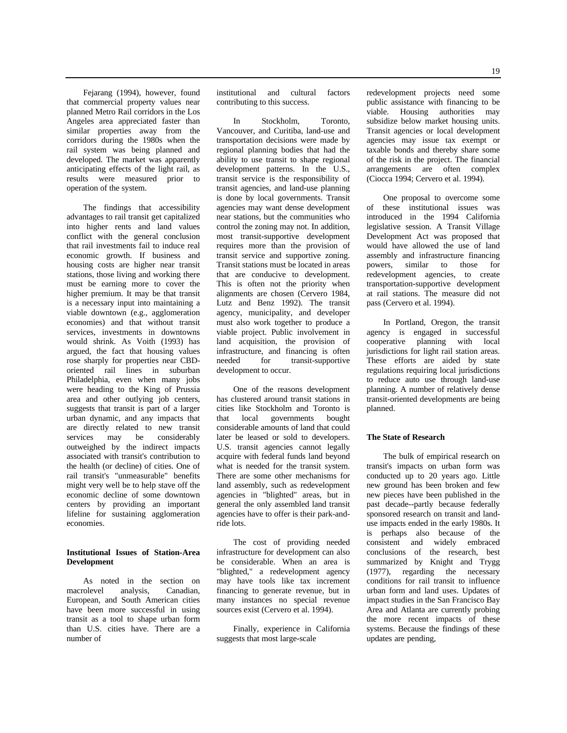Fejarang (1994), however, found that commercial property values near planned Metro Rail corridors in the Los Angeles area appreciated faster than similar properties away from the corridors during the 1980s when the rail system was being planned and developed. The market was apparently anticipating effects of the light rail, as results were measured prior to operation of the system.

The findings that accessibility advantages to rail transit get capitalized into higher rents and land values conflict with the general conclusion that rail investments fail to induce real economic growth. If business and housing costs are higher near transit stations, those living and working there must be earning more to cover the higher premium. It may be that transit is a necessary input into maintaining a viable downtown (e.g., agglomeration economies) and that without transit services, investments in downtowns would shrink. As Voith (1993) has argued, the fact that housing values rose sharply for properties near CBDoriented rail lines in suburban Philadelphia, even when many jobs were heading to the King of Prussia area and other outlying job centers, suggests that transit is part of a larger urban dynamic, and any impacts that are directly related to new transit services may be considerably outweighed by the indirect impacts associated with transit's contribution to the health (or decline) of cities. One of rail transit's "unmeasurable" benefits might very well be to help stave off the economic decline of some downtown centers by providing an important lifeline for sustaining agglomeration economies.

## **Institutional Issues of Station-Area Development**

As noted in the section on macrolevel analysis, Canadian, European, and South American cities have been more successful in using transit as a tool to shape urban form than U.S. cities have. There are a number of

institutional and cultural factors contributing to this success.

In Stockholm, Toronto, Vancouver, and Curitiba, land-use and transportation decisions were made by regional planning bodies that had the ability to use transit to shape regional development patterns. In the U.S., transit service is the responsibility of transit agencies, and land-use planning is done by local governments. Transit agencies may want dense development near stations, but the communities who control the zoning may not. In addition, most transit-supportive development requires more than the provision of transit service and supportive zoning. Transit stations must be located in areas that are conducive to development. This is often not the priority when alignments are chosen (Cervero 1984, Lutz and Benz 1992). The transit agency, municipality, and developer must also work together to produce a viable project. Public involvement in land acquisition, the provision of infrastructure, and financing is often needed for transit-supportive development to occur.

One of the reasons development has clustered around transit stations in cities like Stockholm and Toronto is<br>that local governments bought governments bought considerable amounts of land that could later be leased or sold to developers. U.S. transit agencies cannot legally acquire with federal funds land beyond what is needed for the transit system. There are some other mechanisms for land assembly, such as redevelopment agencies in "blighted" areas, but in general the only assembled land transit agencies have to offer is their park-andride lots.

The cost of providing needed infrastructure for development can also be considerable. When an area is "blighted," a redevelopment agency may have tools like tax increment financing to generate revenue, but in many instances no special revenue sources exist (Cervero et al. 1994).

Finally, experience in California suggests that most large-scale

redevelopment projects need some public assistance with financing to be viable. Housing authorities may subsidize below market housing units. Transit agencies or local development agencies may issue tax exempt or taxable bonds and thereby share some of the risk in the project. The financial arrangements are often complex (Ciocca 1994; Cervero et al. 1994).

One proposal to overcome some of these institutional issues was introduced in the 1994 California legislative session. A Transit Village Development Act was proposed that would have allowed the use of land assembly and infrastructure financing powers, similar to those for redevelopment agencies, to create transportation-supportive development at rail stations. The measure did not pass (Cervero et al. 1994).

In Portland, Oregon, the transit agency is engaged in successful cooperative planning with local jurisdictions for light rail station areas. These efforts are aided by state regulations requiring local jurisdictions to reduce auto use through land-use planning. A number of relatively dense transit-oriented developments are being planned.

#### **The State of Research**

The bulk of empirical research on transit's impacts on urban form was conducted up to 20 years ago. Little new ground has been broken and few new pieces have been published in the past decade--partly because federally sponsored research on transit and landuse impacts ended in the early 1980s. It is perhaps also because of the consistent and widely embraced conclusions of the research, best summarized by Knight and Trygg (1977), regarding the necessary conditions for rail transit to influence urban form and land uses. Updates of impact studies in the San Francisco Bay Area and Atlanta are currently probing the more recent impacts of these systems. Because the findings of these updates are pending,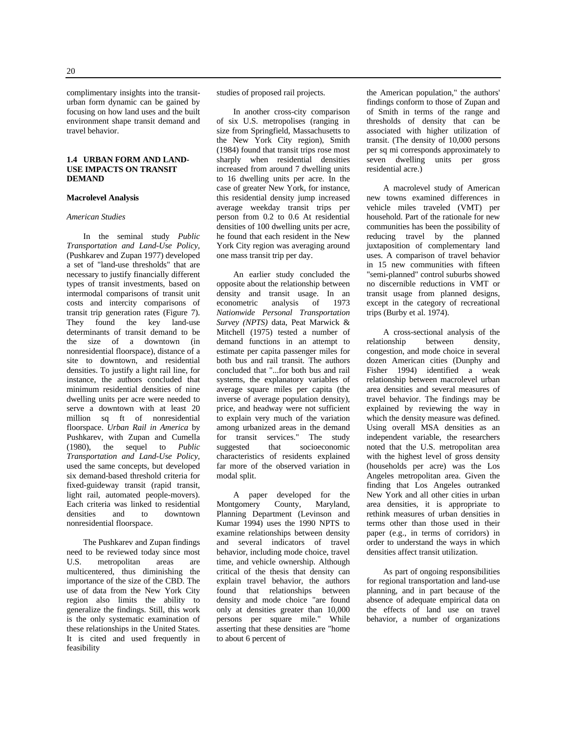complimentary insights into the transiturban form dynamic can be gained by focusing on how land uses and the built environment shape transit demand and travel behavior.

## **1.4 URBAN FORM AND LAND-USE IMPACTS ON TRANSIT DEMAND**

#### **Macrolevel Analysis**

#### *American Studies*

In the seminal study *Public Transportation and Land-Use Policy,* (Pushkarev and Zupan 1977) developed a set of "land-use thresholds" that are necessary to justify financially different types of transit investments, based on intermodal comparisons of transit unit costs and intercity comparisons of transit trip generation rates (Figure 7). They found the key land-use determinants of transit demand to be the size of a downtown (in nonresidential floorspace), distance of a site to downtown, and residential densities. To justify a light rail line, for instance, the authors concluded that minimum residential densities of nine dwelling units per acre were needed to serve a downtown with at least 20 million sq ft of nonresidential floorspace. *Urban Rail in America* by Pushkarev, with Zupan and Cumella (1980), the sequel to *Public Transportation and Land-Use Policy,* used the same concepts, but developed six demand-based threshold criteria for fixed-guideway transit (rapid transit, light rail, automated people-movers). Each criteria was linked to residential<br>densities and to downtown to downtown nonresidential floorspace.

The Pushkarev and Zupan findings need to be reviewed today since most U.S. metropolitan areas are multicentered, thus diminishing the importance of the size of the CBD. The use of data from the New York City region also limits the ability to generalize the findings. Still, this work is the only systematic examination of these relationships in the United States. It is cited and used frequently in feasibility

studies of proposed rail projects.

In another cross-city comparison of six U.S. metropolises (ranging in size from Springfield, Massachusetts to the New York City region), Smith (1984) found that transit trips rose most sharply when residential densities increased from around 7 dwelling units to 16 dwelling units per acre. In the case of greater New York, for instance, this residential density jump increased average weekday transit trips per person from 0.2 to 0.6 At residential densities of 100 dwelling units per acre, he found that each resident in the New York City region was averaging around one mass transit trip per day.

An earlier study concluded the opposite about the relationship between density and transit usage. In an econometric analysis of 1973 *Nationwide Personal Transportation Survey (NPTS)* data, Peat Marwick & Mitchell (1975) tested a number of demand functions in an attempt to estimate per capita passenger miles for both bus and rail transit. The authors concluded that "...for both bus and rail systems, the explanatory variables of average square miles per capita (the inverse of average population density), price, and headway were not sufficient to explain very much of the variation among urbanized areas in the demand for transit services." The study suggested that socioeconomic characteristics of residents explained far more of the observed variation in modal split.

A paper developed for the<br>Montgomery County, Maryland, County, Maryland, Planning Department (Levinson and Kumar 1994) uses the 1990 NPTS to examine relationships between density and several indicators of travel behavior, including mode choice, travel time, and vehicle ownership. Although critical of the thesis that density can explain travel behavior, the authors found that relationships between density and mode choice "are found only at densities greater than 10,000 persons per square mile." While asserting that these densities are "home to about 6 percent of

the American population," the authors' findings conform to those of Zupan and of Smith in terms of the range and thresholds of density that can be associated with higher utilization of transit. (The density of 10,000 persons per sq mi corresponds approximately to seven dwelling units per gross residential acre.)

A macrolevel study of American new towns examined differences in vehicle miles traveled (VMT) per household. Part of the rationale for new communities has been the possibility of reducing travel by the planned juxtaposition of complementary land uses. A comparison of travel behavior in 15 new communities with fifteen "semi-planned" control suburbs showed no discernible reductions in VMT or transit usage from planned designs, except in the category of recreational trips (Burby et al. 1974).

A cross-sectional analysis of the relationship between density, congestion, and mode choice in several dozen American cities (Dunphy and Fisher 1994) identified a weak relationship between macrolevel urban area densities and several measures of travel behavior. The findings may be explained by reviewing the way in which the density measure was defined. Using overall MSA densities as an independent variable, the researchers noted that the U.S. metropolitan area with the highest level of gross density (households per acre) was the Los Angeles metropolitan area. Given the finding that Los Angeles outranked New York and all other cities in urban area densities, it is appropriate to rethink measures of urban densities in terms other than those used in their paper (e.g., in terms of corridors) in order to understand the ways in which densities affect transit utilization.

As part of ongoing responsibilities for regional transportation and land-use planning, and in part because of the absence of adequate empirical data on the effects of land use on travel behavior, a number of organizations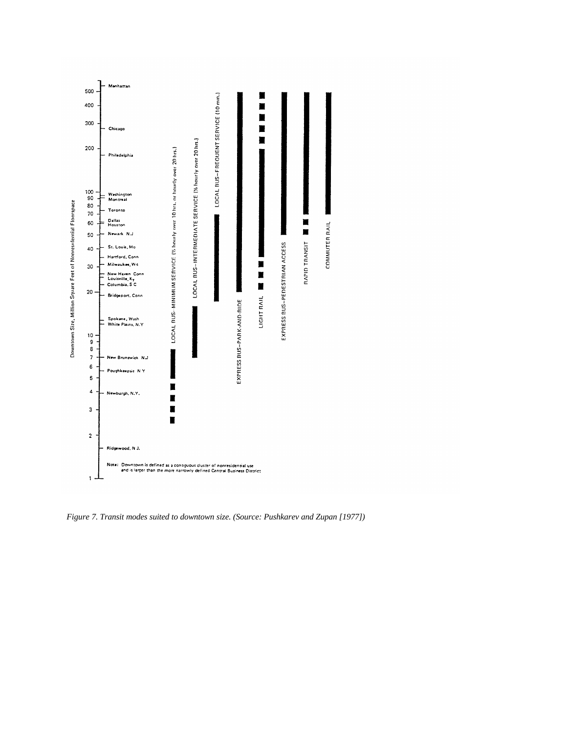

*Figure 7. Transit modes suited to downtown size. (Source: Pushkarev and Zupan [1977])*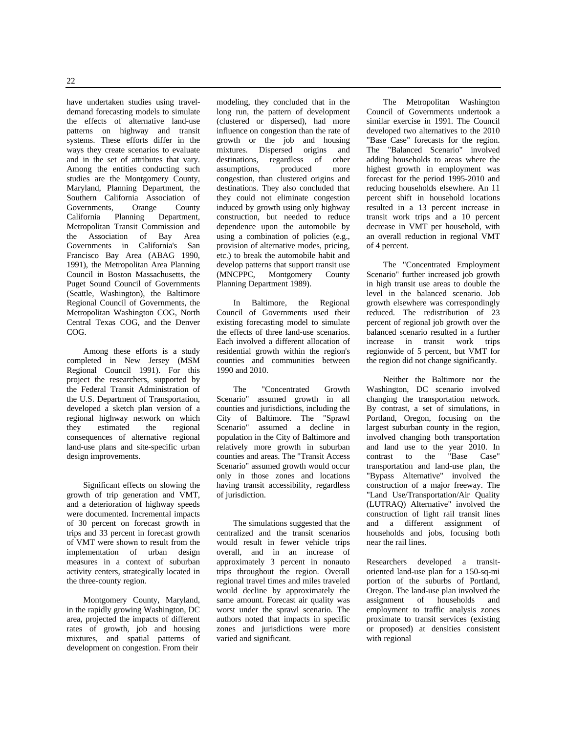22

have undertaken studies using traveldemand forecasting models to simulate the effects of alternative land-use patterns on highway and transit systems. These efforts differ in the ways they create scenarios to evaluate and in the set of attributes that vary. Among the entities conducting such studies are the Montgomery County, Maryland, Planning Department, the Southern California Association of Governments, Orange County California Planning Department, Metropolitan Transit Commission and the Association of Bay Area Governments in California's San Francisco Bay Area (ABAG 1990, 1991), the Metropolitan Area Planning Council in Boston Massachusetts, the Puget Sound Council of Governments (Seattle, Washington), the Baltimore Regional Council of Governments, the Metropolitan Washington COG, North Central Texas COG, and the Denver COG.

Among these efforts is a study completed in New Jersey (MSM Regional Council 1991). For this project the researchers, supported by the Federal Transit Administration of the U.S. Department of Transportation, developed a sketch plan version of a regional highway network on which<br>they estimated the regional they estimated the regional consequences of alternative regional land-use plans and site-specific urban design improvements.

Significant effects on slowing the growth of trip generation and VMT, and a deterioration of highway speeds were documented. Incremental impacts of 30 percent on forecast growth in trips and 33 percent in forecast growth of VMT were shown to result from the implementation of urban design measures in a context of suburban activity centers, strategically located in the three-county region.

Montgomery County, Maryland, in the rapidly growing Washington, DC area, projected the impacts of different rates of growth, job and housing mixtures, and spatial patterns of development on congestion. From their

modeling, they concluded that in the long run, the pattern of development (clustered or dispersed), had more influence on congestion than the rate of growth or the job and housing mixtures. Dispersed origins and destinations, regardless of other assumptions, produced more congestion, than clustered origins and destinations. They also concluded that they could not eliminate congestion induced by growth using only highway construction, but needed to reduce dependence upon the automobile by using a combination of policies (e.g., provision of alternative modes, pricing, etc.) to break the automobile habit and develop patterns that support transit use<br>(MNCPPC, Montgomery County (MNCPPC, Montgomery Planning Department 1989).

In Baltimore, the Regional Council of Governments used their existing forecasting model to simulate the effects of three land-use scenarios. Each involved a different allocation of residential growth within the region's counties and communities between 1990 and 2010.

The "Concentrated Growth Scenario" assumed growth in all counties and jurisdictions, including the City of Baltimore. The "Sprawl Scenario" assumed a decline in population in the City of Baltimore and relatively more growth in suburban counties and areas. The "Transit Access Scenario" assumed growth would occur only in those zones and locations having transit accessibility, regardless of jurisdiction.

The simulations suggested that the centralized and the transit scenarios would result in fewer vehicle trips overall, and in an increase of approximately 3 percent in nonauto trips throughout the region. Overall regional travel times and miles traveled would decline by approximately the same amount. Forecast air quality was worst under the sprawl scenario. The authors noted that impacts in specific zones and jurisdictions were more varied and significant.

The Metropolitan Washington Council of Governments undertook a similar exercise in 1991. The Council developed two alternatives to the 2010 "Base Case" forecasts for the region. The "Balanced Scenario" involved adding households to areas where the highest growth in employment was forecast for the period 1995-2010 and reducing households elsewhere. An 11 percent shift in household locations resulted in a 13 percent increase in transit work trips and a 10 percent decrease in VMT per household, with an overall reduction in regional VMT of 4 percent.

The "Concentrated Employment Scenario" further increased job growth in high transit use areas to double the level in the balanced scenario. Job growth elsewhere was correspondingly reduced. The redistribution of 23 percent of regional job growth over the balanced scenario resulted in a further increase in transit work trips regionwide of 5 percent, but VMT for the region did not change significantly.

Neither the Baltimore nor the Washington, DC scenario involved changing the transportation network. By contrast, a set of simulations, in Portland, Oregon, focusing on the largest suburban county in the region, involved changing both transportation and land use to the year 2010. In contrast to the "Base Case" transportation and land-use plan, the "Bypass Alternative" involved the construction of a major freeway. The "Land Use/Transportation/Air Quality (LUTRAQ) Alternative" involved the construction of light rail transit lines and a different assignment of households and jobs, focusing both near the rail lines.

Researchers developed a transitoriented land-use plan for a 150-sq-mi portion of the suburbs of Portland, Oregon. The land-use plan involved the assignment of households and employment to traffic analysis zones proximate to transit services (existing or proposed) at densities consistent with regional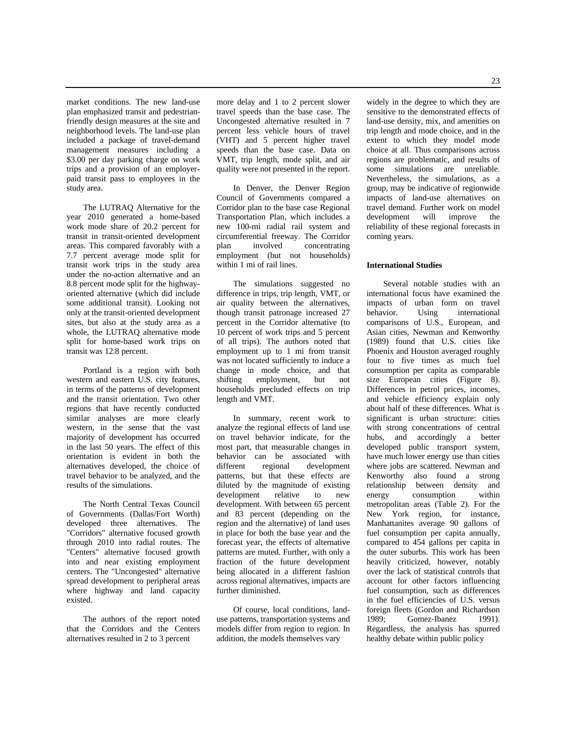market conditions. The new land-use plan emphasized transit and pedestrianfriendly design measures at the site and neighborhood levels. The land-use plan included a package of travel-demand management measures including a \$3.00 per day parking charge on work trips and a provision of an employerpaid transit pass to employees in the study area.

The LUTRAQ Alternative for the year 2010 generated a home-based work mode share of 20.2 percent for transit in transit-oriented development areas. This compared favorably with a 7.7 percent average mode split for transit work trips in the study area under the no-action alternative and an 8.8 percent mode split for the highwayoriented alternative (which did include some additional transit). Looking not only at the transit-oriented development sites, but also at the study area as a whole, the LUTRAQ alternative mode split for home-based work trips on transit was 12.8 percent.

Portland is a region with both western and eastern U.S. city features, in terms of the patterns of development and the transit orientation. Two other regions that have recently conducted similar analyses are more clearly western, in the sense that the vast majority of development has occurred in the last 50 years. The effect of this orientation is evident in both the alternatives developed, the choice of travel behavior to be analyzed, and the results of the simulations.

The North Central Texas Council of Governments (Dallas/Fort Worth) developed three alternatives. The "Corridors" alternative focused growth through 2010 into radial routes. The "Centers" alternative focused growth into and near existing employment centers. The "Uncongested" alternative spread development to peripheral areas where highway and land capacity existed.

The authors of the report noted that the Corridors and the Centers alternatives resulted in 2 to 3 percent

more delay and 1 to 2 percent slower travel speeds than the base case. The Uncongested alternative resulted in 7 percent less vehicle hours of travel (VHT) and 5 percent higher travel speeds than the base case. Data on VMT, trip length, mode split, and air quality were not presented in the report.

In Denver, the Denver Region Council of Governments compared a Corridor plan to the base case Regional Transportation Plan, which includes a new 100-mi radial rail system and circumferential freeway. The Corridor plan involved concentrating employment (but not households) within 1 mi of rail lines.

The simulations suggested no difference in trips, trip length, VMT, or air quality between the alternatives, though transit patronage increased 27 percent in the Corridor alternative (to 10 percent of work trips and 5 percent of all trips). The authors noted that employment up to 1 mi from transit was not located sufficiently to induce a change in mode choice, and that shifting employment, but not households precluded effects on trip length and VMT.

In summary, recent work to analyze the regional effects of land use on travel behavior indicate, for the most part, that measurable changes in behavior can be associated with different regional development patterns, but that these effects are diluted by the magnitude of existing development relative to new development. With between 65 percent and 83 percent (depending on the region and the alternative) of land uses in place for both the base year and the forecast year, the effects of alternative patterns are muted. Further, with only a fraction of the future development being allocated in a different fashion across regional alternatives, impacts are further diminished.

Of course, local conditions, landuse patterns, transportation systems and models differ from region to region. In addition, the models themselves vary

widely in the degree to which they are sensitive to the demonstrated effects of land-use density, mix, and amenities on trip length and mode choice, and in the extent to which they model mode choice at all. Thus comparisons across regions are problematic, and results of some simulations are unreliable. Nevertheless, the simulations, as a group, may be indicative of regionwide impacts of land-use alternatives on travel demand. Further work on model development will improve the reliability of these regional forecasts in coming years.

#### **International Studies**

Several notable studies with an international focus have examined the impacts of urban form on travel behavior. Using international comparisons of U.S., European, and Asian cities, Newman and Kenworthy (1989) found that U.S. cities like Phoenix and Houston averaged roughly four to five times as much fuel consumption per capita as comparable size European cities (Figure 8). Differences in petrol prices, incomes, and vehicle efficiency explain only about half of these differences. What is significant is urban structure: cities with strong concentrations of central hubs, and accordingly a better developed public transport system, have much lower energy use than cities where jobs are scattered. Newman and Kenworthy also found a strong relationship between density and energy consumption within metropolitan areas (Table 2). For the New York region, for instance, Manhattanites average 90 gallons of fuel consumption per capita annually, compared to 454 gallons per capita in the outer suburbs. This work has been heavily criticized, however, notably over the lack of statistical controls that account for other factors influencing fuel consumption, such as differences in the fuel efficiencies of U.S. versus foreign fleets (Gordon and Richardson 1989; Gomez-Ibanez 1991). Regardless, the analysis has spurred healthy debate within public policy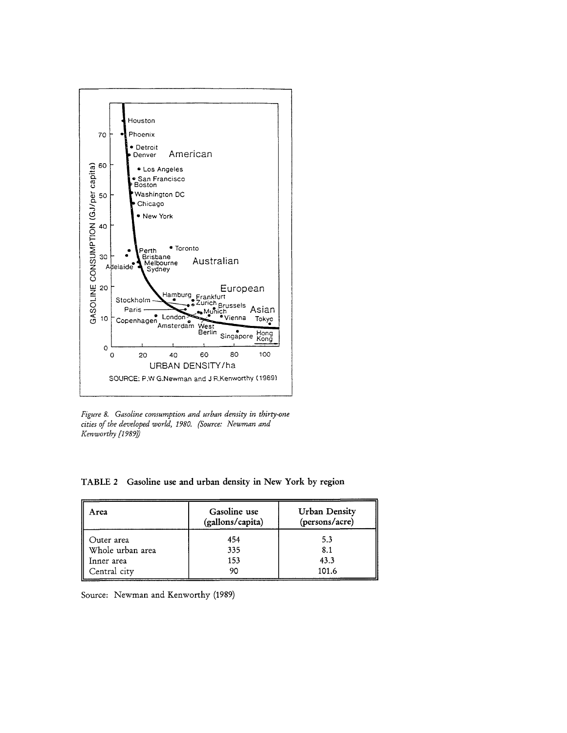

Figure 8. Gasoline consumption and urban density in thirty-one cities of the developed world, 1980. (Source: Newman and Kenworthy [1989])

TABLE 2 Gasoline use and urban density in New York by region

| Area                  | Gasoline use<br>(gallons/capita) | <b>Urban Density</b><br>(persons/acre) |
|-----------------------|----------------------------------|----------------------------------------|
| Outer area            | 454                              | 5.3                                    |
| ∥<br>Whole urban area | 335                              | 8.1                                    |
| Inner area            | 153                              | 43.3                                   |
| Central city          | 90                               | 101.6                                  |

Source: Newman and Kenworthy (1989)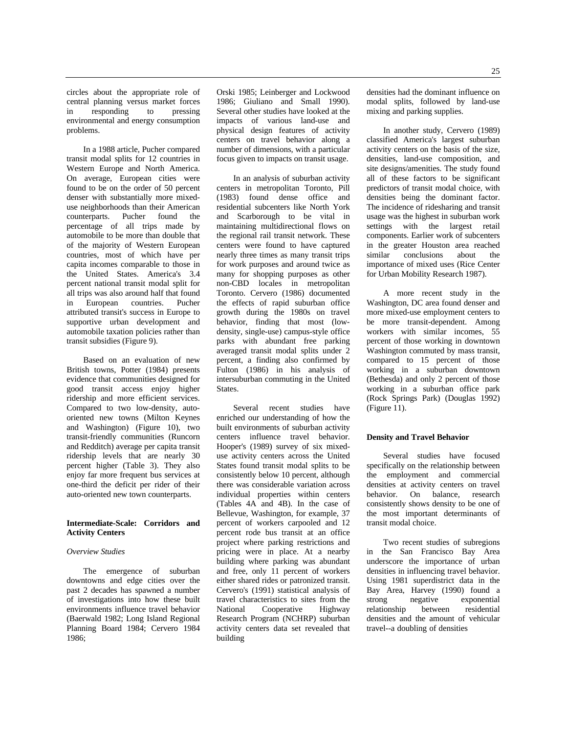circles about the appropriate role of central planning versus market forces<br>in responding to pressing in responding to pressing environmental and energy consumption problems.

In a 1988 article, Pucher compared transit modal splits for 12 countries in Western Europe and North America. On average, European cities were found to be on the order of 50 percent denser with substantially more mixeduse neighborhoods than their American<br>counterparts. Pucher found the counterparts. Pucher found the percentage of all trips made by automobile to be more than double that of the majority of Western European countries, most of which have per capita incomes comparable to those in the United States. America's 3.4 percent national transit modal split for all trips was also around half that found in European countries. Pucher attributed transit's success in Europe to supportive urban development and automobile taxation policies rather than transit subsidies (Figure 9).

Based on an evaluation of new British towns, Potter (1984) presents evidence that communities designed for good transit access enjoy higher ridership and more efficient services. Compared to two low-density, autooriented new towns (Milton Keynes and Washington) (Figure 10), two transit-friendly communities (Runcorn and Redditch) average per capita transit ridership levels that are nearly 30 percent higher (Table 3). They also enjoy far more frequent bus services at one-third the deficit per rider of their auto-oriented new town counterparts.

## **Intermediate-Scale: Corridors and Activity Centers**

#### *Overview Studies*

The emergence of suburban downtowns and edge cities over the past 2 decades has spawned a number of investigations into how these built environments influence travel behavior (Baerwald 1982; Long Island Regional Planning Board 1984; Cervero 1984 1986;

Orski 1985; Leinberger and Lockwood 1986; Giuliano and Small 1990). Several other studies have looked at the impacts of various land-use and physical design features of activity centers on travel behavior along a number of dimensions, with a particular focus given to impacts on transit usage.

In an analysis of suburban activity centers in metropolitan Toronto, Pill (1983) found dense office and residential subcenters like North York and Scarborough to be vital in maintaining multidirectional flows on the regional rail transit network. These centers were found to have captured nearly three times as many transit trips for work purposes and around twice as many for shopping purposes as other non-CBD locales in metropolitan Toronto. Cervero (1986) documented the effects of rapid suburban office growth during the 1980s on travel behavior, finding that most (lowdensity, single-use) campus-style office parks with abundant free parking averaged transit modal splits under 2 percent, a finding also confirmed by Fulton (1986) in his analysis of intersuburban commuting in the United States.

Several recent studies have enriched our understanding of how the built environments of suburban activity centers influence travel behavior. Hooper's (1989) survey of six mixeduse activity centers across the United States found transit modal splits to be consistently below 10 percent, although there was considerable variation across individual properties within centers (Tables 4A and 4B). In the case of Bellevue, Washington, for example, 37 percent of workers carpooled and 12 percent rode bus transit at an office project where parking restrictions and pricing were in place. At a nearby building where parking was abundant and free, only 11 percent of workers either shared rides or patronized transit. Cervero's (1991) statistical analysis of travel characteristics to sites from the National Cooperative Highway Research Program (NCHRP) suburban activity centers data set revealed that building

densities had the dominant influence on modal splits, followed by land-use mixing and parking supplies.

In another study, Cervero (1989) classified America's largest suburban activity centers on the basis of the size, densities, land-use composition, and site designs/amenities. The study found all of these factors to be significant predictors of transit modal choice, with densities being the dominant factor. The incidence of ridesharing and transit usage was the highest in suburban work settings with the largest retail components. Earlier work of subcenters in the greater Houston area reached<br>similar conclusions about the conclusions importance of mixed uses (Rice Center for Urban Mobility Research 1987).

A more recent study in the Washington, DC area found denser and more mixed-use employment centers to be more transit-dependent. Among workers with similar incomes, 55 percent of those working in downtown Washington commuted by mass transit, compared to 15 percent of those working in a suburban downtown (Bethesda) and only 2 percent of those working in a suburban office park (Rock Springs Park) (Douglas 1992) (Figure 11).

#### **Density and Travel Behavior**

Several studies have focused specifically on the relationship between the employment and commercial densities at activity centers on travel<br>behavior. On balance, research On balance, research consistently shows density to be one of the most important determinants of transit modal choice.

Two recent studies of subregions in the San Francisco Bay Area underscore the importance of urban densities in influencing travel behavior. Using 1981 superdistrict data in the Bay Area, Harvey (1990) found a strong negative exponential negative exponential relationship between residential densities and the amount of vehicular travel--a doubling of densities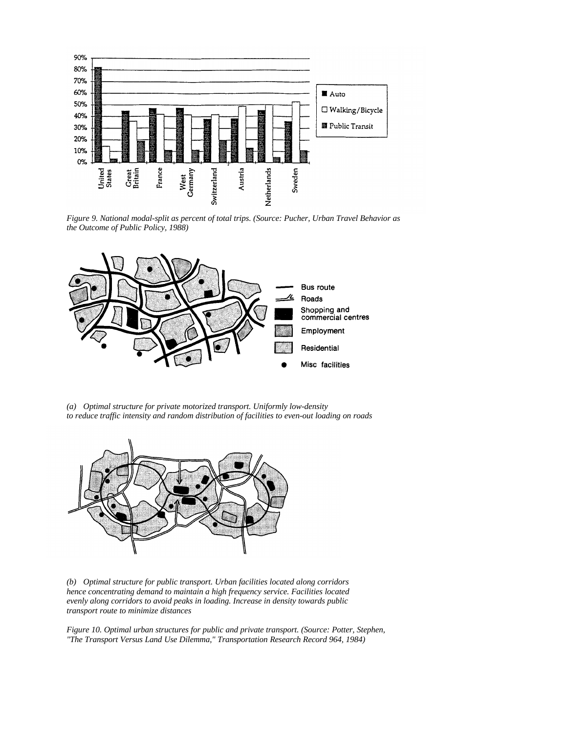

*Figure 9. National modal-split as percent of total trips. (Source: Pucher, Urban Travel Behavior as the Outcome of Public Policy, 1988)*



*(a) Optimal structure for private motorized transport. Uniformly low-density to reduce traffic intensity and random distribution of facilities to even-out loading on roads*



*(b) Optimal structure for public transport. Urban facilities located along corridors hence concentrating demand to maintain a high frequency service. Facilities located evenly along corridors to avoid peaks in loading. Increase in density towards public transport route to minimize distances*

*Figure 10. Optimal urban structures for public and private transport. (Source: Potter, Stephen, "The Transport Versus Land Use Dilemma," Transportation Research Record 964, 1984)*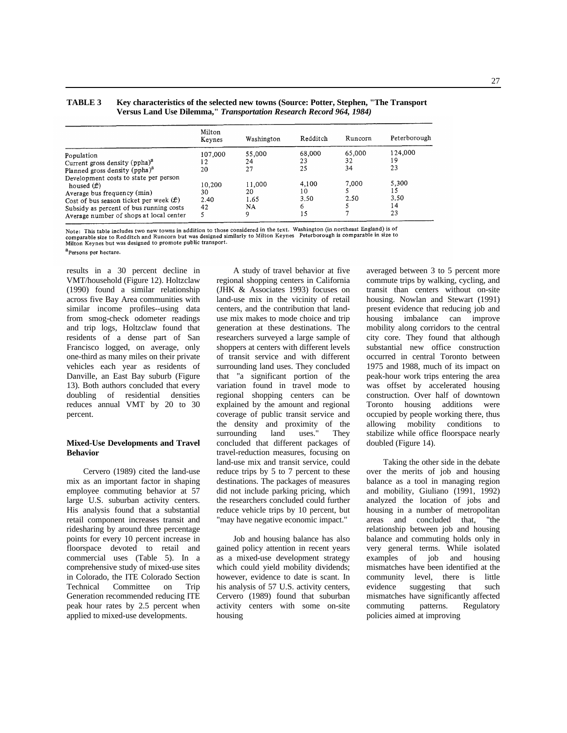## **TABLE 3 Key characteristics of the selected new towns (Source: Potter, Stephen, "The Transport Versus Land Use Dilemma,"** *Transportation Research Record 964, 1984)*

|                                                                                                                                                                                                                        | Milton<br>Keynes           | Washington                       | Redditch                       | Runcorn       | Peterborough                    |
|------------------------------------------------------------------------------------------------------------------------------------------------------------------------------------------------------------------------|----------------------------|----------------------------------|--------------------------------|---------------|---------------------------------|
| Population<br>Current gross density (ppha) <sup>a</sup>                                                                                                                                                                | 107,000<br>12              | 55,000<br>24                     | 68,000<br>23                   | 65,000<br>32  | 124,000<br>19                   |
| Planned gross density (ppha) <sup>a</sup>                                                                                                                                                                              | 20                         | 27                               | 25                             | 34            | 23                              |
| Development costs to state per person<br>housed $(f)$<br>Average bus frequency (min)<br>Cost of bus season ticket per week $(f)$<br>Subsidy as percent of bus running costs<br>Average number of shops at local center | 10,200<br>30<br>2.40<br>42 | 11,000<br>20<br>1.65<br>NA.<br>9 | 4.100<br>10<br>3.50<br>6<br>15 | 7,000<br>2.50 | 5,300<br>15<br>3.50<br>14<br>23 |

Note: This table includes two new towns in addition to those considered in the text. Washington (in northeast England) is of comparable size to Redditch and Runcorn but was designed similarly to Milton Keynes Peterborough is comparable in size to Redditch and Runcorn but was designed similarly to Milton Keynes Peterborough is comparable in size Milton Keynes but was designed to promote public transport.

<sup>a</sup> Persons per hectare.

results in a 30 percent decline in VMT/household (Figure 12). Holtzclaw (1990) found a similar relationship across five Bay Area communities with similar income profiles--using data from smog-check odometer readings and trip logs, Holtzclaw found that residents of a dense part of San Francisco logged, on average, only one-third as many miles on their private vehicles each year as residents of Danville, an East Bay suburb (Figure 13). Both authors concluded that every doubling of residential densities reduces annual VMT by 20 to 30 percent.

#### **Mixed-Use Developments and Travel Behavior**

Cervero (1989) cited the land-use mix as an important factor in shaping employee commuting behavior at 57 large U.S. suburban activity centers. His analysis found that a substantial retail component increases transit and ridesharing by around three percentage points for every 10 percent increase in floorspace devoted to retail and commercial uses (Table 5). In a comprehensive study of mixed-use sites in Colorado, the ITE Colorado Section Technical Committee on Trip Generation recommended reducing ITE peak hour rates by 2.5 percent when applied to mixed-use developments.

A study of travel behavior at five regional shopping centers in California (JHK & Associates 1993) focuses on land-use mix in the vicinity of retail centers, and the contribution that landuse mix makes to mode choice and trip generation at these destinations. The researchers surveyed a large sample of shoppers at centers with different levels of transit service and with different surrounding land uses. They concluded that "a significant portion of the variation found in travel mode to regional shopping centers can be explained by the amount and regional coverage of public transit service and the density and proximity of the surrounding land uses." They surrounding land concluded that different packages of travel-reduction measures, focusing on land-use mix and transit service, could reduce trips by 5 to 7 percent to these destinations. The packages of measures did not include parking pricing, which the researchers concluded could further reduce vehicle trips by 10 percent, but "may have negative economic impact."

Job and housing balance has also gained policy attention in recent years as a mixed-use development strategy which could yield mobility dividends; however, evidence to date is scant. In his analysis of 57 U.S. activity centers, Cervero (1989) found that suburban activity centers with some on-site housing

averaged between 3 to 5 percent more commute trips by walking, cycling, and transit than centers without on-site housing. Nowlan and Stewart (1991) present evidence that reducing job and housing imbalance can improve mobility along corridors to the central city core. They found that although substantial new office construction occurred in central Toronto between 1975 and 1988, much of its impact on peak-hour work trips entering the area was offset by accelerated housing construction. Over half of downtown Toronto housing additions were occupied by people working there, thus allowing mobility conditions to stabilize while office floorspace nearly doubled (Figure 14).

Taking the other side in the debate over the merits of job and housing balance as a tool in managing region and mobility, Giuliano (1991, 1992) analyzed the location of jobs and housing in a number of metropolitan areas and concluded that, "the relationship between job and housing balance and commuting holds only in very general terms. While isolated examples of job and housing mismatches have been identified at the community level, there is little evidence suggesting that such mismatches have significantly affected commuting patterns. Regulatory policies aimed at improving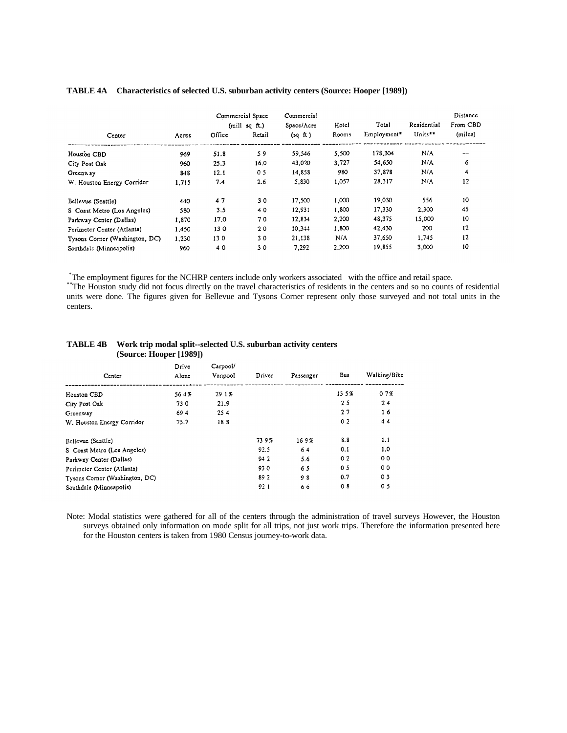|                                |       |        | Commercial Space<br>(mill sq ft.) | Commercial<br>Space/Acre | Hotel | Total       | Residential | Distance<br>From CBD |
|--------------------------------|-------|--------|-----------------------------------|--------------------------|-------|-------------|-------------|----------------------|
| Center                         | Acres | Office | Retail                            | (sqft)                   | Rooms | Employment* | Units**     | (miles)              |
| Housion CBD                    | 969   | 51.8   | 59                                | 59.546                   | 5.500 | 178,304     | N/A         | $- -$                |
| City Post Oak                  | 960   | 25.3   | 16.0                              | 43,020                   | 3,727 | 54,650      | N/A         | 6                    |
| Greenway                       | 848   | 12.1   | 0 <sub>5</sub>                    | 14,858                   | 980   | 37.878      | N/A         | 4                    |
| W. Houston Energy Corridor     | 1.715 | 7.4    | 2.6                               | 5,830                    | 1,057 | 28,317      | N/A         | 12                   |
| Bellevue (Seattle)             | 440   | 47     | 30                                | 17.500                   | 1,000 | 19,030      | 556         | 10                   |
| S Coast Metro (Los Angeles)    | 580   | 3.5    | 40                                | 12.931                   | 1,800 | 17,330      | 2,300       | 45                   |
| Parkway Center (Dallas)        | 1,870 | 17.0   | 70                                | 12.834                   | 2.200 | 48,375      | 15,000      | 10                   |
| Perimeter Center (Atlanta)     | 1,450 | 130    | 20                                | 10,344                   | 1,800 | 42,430      | 200         | 12                   |
| Tysons Corner (Washington, DC) | 1.230 | 130    | 30                                | 21,138                   | N/A   | 37,650      | 1,745       | 12                   |
| Southdal: (Minneapolis)        | 960   | 40     | 30                                | 7.292                    | 2,200 | 19,855      | 3,000       | 10                   |

## **TABLE 4A Characteristics of selected U.S. suburban activity centers (Source: Hooper [1989])**

\*The employment figures for the NCHRP centers include only workers associated with the office and retail space.

\*\*The Houston study did not focus directly on the travel characteristics of residents in the centers and so no counts of residential units were done. The figures given for Bellevue and Tysons Corner represent only those surveyed and not total units in the centers.

| Center                         | Drive<br>Alone | Capool/<br>Vanpool | Driver | Passenger | Bus            | Walking/Bike   |
|--------------------------------|----------------|--------------------|--------|-----------|----------------|----------------|
| Houston CBD                    | 564%           | 29 1 %             |        |           | 135%           | 07%            |
| City Post Oak                  | 730            | 21.9               |        |           | 25             | 24             |
| Greenway                       | 694            | 254                |        |           | 27             | 16             |
| W. Houston Energy Corridor     | 75.7           | 188                |        |           | 0 <sub>2</sub> | 44             |
| Bellevue (Seattle)             |                |                    | 739%   | 169%      | 8.8            | 1.1            |
| S Coast Metro (Los Angeles)    |                |                    | 92.5   | 64        | 0.1            | 1.0            |
| Parkway Center (Dallas)        |                |                    | 942    | 5.6       | 02             | 00             |
| Perimeter Center (Atlants)     |                |                    | 930    | 65        | 05             | 00             |
| Tysons Corner (Washington, DC) |                |                    | 89 2   | 98        | 0.7            | 0 <sub>3</sub> |
| Southdale (Minneapolis)        |                |                    | 921    | 66        | 08             | 0 <sub>5</sub> |

#### **TABLE 4B Work trip modal split--selected U.S. suburban activity centers (Source: Hooper [1989])**

Note: Modal statistics were gathered for all of the centers through the administration of travel surveys However, the Houston surveys obtained only information on mode split for all trips, not just work trips. Therefore the information presented here for the Houston centers is taken from 1980 Census journey-to-work data.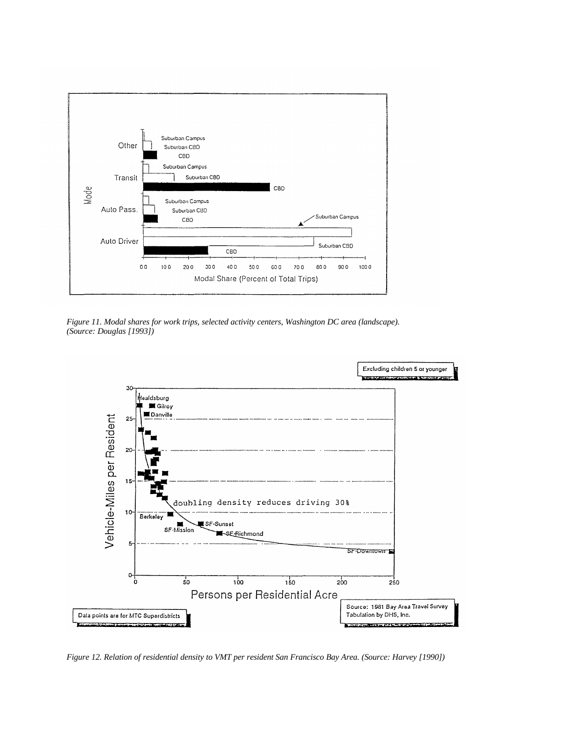

*Figure 11. Modal shares for work trips, selected activity centers, Washington DC area (landscape). (Source: Douglas [1993])*



*Figure 12. Relation of residential density to VMT per resident San Francisco Bay Area. (Source: Harvey [1990])*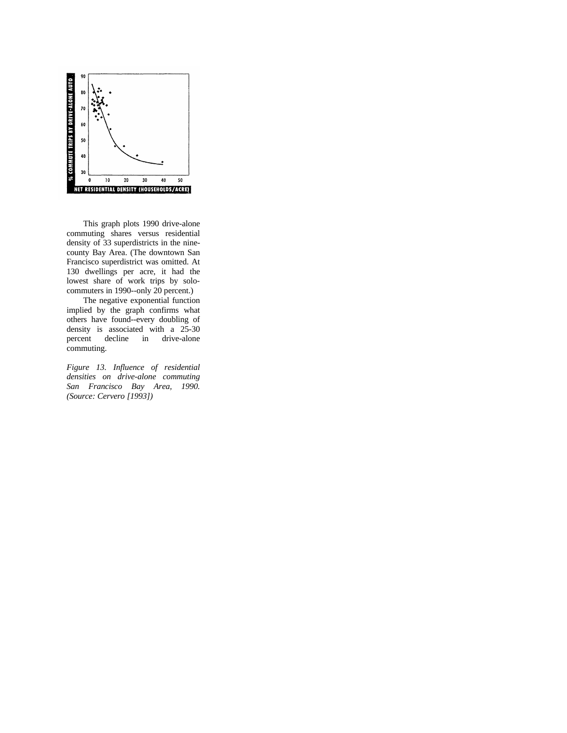

This graph plots 1990 drive-alone commuting shares versus residential density of 33 superdistricts in the ninecounty Bay Area. (The downtown San Francisco superdistrict was omitted. At 130 dwellings per acre, it had the lowest share of work trips by solocommuters in 1990--only 20 percent.)

The negative exponential function implied by the graph confirms what others have found--every doubling of density is associated with a 25-30<br>percent decline in drive-alone percent decline in drive-alone commuting.

*Figure 13. Influence of residential densities on drive-alone commuting San Francisco Bay Area, 1990. (Source: Cervero [1993])*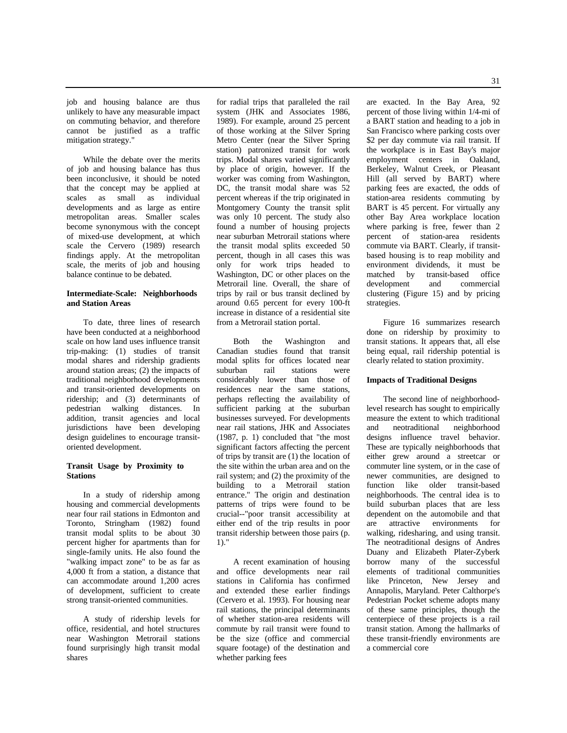job and housing balance are thus unlikely to have any measurable impact on commuting behavior, and therefore cannot be justified as a traffic mitigation strategy."

While the debate over the merits of job and housing balance has thus been inconclusive, it should be noted that the concept may be applied at scales as small as individual developments and as large as entire metropolitan areas. Smaller scales become synonymous with the concept of mixed-use development, at which scale the Cervero (1989) research findings apply. At the metropolitan scale, the merits of job and housing balance continue to be debated.

## **Intermediate-Scale: Neighborhoods and Station Areas**

To date, three lines of research have been conducted at a neighborhood scale on how land uses influence transit trip-making: (1) studies of transit modal shares and ridership gradients around station areas; (2) the impacts of traditional neighborhood developments and transit-oriented developments on ridership; and (3) determinants of pedestrian walking distances. In addition, transit agencies and local jurisdictions have been developing design guidelines to encourage transitoriented development.

#### **Transit Usage by Proximity to Stations**

In a study of ridership among housing and commercial developments near four rail stations in Edmonton and Toronto, Stringham (1982) found transit modal splits to be about 30 percent higher for apartments than for single-family units. He also found the "walking impact zone" to be as far as 4,000 ft from a station, a distance that can accommodate around 1,200 acres of development, sufficient to create strong transit-oriented communities.

A study of ridership levels for office, residential, and hotel structures near Washington Metrorail stations found surprisingly high transit modal shares

for radial trips that paralleled the rail system (JHK and Associates 1986, 1989). For example, around 25 percent of those working at the Silver Spring Metro Center (near the Silver Spring station) patronized transit for work trips. Modal shares varied significantly by place of origin, however. If the worker was coming from Washington, DC, the transit modal share was 52 percent whereas if the trip originated in Montgomery County the transit split was only 10 percent. The study also found a number of housing projects near suburban Metrorail stations where the transit modal splits exceeded 50 percent, though in all cases this was only for work trips headed to Washington, DC or other places on the Metrorail line. Overall, the share of trips by rail or bus transit declined by around 0.65 percent for every 100-ft increase in distance of a residential site from a Metrorail station portal.

Both the Washington and Canadian studies found that transit modal splits for offices located near suburban rail stations were considerably lower than those of residences near the same stations, perhaps reflecting the availability of sufficient parking at the suburban businesses surveyed. For developments near rail stations, JHK and Associates (1987, p. 1) concluded that "the most significant factors affecting the percent of trips by transit are (1) the location of the site within the urban area and on the rail system; and (2) the proximity of the building to a Metrorail station entrance." The origin and destination patterns of trips were found to be crucial--"poor transit accessibility at either end of the trip results in poor transit ridership between those pairs (p. 1)."

A recent examination of housing and office developments near rail stations in California has confirmed and extended these earlier findings (Cervero et al. 1993). For housing near rail stations, the principal determinants of whether station-area residents will commute by rail transit were found to be the size (office and commercial square footage) of the destination and whether parking fees

are exacted. In the Bay Area, 92 percent of those living within 1/4-mi of a BART station and heading to a job in San Francisco where parking costs over \$2 per day commute via rail transit. If the workplace is in East Bay's major employment centers in Oakland, Berkeley, Walnut Creek, or Pleasant Hill (all served by BART) where parking fees are exacted, the odds of station-area residents commuting by BART is 45 percent. For virtually any other Bay Area workplace location where parking is free, fewer than 2 percent of station-area residents commute via BART. Clearly, if transitbased housing is to reap mobility and environment dividends, it must be matched by transit-based office<br>development and commercial development clustering (Figure 15) and by pricing strategies.

Figure 16 summarizes research done on ridership by proximity to transit stations. It appears that, all else being equal, rail ridership potential is clearly related to station proximity.

## **Impacts of Traditional Designs**

The second line of neighborhoodlevel research has sought to empirically measure the extent to which traditional<br>and neotraditional neighborhood and neotraditional designs influence travel behavior. These are typically neighborhoods that either grew around a streetcar or commuter line system, or in the case of newer communities, are designed to function like older transit-based neighborhoods. The central idea is to build suburban places that are less dependent on the automobile and that<br>are attractive environments for attractive environments walking, ridesharing, and using transit. The neotraditional designs of Andres Duany and Elizabeth Plater-Zyberk borrow many of the successful elements of traditional communities like Princeton, New Jersey and Annapolis, Maryland. Peter Calthorpe's Pedestrian Pocket scheme adopts many of these same principles, though the centerpiece of these projects is a rail transit station. Among the hallmarks of these transit-friendly environments are a commercial core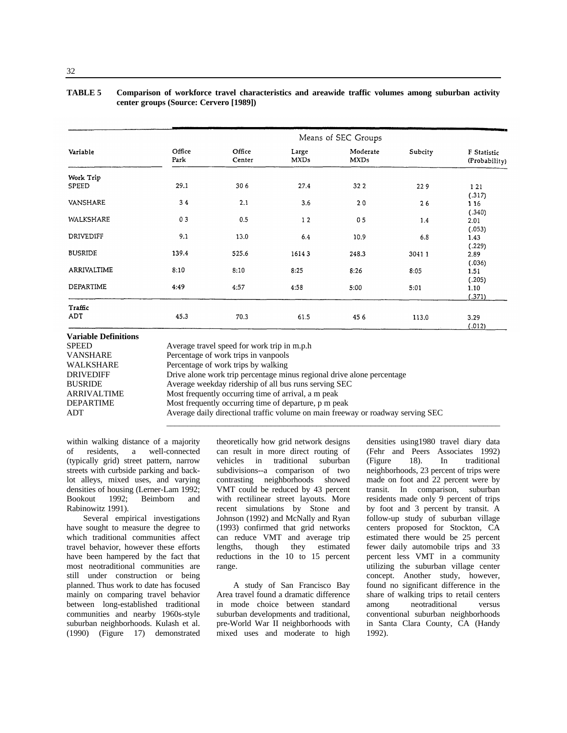| <b>TABLE 5</b> | Comparison of workforce travel characteristics and areawide traffic volumes among suburban activity |  |
|----------------|-----------------------------------------------------------------------------------------------------|--|
|                | center groups (Source: Cervero [1989])                                                              |  |

|                |                |                  |                      | Means of SEC Groups     |         |                              |
|----------------|----------------|------------------|----------------------|-------------------------|---------|------------------------------|
| Variable       | Office<br>Park | Office<br>Center | Large<br><b>MXDs</b> | Moderate<br><b>MXDs</b> | Subcity | F Statistic<br>(Probability) |
| Work Trip      |                |                  |                      |                         |         |                              |
| SPEED          | 29.1           | 306              | 27.4                 | 32 2                    | 229     | 1 2 1<br>(.317)              |
| VANSHARE       | 34             | 2.1              | 3.6                  | 20                      | 26      | 116<br>(.340)                |
| WALKSHARE      | 03             | 0.5              | 12                   | 0 <sub>5</sub>          | 1.4     | 2.01<br>(.053)               |
| DRIVEDIFF      | 9.1            | 13.0             | 6.4                  | 10.9                    | 6.8     | 1.43<br>(.229)               |
| <b>BUSRIDE</b> | 139.4          | 525.6            | 16143                | 248.3                   | 30411   | 2.89<br>(.036)               |
| ARRIVALTIME    | 8:10           | 8:10             | 8:25                 | 8:26                    | 8:05    | 1.51<br>(.205)               |
| DEPARTIME      | 4:49           | 4:57             | 4:58                 | 5:00                    | 5:01    | 1.10<br>(.371)               |
| Traffic        |                |                  |                      |                         |         |                              |
| ADT            | 45.3           | 70.3             | 61.5                 | 45 6                    | 113.0   | 3.29<br>(.012)               |

| Valiable Deminions |                                                                                 |
|--------------------|---------------------------------------------------------------------------------|
| <b>SPEED</b>       | Average travel speed for work trip in m.p.h.                                    |
| <b>VANSHARE</b>    | Percentage of work trips in vanpools                                            |
| WALKSHARE          | Percentage of work trips by walking                                             |
| <b>DRIVEDIFF</b>   | Drive alone work trip percentage minus regional drive alone percentage          |
| <b>BUSRIDE</b>     | Average weekday ridership of all bus runs serving SEC                           |
| <b>ARRIVALTIME</b> | Most frequently occurring time of arrival, a m peak                             |
| <b>DEPARTIME</b>   | Most frequently occurring time of departure, p m peak                           |
| ADT                | Average daily directional traffic volume on main freeway or roadway serving SEC |
|                    |                                                                                 |

within walking distance of a majority of residents, a well-connected (typically grid) street pattern, narrow streets with curbside parking and backlot alleys, mixed uses, and varying densities of housing (Lerner-Lam 1992;<br>Bookout 1992; Beimborn and Bookout 1992; Beimborn and Rabinowitz 1991).

Several empirical investigations have sought to measure the degree to which traditional communities affect travel behavior, however these efforts have been hampered by the fact that most neotraditional communities are still under construction or being planned. Thus work to date has focused mainly on comparing travel behavior between long-established traditional communities and nearby 1960s-style suburban neighborhoods. Kulash et al. (1990) (Figure 17) demonstrated

theoretically how grid network designs can result in more direct routing of vehicles in traditional suburban subdivisions--a comparison of two contrasting neighborhoods showed VMT could be reduced by 43 percent with rectilinear street layouts. More recent simulations by Stone and Johnson (1992) and McNally and Ryan (1993) confirmed that grid networks can reduce VMT and average trip lengths, though they estimated reductions in the 10 to 15 percent range.

A study of San Francisco Bay Area travel found a dramatic difference in mode choice between standard suburban developments and traditional, pre-World War II neighborhoods with mixed uses and moderate to high

densities using1980 travel diary data (Fehr and Peers Associates 1992) (Figure 18). In traditional neighborhoods, 23 percent of trips were made on foot and 22 percent were by transit. In comparison, suburban residents made only 9 percent of trips by foot and 3 percent by transit. A follow-up study of suburban village centers proposed for Stockton, CA estimated there would be 25 percent fewer daily automobile trips and 33 percent less VMT in a community utilizing the suburban village center concept. Another study, however, found no significant difference in the share of walking trips to retail centers among neotraditional versus conventional suburban neighborhoods in Santa Clara County, CA (Handy 1992).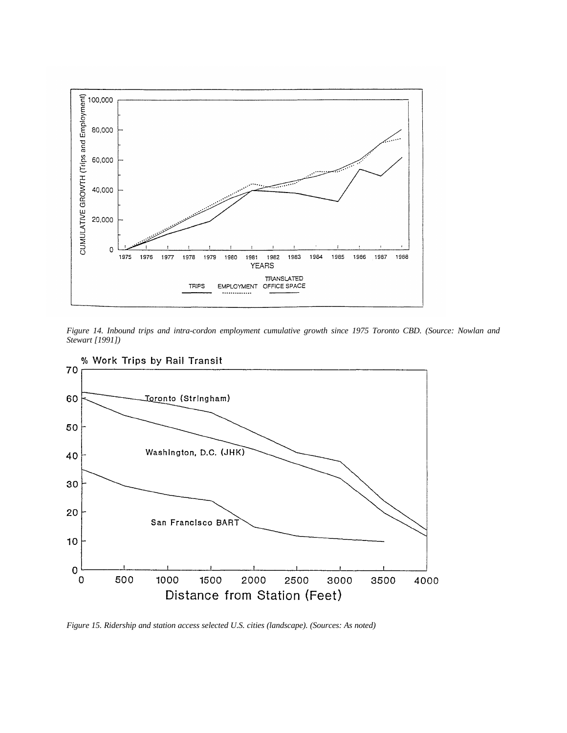

*Figure 14. Inbound trips and intra-cordon employment cumulative growth since 1975 Toronto CBD. (Source: Nowlan and Stewart [1991])*



*Figure 15. Ridership and station access selected U.S. cities (landscape). (Sources: As noted)*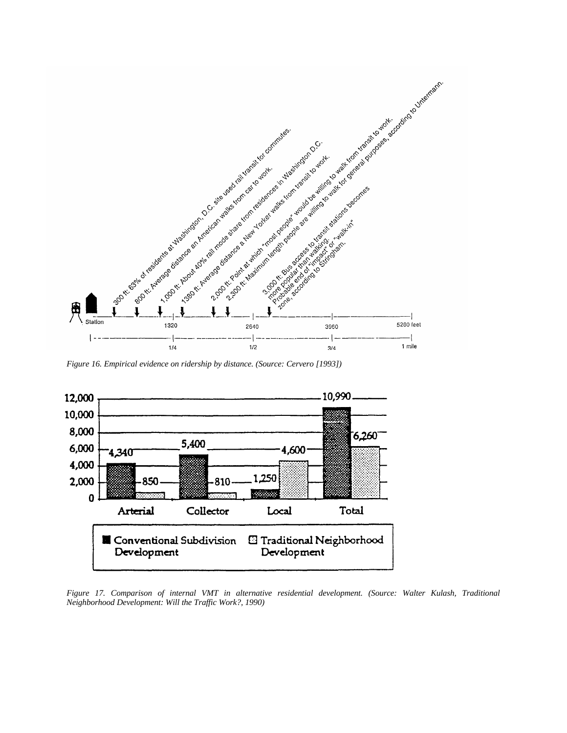

*Figure 16. Empirical evidence on ridership by distance. (Source: Cervero [1993])*



*Figure 17. Comparison of internal VMT in alternative residential development. (Source: Walter Kulash, Traditional Neighborhood Development: Will the Traffic Work?, 1990)*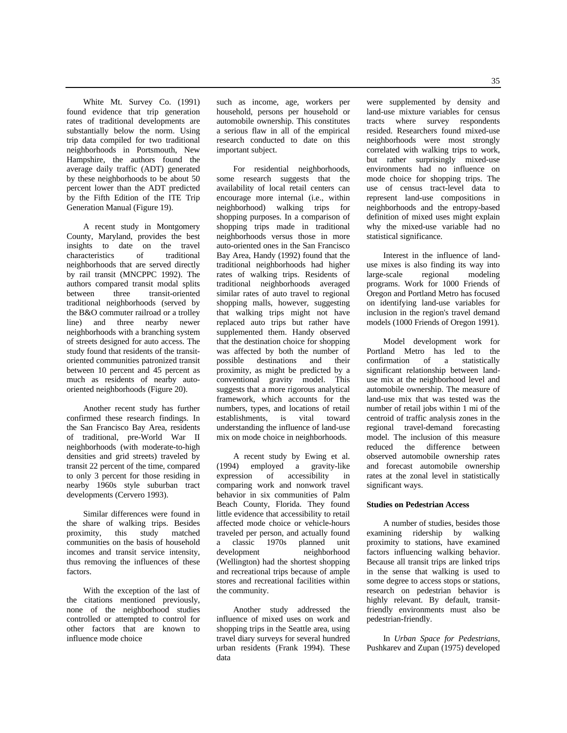35

White Mt. Survey Co. (1991) found evidence that trip generation rates of traditional developments are substantially below the norm. Using trip data compiled for two traditional neighborhoods in Portsmouth, New Hampshire, the authors found the average daily traffic (ADT) generated by these neighborhoods to be about 50 percent lower than the ADT predicted by the Fifth Edition of the ITE Trip Generation Manual (Figure 19).

A recent study in Montgomery County, Maryland, provides the best insights to date on the travel<br>characteristics of traditional characteristics of neighborhoods that are served directly by rail transit (MNCPPC 1992). The authors compared transit modal splits between three transit-oriented traditional neighborhoods (served by the B&O commuter railroad or a trolley line) and three nearby newer neighborhoods with a branching system of streets designed for auto access. The study found that residents of the transitoriented communities patronized transit between 10 percent and 45 percent as much as residents of nearby autooriented neighborhoods (Figure 20).

Another recent study has further confirmed these research findings. In the San Francisco Bay Area, residents of traditional, pre-World War II neighborhoods (with moderate-to-high densities and grid streets) traveled by transit 22 percent of the time, compared to only 3 percent for those residing in nearby 1960s style suburban tract developments (Cervero 1993).

Similar differences were found in the share of walking trips. Besides proximity, this study matched communities on the basis of household incomes and transit service intensity, thus removing the influences of these factors.

With the exception of the last of the citations mentioned previously, none of the neighborhood studies controlled or attempted to control for other factors that are known to influence mode choice

such as income, age, workers per household, persons per household or automobile ownership. This constitutes a serious flaw in all of the empirical research conducted to date on this important subject.

For residential neighborhoods, some research suggests that the availability of local retail centers can encourage more internal (i.e., within neighborhood) walking trips for shopping purposes. In a comparison of shopping trips made in traditional neighborhoods versus those in more auto-oriented ones in the San Francisco Bay Area, Handy (1992) found that the traditional neighborhoods had higher rates of walking trips. Residents of traditional neighborhoods averaged similar rates of auto travel to regional shopping malls, however, suggesting that walking trips might not have replaced auto trips but rather have supplemented them. Handy observed that the destination choice for shopping was affected by both the number of possible destinations and their proximity, as might be predicted by a conventional gravity model. This suggests that a more rigorous analytical framework, which accounts for the numbers, types, and locations of retail establishments, is vital toward understanding the influence of land-use mix on mode choice in neighborhoods.

A recent study by Ewing et al. (1994) employed a gravity-like expression of accessibility in comparing work and nonwork travel behavior in six communities of Palm Beach County, Florida. They found little evidence that accessibility to retail affected mode choice or vehicle-hours traveled per person, and actually found a classic 1970s planned unit development neighborhood (Wellington) had the shortest shopping and recreational trips because of ample stores and recreational facilities within the community.

Another study addressed the influence of mixed uses on work and shopping trips in the Seattle area, using travel diary surveys for several hundred urban residents (Frank 1994). These data

were supplemented by density and land-use mixture variables for census tracts where survey respondents resided. Researchers found mixed-use neighborhoods were most strongly correlated with walking trips to work, but rather surprisingly mixed-use environments had no influence on mode choice for shopping trips. The use of census tract-level data to represent land-use compositions in neighborhoods and the entropy-based definition of mixed uses might explain why the mixed-use variable had no statistical significance.

Interest in the influence of landuse mixes is also finding its way into<br>large-scale regional modeling large-scale programs. Work for 1000 Friends of Oregon and Portland Metro has focused on identifying land-use variables for inclusion in the region's travel demand models (1000 Friends of Oregon 1991).

Model development work for Portland Metro has led to the confirmation of a statistically significant relationship between landuse mix at the neighborhood level and automobile ownership. The measure of land-use mix that was tested was the number of retail jobs within 1 mi of the centroid of traffic analysis zones in the regional travel-demand forecasting model. The inclusion of this measure reduced the difference between observed automobile ownership rates and forecast automobile ownership rates at the zonal level in statistically significant ways.

## **Studies on Pedestrian Access**

A number of studies, besides those examining ridership by walking proximity to stations, have examined factors influencing walking behavior. Because all transit trips are linked trips in the sense that walking is used to some degree to access stops or stations, research on pedestrian behavior is highly relevant. By default, transitfriendly environments must also be pedestrian-friendly.

In *Urban Space for Pedestrians,* Pushkarev and Zupan (1975) developed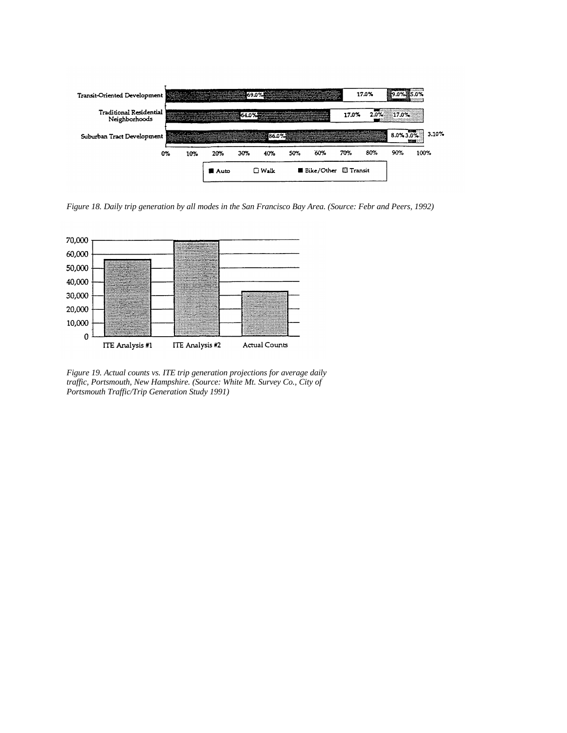

*Figure 18. Daily trip generation by all modes in the San Francisco Bay Area. (Source: Febr and Peers, 1992)*



*Figure 19. Actual counts vs. ITE trip generation projections for average daily traffic, Portsmouth, New Hampshire. (Source: White Mt. Survey Co., City of Portsmouth Traffic/Trip Generation Study 1991)*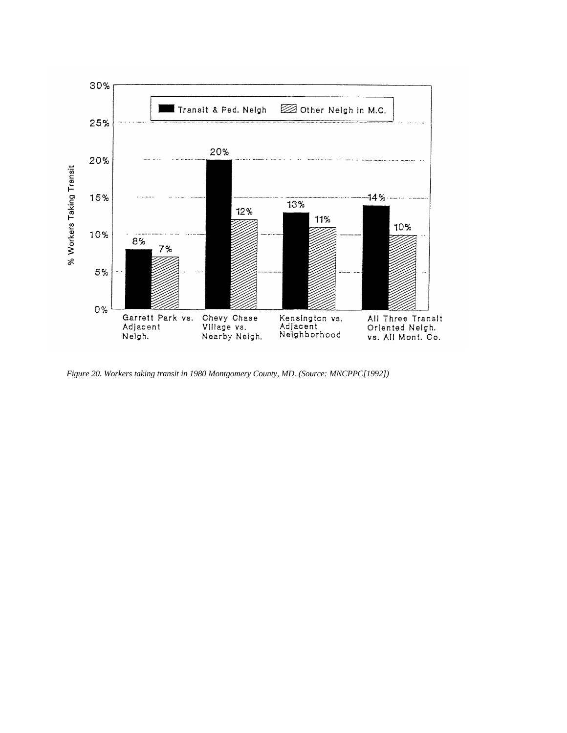

*Figure 20. Workers taking transit in 1980 Montgomery County, MD. (Source: MNCPPC[1992])*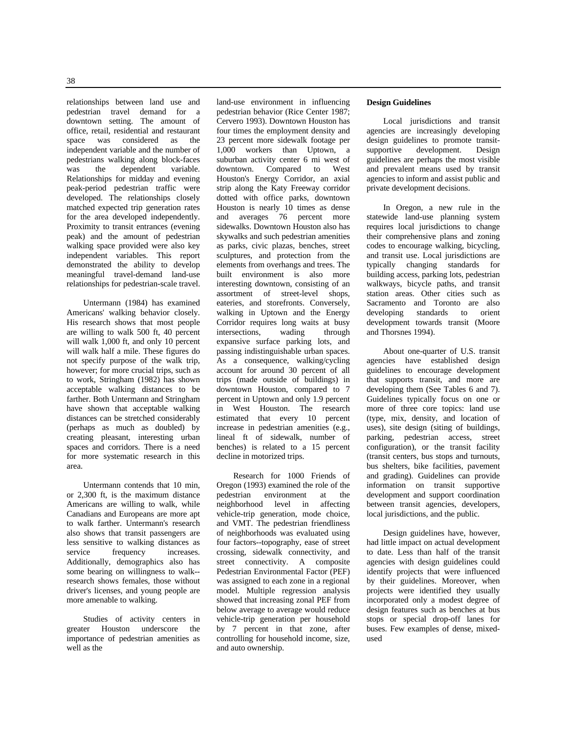relationships between land use and pedestrian travel demand for a downtown setting. The amount of office, retail, residential and restaurant space was considered as the independent variable and the number of pedestrians walking along block-faces was the dependent variable. Relationships for midday and evening peak-period pedestrian traffic were developed. The relationships closely matched expected trip generation rates for the area developed independently. Proximity to transit entrances (evening peak) and the amount of pedestrian walking space provided were also key independent variables. This report demonstrated the ability to develop meaningful travel-demand land-use relationships for pedestrian-scale travel.

Untermann (1984) has examined Americans' walking behavior closely. His research shows that most people are willing to walk 500 ft, 40 percent will walk 1,000 ft, and only 10 percent will walk half a mile. These figures do not specify purpose of the walk trip, however; for more crucial trips, such as to work, Stringham (1982) has shown acceptable walking distances to be farther. Both Untermann and Stringham have shown that acceptable walking distances can be stretched considerably (perhaps as much as doubled) by creating pleasant, interesting urban spaces and corridors. There is a need for more systematic research in this area.

Untermann contends that 10 min, or 2,300 ft, is the maximum distance Americans are willing to walk, while Canadians and Europeans are more apt to walk farther. Untermann's research also shows that transit passengers are less sensitive to walking distances as service frequency increases. Additionally, demographics also has some bearing on willingness to walk- research shows females, those without driver's licenses, and young people are more amenable to walking.

Studies of activity centers in greater Houston underscore the importance of pedestrian amenities as well as the

land-use environment in influencing pedestrian behavior (Rice Center 1987; Cervero 1993). Downtown Houston has four times the employment density and 23 percent more sidewalk footage per 1,000 workers than Uptown, a suburban activity center 6 mi west of downtown. Compared to West Houston's Energy Corridor, an axial strip along the Katy Freeway corridor dotted with office parks, downtown Houston is nearly 10 times as dense and averages 76 percent more sidewalks. Downtown Houston also has skywalks and such pedestrian amenities as parks, civic plazas, benches, street sculptures, and protection from the elements from overhangs and trees. The built environment is also more interesting downtown, consisting of an assortment of street-level shops, eateries, and storefronts. Conversely, walking in Uptown and the Energy Corridor requires long waits at busy<br>intersections, wading through intersections, wading through expansive surface parking lots, and passing indistinguishable urban spaces. As a consequence, walking/cycling account for around 30 percent of all trips (made outside of buildings) in downtown Houston, compared to 7 percent in Uptown and only 1.9 percent in West Houston. The research estimated that every 10 percent increase in pedestrian amenities (e.g., lineal ft of sidewalk, number of benches) is related to a 15 percent decline in motorized trips.

Research for 1000 Friends of Oregon (1993) examined the role of the<br>pedestrian environment at the environment at the neighborhood level in affecting vehicle-trip generation, mode choice, and VMT. The pedestrian friendliness of neighborhoods was evaluated using four factors--topography, ease of street crossing, sidewalk connectivity, and street connectivity. A composite Pedestrian Environmental Factor (PEF) was assigned to each zone in a regional model. Multiple regression analysis showed that increasing zonal PEF from below average to average would reduce vehicle-trip generation per household by 7 percent in that zone, after controlling for household income, size, and auto ownership.

#### **Design Guidelines**

Local jurisdictions and transit agencies are increasingly developing design guidelines to promote transitsupportive development. Design guidelines are perhaps the most visible and prevalent means used by transit agencies to inform and assist public and private development decisions.

In Oregon, a new rule in the statewide land-use planning system requires local jurisdictions to change their comprehensive plans and zoning codes to encourage walking, bicycling, and transit use. Local jurisdictions are typically changing standards for building access, parking lots, pedestrian walkways, bicycle paths, and transit station areas. Other cities such as Sacramento and Toronto are also developing standards to orient development towards transit (Moore and Thorsnes 1994).

About one-quarter of U.S. transit agencies have established design guidelines to encourage development that supports transit, and more are developing them (See Tables 6 and 7). Guidelines typically focus on one or more of three core topics: land use (type, mix, density, and location of uses), site design (siting of buildings, parking, pedestrian access, street configuration), or the transit facility (transit centers, bus stops and turnouts, bus shelters, bike facilities, pavement and grading). Guidelines can provide information on transit supportive development and support coordination between transit agencies, developers, local jurisdictions, and the public.

Design guidelines have, however, had little impact on actual development to date. Less than half of the transit agencies with design guidelines could identify projects that were influenced by their guidelines. Moreover, when projects were identified they usually incorporated only a modest degree of design features such as benches at bus stops or special drop-off lanes for buses. Few examples of dense, mixedused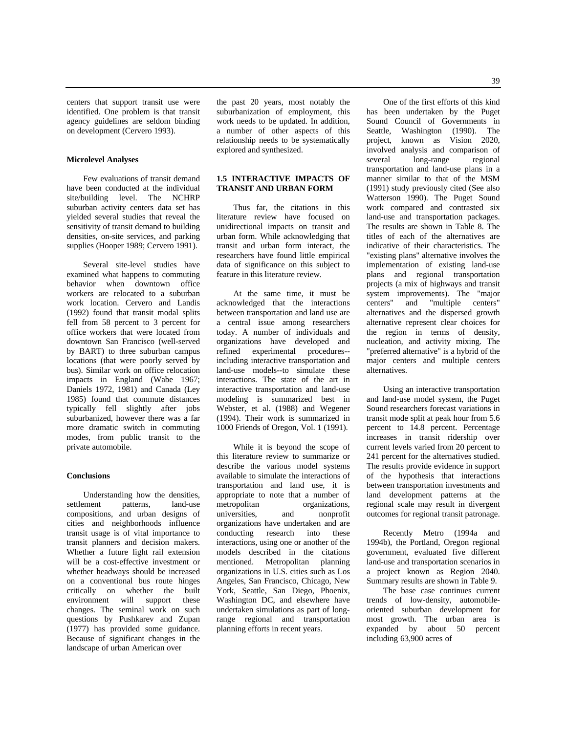centers that support transit use were identified. One problem is that transit agency guidelines are seldom binding on development (Cervero 1993).

#### **Microlevel Analyses**

Few evaluations of transit demand have been conducted at the individual site/building level. The NCHRP suburban activity centers data set has yielded several studies that reveal the sensitivity of transit demand to building densities, on-site services, and parking supplies (Hooper 1989; Cervero 1991).

Several site-level studies have examined what happens to commuting behavior when downtown office workers are relocated to a suburban work location. Cervero and Landis (1992) found that transit modal splits fell from 58 percent to 3 percent for office workers that were located from downtown San Francisco (well-served by BART) to three suburban campus locations (that were poorly served by bus). Similar work on office relocation impacts in England (Wabe 1967; Daniels 1972, 1981) and Canada (Ley 1985) found that commute distances typically fell slightly after jobs suburbanized, however there was a far more dramatic switch in commuting modes, from public transit to the private automobile.

#### **Conclusions**

Understanding how the densities, settlement patterns, land-use compositions, and urban designs of cities and neighborhoods influence transit usage is of vital importance to transit planners and decision makers. Whether a future light rail extension will be a cost-effective investment or whether headways should be increased on a conventional bus route hinges critically on whether the built environment will support these changes. The seminal work on such questions by Pushkarev and Zupan (1977) has provided some guidance. Because of significant changes in the landscape of urban American over

the past 20 years, most notably the suburbanization of employment, this work needs to be updated. In addition, a number of other aspects of this relationship needs to be systematically explored and synthesized.

## **1.5 INTERACTIVE IMPACTS OF TRANSIT AND URBAN FORM**

Thus far, the citations in this literature review have focused on unidirectional impacts on transit and urban form. While acknowledging that transit and urban form interact, the researchers have found little empirical data of significance on this subject to feature in this literature review.

At the same time, it must be acknowledged that the interactions between transportation and land use are a central issue among researchers today. A number of individuals and organizations have developed and refined experimental procedures- including interactive transportation and land-use models--to simulate these interactions. The state of the art in interactive transportation and land-use modeling is summarized best in Webster, et al. (1988) and Wegener (1994). Their work is summarized in 1000 Friends of Oregon, Vol. 1 (1991).

While it is beyond the scope of this literature review to summarize or describe the various model systems available to simulate the interactions of transportation and land use, it is appropriate to note that a number of metropolitan organizations, organizations,<br>nonprofit universities, and organizations have undertaken and are conducting research into these interactions, using one or another of the models described in the citations mentioned. Metropolitan planning organizations in U.S. cities such as Los Angeles, San Francisco, Chicago, New York, Seattle, San Diego, Phoenix, Washington DC, and elsewhere have undertaken simulations as part of longrange regional and transportation planning efforts in recent years.

One of the first efforts of this kind has been undertaken by the Puget Sound Council of Governments in Seattle, Washington (1990). The project, known as Vision 2020, involved analysis and comparison of several long-range regional transportation and land-use plans in a manner similar to that of the MSM (1991) study previously cited (See also Watterson 1990). The Puget Sound work compared and contrasted six land-use and transportation packages. The results are shown in Table 8. The titles of each of the alternatives are indicative of their characteristics. The "existing plans" alternative involves the implementation of existing land-use plans and regional transportation projects (a mix of highways and transit system improvements). The "major centers" and "multiple centers" alternatives and the dispersed growth alternative represent clear choices for the region in terms of density, nucleation, and activity mixing. The "preferred alternative" is a hybrid of the major centers and multiple centers alternatives.

Using an interactive transportation and land-use model system, the Puget Sound researchers forecast variations in transit mode split at peak hour from 5.6 percent to 14.8 percent. Percentage increases in transit ridership over current levels varied from 20 percent to 241 percent for the alternatives studied. The results provide evidence in support of the hypothesis that interactions between transportation investments and land development patterns at the regional scale may result in divergent outcomes for regional transit patronage.

Recently Metro (1994a and 1994b), the Portland, Oregon regional government, evaluated five different land-use and transportation scenarios in a project known as Region 2040. Summary results are shown in Table 9.

The base case continues current trends of low-density, automobileoriented suburban development for most growth. The urban area is expanded by about 50 percent including 63,900 acres of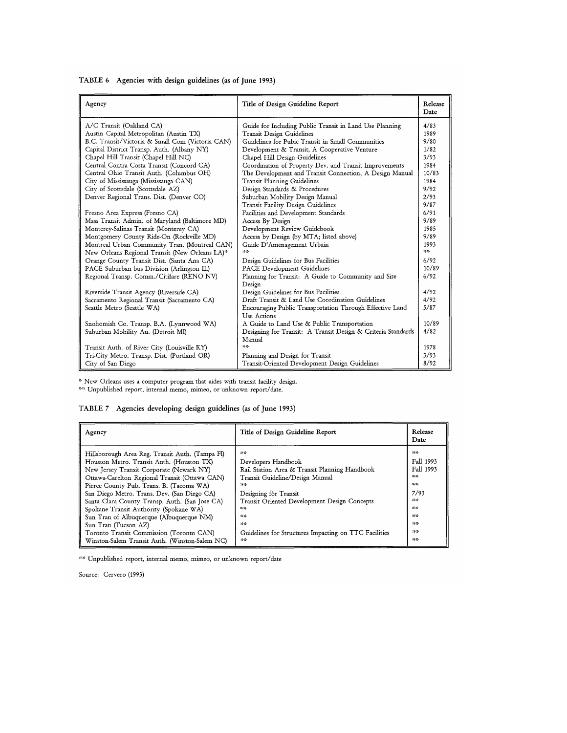|  |  | TABLE 6 Agencies with design guidelines (as of June 1993) |  |  |
|--|--|-----------------------------------------------------------|--|--|
|  |  |                                                           |  |  |

| A/C Transit (Oakland CA)<br>Guide for Including Public Transit in Land Use Planning<br>4/83<br>Austin Capital Metropolitan (Austin TX)<br><b>Transit Design Guidelines</b><br>1989<br>B.C. Transit/Victoria & Small Com (Victoria CAN)<br>Guidelines for Pubic Transit in Small Communities<br>9/80<br>Capital District Transp. Auth. (Albany NY)<br>1/82<br>Development & Transit, A Cooperative Venture<br>Chapel Hill Transit (Chapel Hill NC)<br>Chapel Hill Design Guidelines<br>3/93<br>Central Contra Costa Transit (Concord CA)<br>Coordination of Property Dev. and Transit Improvements<br>1984<br>Central Ohio Transit Auth. (Columbus OH)<br>The Development and Transit Connection, A Design Manual<br>10/83<br>City of Mississauga (Mississauga CAN)<br>Transit Planning Guidelines<br>1984<br>City of Scottsdale (Scottsdale AZ)<br>Design Standards & Procedures<br>9/92<br>Denver Regional Trans. Dist. (Denver CO)<br>2/93<br>Suburban Mobility Design Manual<br>9/87<br>Transit Facility Design Guidelines<br>6/91<br>Fresno Area Express (Fresno CA)<br>Facilities and Development Standards<br>9/89<br>Mass Transit Admin. of Maryland (Baltimore MD)<br>Access By Design<br>Monterey-Salinas Transit (Monterey CA)<br>Development Review Guidebook<br>1985<br>9/89<br>Access by Design (by MTA; listed above)<br>Montgomery County Ride-On (Rockville MD)<br>Montreal Urban Community Tran. (Montreal CAN)<br>Guide D'Amenagement Urbain<br>1993<br>25.25<br>15.15-<br>New Orleans Regional Transit (New Orleans LA)*<br>Orange County Transit Dist. (Santa Ana CA)<br>6/92<br>Design Guidelines for Bus Facilities<br>PACE Suburban bus Division (Arlington IL)<br>10/89<br><b>PACE</b> Development Guidelines<br>Planning for Transit: A Guide to Community and Site<br>6/92<br>Regional Transp. Comm./Citifare (RENO NV)<br>Design<br>Design Guidelines for Bus Facilities<br>4/92<br>Riverside Transit Agency (Riverside CA)<br>Draft Transit & Land Use Coordination Guidelines<br>4/92<br>Sacramento Regional Transit (Sacramento CA)<br>5/87<br>Encouraging Public Transportation Through Effective Land<br>Seattle Metro (Seattle WA)<br>Use Actions<br>10/89<br>A Guide to Land Use & Public Transportation<br>Snohomish Co. Transp. B.A. (Lynnwood WA)<br>Designing for Transit: A Transit Design & Criteria Standards<br>4/82<br>Suburban Mobility Au. (Detroit MI)<br>Manual<br>55<br>Transit Auth. of River City (Louisville KY)<br>1978<br>3/93<br>Tri-City Metro. Transp. Dist. (Portland OR)<br>Planning and Design for Transit | Agency            | Title of Design Guideline Report               | Release<br>Date |
|-----------------------------------------------------------------------------------------------------------------------------------------------------------------------------------------------------------------------------------------------------------------------------------------------------------------------------------------------------------------------------------------------------------------------------------------------------------------------------------------------------------------------------------------------------------------------------------------------------------------------------------------------------------------------------------------------------------------------------------------------------------------------------------------------------------------------------------------------------------------------------------------------------------------------------------------------------------------------------------------------------------------------------------------------------------------------------------------------------------------------------------------------------------------------------------------------------------------------------------------------------------------------------------------------------------------------------------------------------------------------------------------------------------------------------------------------------------------------------------------------------------------------------------------------------------------------------------------------------------------------------------------------------------------------------------------------------------------------------------------------------------------------------------------------------------------------------------------------------------------------------------------------------------------------------------------------------------------------------------------------------------------------------------------------------------------------------------------------------------------------------------------------------------------------------------------------------------------------------------------------------------------------------------------------------------------------------------------------------------------------------------------------------------------------------------------------------------------------------------------------------------------------------------------------------------------------|-------------------|------------------------------------------------|-----------------|
|                                                                                                                                                                                                                                                                                                                                                                                                                                                                                                                                                                                                                                                                                                                                                                                                                                                                                                                                                                                                                                                                                                                                                                                                                                                                                                                                                                                                                                                                                                                                                                                                                                                                                                                                                                                                                                                                                                                                                                                                                                                                                                                                                                                                                                                                                                                                                                                                                                                                                                                                                                       |                   |                                                |                 |
|                                                                                                                                                                                                                                                                                                                                                                                                                                                                                                                                                                                                                                                                                                                                                                                                                                                                                                                                                                                                                                                                                                                                                                                                                                                                                                                                                                                                                                                                                                                                                                                                                                                                                                                                                                                                                                                                                                                                                                                                                                                                                                                                                                                                                                                                                                                                                                                                                                                                                                                                                                       |                   |                                                |                 |
|                                                                                                                                                                                                                                                                                                                                                                                                                                                                                                                                                                                                                                                                                                                                                                                                                                                                                                                                                                                                                                                                                                                                                                                                                                                                                                                                                                                                                                                                                                                                                                                                                                                                                                                                                                                                                                                                                                                                                                                                                                                                                                                                                                                                                                                                                                                                                                                                                                                                                                                                                                       |                   |                                                |                 |
|                                                                                                                                                                                                                                                                                                                                                                                                                                                                                                                                                                                                                                                                                                                                                                                                                                                                                                                                                                                                                                                                                                                                                                                                                                                                                                                                                                                                                                                                                                                                                                                                                                                                                                                                                                                                                                                                                                                                                                                                                                                                                                                                                                                                                                                                                                                                                                                                                                                                                                                                                                       |                   |                                                |                 |
|                                                                                                                                                                                                                                                                                                                                                                                                                                                                                                                                                                                                                                                                                                                                                                                                                                                                                                                                                                                                                                                                                                                                                                                                                                                                                                                                                                                                                                                                                                                                                                                                                                                                                                                                                                                                                                                                                                                                                                                                                                                                                                                                                                                                                                                                                                                                                                                                                                                                                                                                                                       |                   |                                                |                 |
|                                                                                                                                                                                                                                                                                                                                                                                                                                                                                                                                                                                                                                                                                                                                                                                                                                                                                                                                                                                                                                                                                                                                                                                                                                                                                                                                                                                                                                                                                                                                                                                                                                                                                                                                                                                                                                                                                                                                                                                                                                                                                                                                                                                                                                                                                                                                                                                                                                                                                                                                                                       |                   |                                                |                 |
|                                                                                                                                                                                                                                                                                                                                                                                                                                                                                                                                                                                                                                                                                                                                                                                                                                                                                                                                                                                                                                                                                                                                                                                                                                                                                                                                                                                                                                                                                                                                                                                                                                                                                                                                                                                                                                                                                                                                                                                                                                                                                                                                                                                                                                                                                                                                                                                                                                                                                                                                                                       |                   |                                                |                 |
|                                                                                                                                                                                                                                                                                                                                                                                                                                                                                                                                                                                                                                                                                                                                                                                                                                                                                                                                                                                                                                                                                                                                                                                                                                                                                                                                                                                                                                                                                                                                                                                                                                                                                                                                                                                                                                                                                                                                                                                                                                                                                                                                                                                                                                                                                                                                                                                                                                                                                                                                                                       |                   |                                                |                 |
|                                                                                                                                                                                                                                                                                                                                                                                                                                                                                                                                                                                                                                                                                                                                                                                                                                                                                                                                                                                                                                                                                                                                                                                                                                                                                                                                                                                                                                                                                                                                                                                                                                                                                                                                                                                                                                                                                                                                                                                                                                                                                                                                                                                                                                                                                                                                                                                                                                                                                                                                                                       |                   |                                                |                 |
|                                                                                                                                                                                                                                                                                                                                                                                                                                                                                                                                                                                                                                                                                                                                                                                                                                                                                                                                                                                                                                                                                                                                                                                                                                                                                                                                                                                                                                                                                                                                                                                                                                                                                                                                                                                                                                                                                                                                                                                                                                                                                                                                                                                                                                                                                                                                                                                                                                                                                                                                                                       |                   |                                                |                 |
|                                                                                                                                                                                                                                                                                                                                                                                                                                                                                                                                                                                                                                                                                                                                                                                                                                                                                                                                                                                                                                                                                                                                                                                                                                                                                                                                                                                                                                                                                                                                                                                                                                                                                                                                                                                                                                                                                                                                                                                                                                                                                                                                                                                                                                                                                                                                                                                                                                                                                                                                                                       |                   |                                                |                 |
|                                                                                                                                                                                                                                                                                                                                                                                                                                                                                                                                                                                                                                                                                                                                                                                                                                                                                                                                                                                                                                                                                                                                                                                                                                                                                                                                                                                                                                                                                                                                                                                                                                                                                                                                                                                                                                                                                                                                                                                                                                                                                                                                                                                                                                                                                                                                                                                                                                                                                                                                                                       |                   |                                                |                 |
|                                                                                                                                                                                                                                                                                                                                                                                                                                                                                                                                                                                                                                                                                                                                                                                                                                                                                                                                                                                                                                                                                                                                                                                                                                                                                                                                                                                                                                                                                                                                                                                                                                                                                                                                                                                                                                                                                                                                                                                                                                                                                                                                                                                                                                                                                                                                                                                                                                                                                                                                                                       |                   |                                                |                 |
|                                                                                                                                                                                                                                                                                                                                                                                                                                                                                                                                                                                                                                                                                                                                                                                                                                                                                                                                                                                                                                                                                                                                                                                                                                                                                                                                                                                                                                                                                                                                                                                                                                                                                                                                                                                                                                                                                                                                                                                                                                                                                                                                                                                                                                                                                                                                                                                                                                                                                                                                                                       |                   |                                                |                 |
|                                                                                                                                                                                                                                                                                                                                                                                                                                                                                                                                                                                                                                                                                                                                                                                                                                                                                                                                                                                                                                                                                                                                                                                                                                                                                                                                                                                                                                                                                                                                                                                                                                                                                                                                                                                                                                                                                                                                                                                                                                                                                                                                                                                                                                                                                                                                                                                                                                                                                                                                                                       |                   |                                                |                 |
|                                                                                                                                                                                                                                                                                                                                                                                                                                                                                                                                                                                                                                                                                                                                                                                                                                                                                                                                                                                                                                                                                                                                                                                                                                                                                                                                                                                                                                                                                                                                                                                                                                                                                                                                                                                                                                                                                                                                                                                                                                                                                                                                                                                                                                                                                                                                                                                                                                                                                                                                                                       |                   |                                                |                 |
|                                                                                                                                                                                                                                                                                                                                                                                                                                                                                                                                                                                                                                                                                                                                                                                                                                                                                                                                                                                                                                                                                                                                                                                                                                                                                                                                                                                                                                                                                                                                                                                                                                                                                                                                                                                                                                                                                                                                                                                                                                                                                                                                                                                                                                                                                                                                                                                                                                                                                                                                                                       |                   |                                                |                 |
|                                                                                                                                                                                                                                                                                                                                                                                                                                                                                                                                                                                                                                                                                                                                                                                                                                                                                                                                                                                                                                                                                                                                                                                                                                                                                                                                                                                                                                                                                                                                                                                                                                                                                                                                                                                                                                                                                                                                                                                                                                                                                                                                                                                                                                                                                                                                                                                                                                                                                                                                                                       |                   |                                                |                 |
|                                                                                                                                                                                                                                                                                                                                                                                                                                                                                                                                                                                                                                                                                                                                                                                                                                                                                                                                                                                                                                                                                                                                                                                                                                                                                                                                                                                                                                                                                                                                                                                                                                                                                                                                                                                                                                                                                                                                                                                                                                                                                                                                                                                                                                                                                                                                                                                                                                                                                                                                                                       |                   |                                                |                 |
|                                                                                                                                                                                                                                                                                                                                                                                                                                                                                                                                                                                                                                                                                                                                                                                                                                                                                                                                                                                                                                                                                                                                                                                                                                                                                                                                                                                                                                                                                                                                                                                                                                                                                                                                                                                                                                                                                                                                                                                                                                                                                                                                                                                                                                                                                                                                                                                                                                                                                                                                                                       |                   |                                                |                 |
|                                                                                                                                                                                                                                                                                                                                                                                                                                                                                                                                                                                                                                                                                                                                                                                                                                                                                                                                                                                                                                                                                                                                                                                                                                                                                                                                                                                                                                                                                                                                                                                                                                                                                                                                                                                                                                                                                                                                                                                                                                                                                                                                                                                                                                                                                                                                                                                                                                                                                                                                                                       |                   |                                                |                 |
|                                                                                                                                                                                                                                                                                                                                                                                                                                                                                                                                                                                                                                                                                                                                                                                                                                                                                                                                                                                                                                                                                                                                                                                                                                                                                                                                                                                                                                                                                                                                                                                                                                                                                                                                                                                                                                                                                                                                                                                                                                                                                                                                                                                                                                                                                                                                                                                                                                                                                                                                                                       |                   |                                                |                 |
|                                                                                                                                                                                                                                                                                                                                                                                                                                                                                                                                                                                                                                                                                                                                                                                                                                                                                                                                                                                                                                                                                                                                                                                                                                                                                                                                                                                                                                                                                                                                                                                                                                                                                                                                                                                                                                                                                                                                                                                                                                                                                                                                                                                                                                                                                                                                                                                                                                                                                                                                                                       |                   |                                                |                 |
|                                                                                                                                                                                                                                                                                                                                                                                                                                                                                                                                                                                                                                                                                                                                                                                                                                                                                                                                                                                                                                                                                                                                                                                                                                                                                                                                                                                                                                                                                                                                                                                                                                                                                                                                                                                                                                                                                                                                                                                                                                                                                                                                                                                                                                                                                                                                                                                                                                                                                                                                                                       |                   |                                                |                 |
|                                                                                                                                                                                                                                                                                                                                                                                                                                                                                                                                                                                                                                                                                                                                                                                                                                                                                                                                                                                                                                                                                                                                                                                                                                                                                                                                                                                                                                                                                                                                                                                                                                                                                                                                                                                                                                                                                                                                                                                                                                                                                                                                                                                                                                                                                                                                                                                                                                                                                                                                                                       |                   |                                                |                 |
|                                                                                                                                                                                                                                                                                                                                                                                                                                                                                                                                                                                                                                                                                                                                                                                                                                                                                                                                                                                                                                                                                                                                                                                                                                                                                                                                                                                                                                                                                                                                                                                                                                                                                                                                                                                                                                                                                                                                                                                                                                                                                                                                                                                                                                                                                                                                                                                                                                                                                                                                                                       |                   |                                                |                 |
|                                                                                                                                                                                                                                                                                                                                                                                                                                                                                                                                                                                                                                                                                                                                                                                                                                                                                                                                                                                                                                                                                                                                                                                                                                                                                                                                                                                                                                                                                                                                                                                                                                                                                                                                                                                                                                                                                                                                                                                                                                                                                                                                                                                                                                                                                                                                                                                                                                                                                                                                                                       |                   |                                                |                 |
|                                                                                                                                                                                                                                                                                                                                                                                                                                                                                                                                                                                                                                                                                                                                                                                                                                                                                                                                                                                                                                                                                                                                                                                                                                                                                                                                                                                                                                                                                                                                                                                                                                                                                                                                                                                                                                                                                                                                                                                                                                                                                                                                                                                                                                                                                                                                                                                                                                                                                                                                                                       |                   |                                                |                 |
|                                                                                                                                                                                                                                                                                                                                                                                                                                                                                                                                                                                                                                                                                                                                                                                                                                                                                                                                                                                                                                                                                                                                                                                                                                                                                                                                                                                                                                                                                                                                                                                                                                                                                                                                                                                                                                                                                                                                                                                                                                                                                                                                                                                                                                                                                                                                                                                                                                                                                                                                                                       | City of San Diego | Transit-Oriented Development Design Guidelines | 8/92            |

 $\emph{``New Orleans uses a computer program that aides with transit facility design.}\normalsize ``\emph{``Unpublished report, internal memo, mimeo, or unknown report/date.}$ 

| TABLE 7 Agencies developing design guidelines (as of June 1993) |  |  |  |  |  |  |  |
|-----------------------------------------------------------------|--|--|--|--|--|--|--|
|-----------------------------------------------------------------|--|--|--|--|--|--|--|

| Agency                                          | Title of Design Guideline Report                      | Release<br>Date |
|-------------------------------------------------|-------------------------------------------------------|-----------------|
| Hillsborough Area Reg. Transit Auth. (Tampa Fl) | 22.22                                                 | 16.15           |
| Houston Metro. Transit Auth. (Houston TX)       | Developers Handbook                                   | Fall 1993       |
| New Jersey Transit Corporate (Newark NY)        | Rail Station Area & Transit Planning Handbook         | Fall 1993       |
| Ottawa-Carelton Regional Transit (Ottawa CAN)   | Transit Guideline/Design Manual                       | 25-25-          |
| Pierce County Pub. Trans. B. (Tacoma WA)        | 25-25-                                                | 25-15-          |
| San Diego Metro. Trans. Dev. (San Diego CA)     | Designing for Transit                                 | 7/93            |
| Santa Clara County Transp. Auth. (San Jose CA)  | Transit Oriented Development Design Concepts          | 25.25           |
| Spokane Transit Authority (Spokane WA)          | 25-15-                                                | 25-25-          |
| Sun Tran of Albuquerque (Albuquerque NM)        | 27.35                                                 | $25 - 25$       |
| Sun Tran (Tucson AZ)                            | 25.25                                                 | 25.25           |
| Toronto Transit Commission (Toronto CAN)        | Guidelines for Structures Impacting on TTC Facilities | 1515            |
| Winston-Salem Transit Auth. (Winston-Salem NC)  | $25 - 25$                                             | 15.15           |

\*\* Unpublished report, internal memo, mimeo, or unknown report/date

Source: Cervero (1993)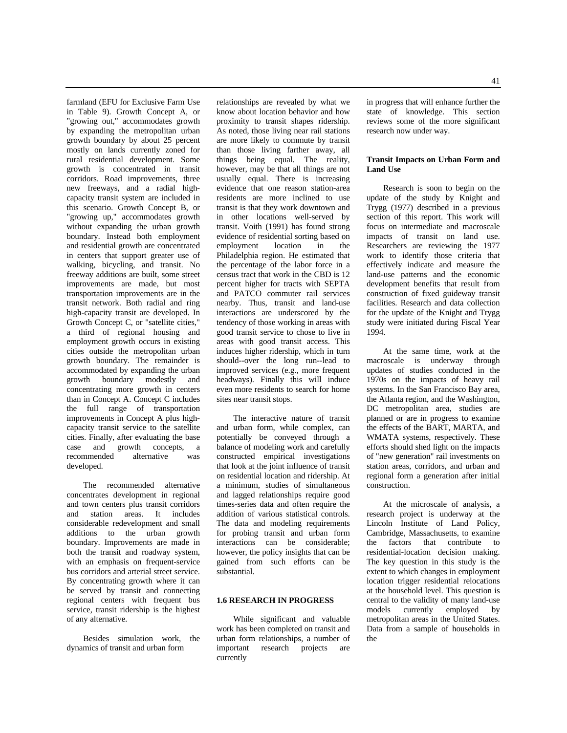farmland (EFU for Exclusive Farm Use in Table 9). Growth Concept A, or "growing out," accommodates growth by expanding the metropolitan urban growth boundary by about 25 percent mostly on lands currently zoned for rural residential development. Some growth is concentrated in transit corridors. Road improvements, three new freeways, and a radial highcapacity transit system are included in this scenario. Growth Concept B, or "growing up," accommodates growth without expanding the urban growth boundary. Instead both employment and residential growth are concentrated in centers that support greater use of walking, bicycling, and transit. No freeway additions are built, some street improvements are made, but most transportation improvements are in the transit network. Both radial and ring high-capacity transit are developed. In Growth Concept C, or "satellite cities," a third of regional housing and employment growth occurs in existing cities outside the metropolitan urban growth boundary. The remainder is accommodated by expanding the urban growth boundary modestly and concentrating more growth in centers than in Concept A. Concept C includes the full range of transportation improvements in Concept A plus highcapacity transit service to the satellite cities. Finally, after evaluating the base case and growth concepts, a recommended alternative was developed.

The recommended alternative concentrates development in regional and town centers plus transit corridors<br>and station areas. It includes areas. It includes considerable redevelopment and small additions to the urban growth boundary. Improvements are made in both the transit and roadway system, with an emphasis on frequent-service bus corridors and arterial street service. By concentrating growth where it can be served by transit and connecting regional centers with frequent bus service, transit ridership is the highest of any alternative.

Besides simulation work, the dynamics of transit and urban form

relationships are revealed by what we know about location behavior and how proximity to transit shapes ridership. As noted, those living near rail stations are more likely to commute by transit than those living farther away, all things being equal. The reality, however, may be that all things are not usually equal. There is increasing evidence that one reason station-area residents are more inclined to use transit is that they work downtown and in other locations well-served by transit. Voith (1991) has found strong evidence of residential sorting based on<br>employment location in the employment location in the Philadelphia region. He estimated that the percentage of the labor force in a census tract that work in the CBD is 12 percent higher for tracts with SEPTA and PATCO commuter rail services nearby. Thus, transit and land-use interactions are underscored by the tendency of those working in areas with good transit service to chose to live in areas with good transit access. This induces higher ridership, which in turn should--over the long run--lead to improved services (e.g., more frequent headways). Finally this will induce even more residents to search for home sites near transit stops.

The interactive nature of transit and urban form, while complex, can potentially be conveyed through a balance of modeling work and carefully constructed empirical investigations that look at the joint influence of transit on residential location and ridership. At a minimum, studies of simultaneous and lagged relationships require good times-series data and often require the addition of various statistical controls. The data and modeling requirements for probing transit and urban form interactions can be considerable; however, the policy insights that can be gained from such efforts can be substantial.

## **1.6 RESEARCH IN PROGRESS**

While significant and valuable work has been completed on transit and urban form relationships, a number of important research projects are currently

in progress that will enhance further the state of knowledge. This section reviews some of the more significant research now under way.

## **Transit Impacts on Urban Form and Land Use**

Research is soon to begin on the update of the study by Knight and Trygg (1977) described in a previous section of this report. This work will focus on intermediate and macroscale impacts of transit on land use. Researchers are reviewing the 1977 work to identify those criteria that effectively indicate and measure the land-use patterns and the economic development benefits that result from construction of fixed guideway transit facilities. Research and data collection for the update of the Knight and Trygg study were initiated during Fiscal Year 1994.

At the same time, work at the macroscale is underway through updates of studies conducted in the 1970s on the impacts of heavy rail systems. In the San Francisco Bay area, the Atlanta region, and the Washington, DC metropolitan area, studies are planned or are in progress to examine the effects of the BART, MARTA, and WMATA systems, respectively. These efforts should shed light on the impacts of "new generation" rail investments on station areas, corridors, and urban and regional form a generation after initial construction.

At the microscale of analysis, a research project is underway at the Lincoln Institute of Land Policy, Cambridge, Massachusetts, to examine the factors that contribute to residential-location decision making. The key question in this study is the extent to which changes in employment location trigger residential relocations at the household level. This question is central to the validity of many land-use<br>models currently employed by employed by metropolitan areas in the United States. Data from a sample of households in the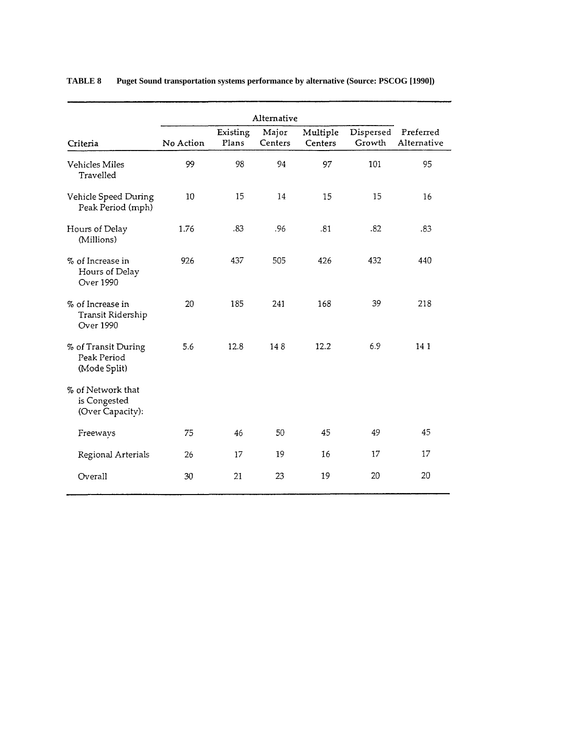| Criteria                                               | No Action | Existing<br>Plans | Alternative<br>Major<br>Centers | Multiple<br>Centers | Dispersed<br>Growth | Preferred<br>Alternative |
|--------------------------------------------------------|-----------|-------------------|---------------------------------|---------------------|---------------------|--------------------------|
| Vehicles Miles<br>Travelled                            | 99        | 98                | 94                              | 97                  | 101                 | 95                       |
| Vehicle Speed During<br>Peak Period (mph)              | 10        | 15                | 14                              | 15                  | 15                  | 16                       |
| Hours of Delay<br>(Millions)                           | 1.76      | .83               | .96                             | .81                 | .82                 | .83                      |
| % of Increase in<br>Hours of Delay<br><b>Over 1990</b> | 926       | 437               | 505                             | 426                 | 432                 | 440                      |
| % of Increase in<br>Transit Ridership<br>Over 1990     | 20        | 185               | 241                             | 168                 | 39                  | 218                      |
| % of Transit During<br>Peak Period<br>(Mode Split)     | 5.6       | 12.8              | 148                             | 12.2                | 6.9                 | 141                      |
| % of Network that<br>is Congested<br>(Over Capacity):  |           |                   |                                 |                     |                     |                          |
| Freeways                                               | 75        | 46                | 50                              | 45                  | 49                  | 45                       |
| Regional Arterials                                     | 26        | 17                | 19                              | 16                  | 17                  | 17                       |
| Overall                                                | 30        | 21                | 23                              | 19                  | 20                  | 20                       |

# **TABLE 8 Puget Sound transportation systems performance by alternative (Source: PSCOG [1990])**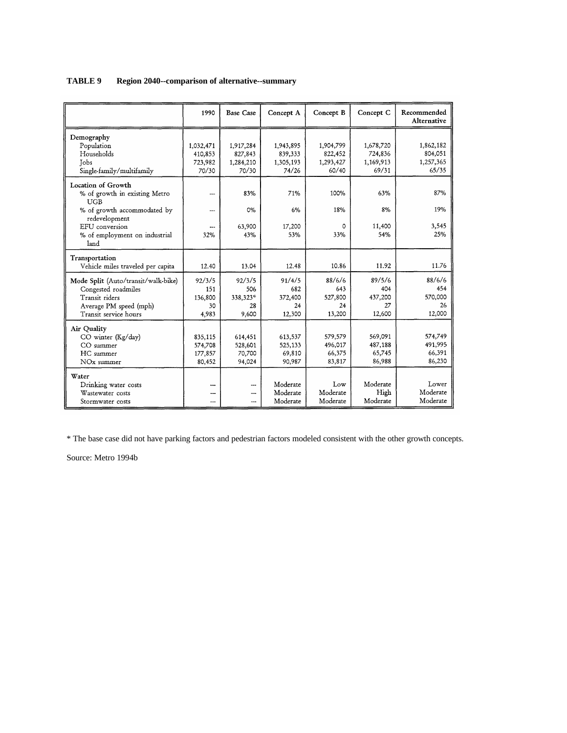| TABLE 9 | Region 2040--comparison of alternative--summary |
|---------|-------------------------------------------------|
|---------|-------------------------------------------------|

|                                              | 1990      | <b>Base Case</b> | Concept A | Concept B | Concept C | Recommended<br>Alternative |
|----------------------------------------------|-----------|------------------|-----------|-----------|-----------|----------------------------|
| Demography                                   |           |                  |           |           |           |                            |
| Population                                   | 1,032,471 | 1,917,284        | 1,943,895 | 1,904,799 | 1,678,720 | 1,862,182                  |
| Households                                   | 410,853   | 827,843          | 839,333   | 822,452   | 724,836   | 804,051                    |
| Tobs                                         | 723,982   | 1,284,210        | 1,305,193 | 1,293,427 | 1,169,913 | 1,257,365                  |
| Single-family/multifamily                    | 70/30     | 70/30            | 74/26     | 60/40     | 69/31     | 65/35                      |
| Location of Growth                           |           |                  |           |           |           |                            |
| % of growth in existing Metro<br><b>UGB</b>  |           | 83%              | 71%       | 100%      | 63%       | 87%                        |
| % of growth accommodated by<br>redevelopment | ---       | 0%               | 6%        | 18%       | 8%        | 19%                        |
| EFU conversion                               |           | 63,900           | 17,200    | 0         | 11,400    | 3,545                      |
| % of employment on industrial<br>land        | 32%       | 43%              | 53%       | 33%       | 54%       | 25%                        |
| Transportation                               |           |                  |           |           |           |                            |
| Vehicle miles traveled per capita            | 12.40     | 13.04            | 12.48     | 10.86     | 11.92     | 11.76                      |
| Mode Split (Auto/transit/walk-bike)          | 92/3/5    | 92/3/5           | 91/4/5    | 88/6/6    | 89/5/6    | 88/6/6                     |
| Congested roadmiles                          | 151       | 506              | 682       | 643       | 404       | 454                        |
| Transit riders                               | 136,800   | 338,323*         | 372,400   | 527,800   | 437,200   | 570,000                    |
| Average PM speed (mph)                       | 30        | 28               | 24        | 24        | 27        | 26                         |
| Transit service hours                        | 4,983     | 9,600            | 12,300    | 13,200    | 12,600    | 12,000                     |
| Air Quality                                  |           |                  |           |           |           |                            |
| CO winter (Kg/day)                           | 835,115   | 614,451          | 613,537   | 579,579   | 569,091   | 574,749                    |
| CO summer                                    | 574,708   | 528,601          | 525,133   | 496,017   | 487,188   | 491,995                    |
| HC summer                                    | 177,857   | 70,700           | 69,810    | 66,375    | 65,745    | 66,391                     |
| NO <sub>x</sub> summer                       | 80,452    | 94,024           | 90,987    | 83,817    | 86,988    | 86,230                     |
| Water                                        |           |                  |           |           |           |                            |
| Drinking water costs                         |           | ---              | Moderate  | Low       | Moderate  | Lower                      |
| Wastewater costs                             | ---       | ---              | Moderate  | Moderate  | High      | Moderate                   |
| Stormwater costs                             | ---       | ---              | Moderate  | Moderate  | Moderate  | Moderate                   |

\* The base case did not have parking factors and pedestrian factors modeled consistent with the other growth concepts.

Source: Metro 1994b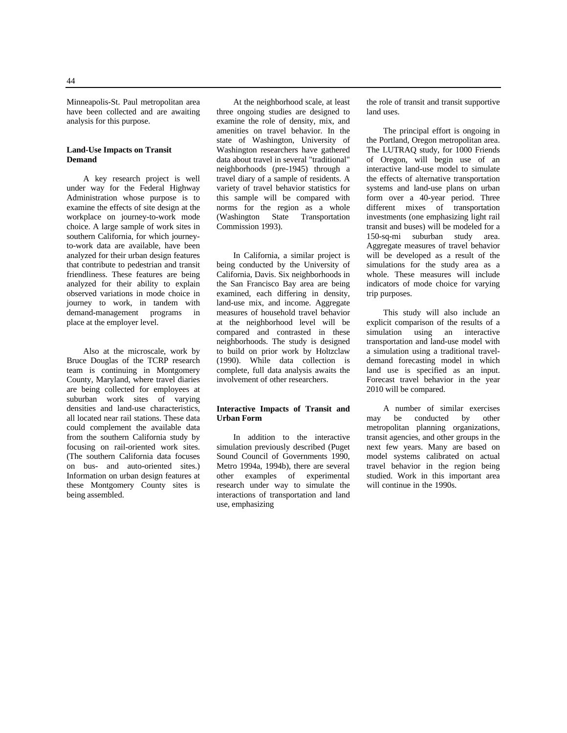Minneapolis-St. Paul metropolitan area have been collected and are awaiting analysis for this purpose.

## **Land-Use Impacts on Transit Demand**

A key research project is well under way for the Federal Highway Administration whose purpose is to examine the effects of site design at the workplace on journey-to-work mode choice. A large sample of work sites in southern California, for which journeyto-work data are available, have been analyzed for their urban design features that contribute to pedestrian and transit friendliness. These features are being analyzed for their ability to explain observed variations in mode choice in journey to work, in tandem with demand-management programs in place at the employer level.

Also at the microscale, work by Bruce Douglas of the TCRP research team is continuing in Montgomery County, Maryland, where travel diaries are being collected for employees at suburban work sites of varying densities and land-use characteristics, all located near rail stations. These data could complement the available data from the southern California study by focusing on rail-oriented work sites. (The southern California data focuses on bus- and auto-oriented sites.) Information on urban design features at these Montgomery County sites is being assembled.

At the neighborhood scale, at least three ongoing studies are designed to examine the role of density, mix, and amenities on travel behavior. In the state of Washington, University of Washington researchers have gathered data about travel in several "traditional" neighborhoods (pre-1945) through a travel diary of a sample of residents. A variety of travel behavior statistics for this sample will be compared with norms for the region as a whole (Washington State Transportation Commission 1993).

In California, a similar project is being conducted by the University of California, Davis. Six neighborhoods in the San Francisco Bay area are being examined, each differing in density, land-use mix, and income. Aggregate measures of household travel behavior at the neighborhood level will be compared and contrasted in these neighborhoods. The study is designed to build on prior work by Holtzclaw (1990). While data collection is complete, full data analysis awaits the involvement of other researchers.

#### **Interactive Impacts of Transit and Urban Form**

In addition to the interactive simulation previously described (Puget Sound Council of Governments 1990, Metro 1994a, 1994b), there are several other examples of experimental research under way to simulate the interactions of transportation and land use, emphasizing

the role of transit and transit supportive land uses.

The principal effort is ongoing in the Portland, Oregon metropolitan area. The LUTRAQ study, for 1000 Friends of Oregon, will begin use of an interactive land-use model to simulate the effects of alternative transportation systems and land-use plans on urban form over a 40-year period. Three different mixes of transportation investments (one emphasizing light rail transit and buses) will be modeled for a 150-sq-mi suburban study area. Aggregate measures of travel behavior will be developed as a result of the simulations for the study area as a whole. These measures will include indicators of mode choice for varying trip purposes.

This study will also include an explicit comparison of the results of a simulation using an interactive transportation and land-use model with a simulation using a traditional traveldemand forecasting model in which land use is specified as an input. Forecast travel behavior in the year 2010 will be compared.

A number of similar exercises may be conducted by other metropolitan planning organizations, transit agencies, and other groups in the next few years. Many are based on model systems calibrated on actual travel behavior in the region being studied. Work in this important area will continue in the 1990s.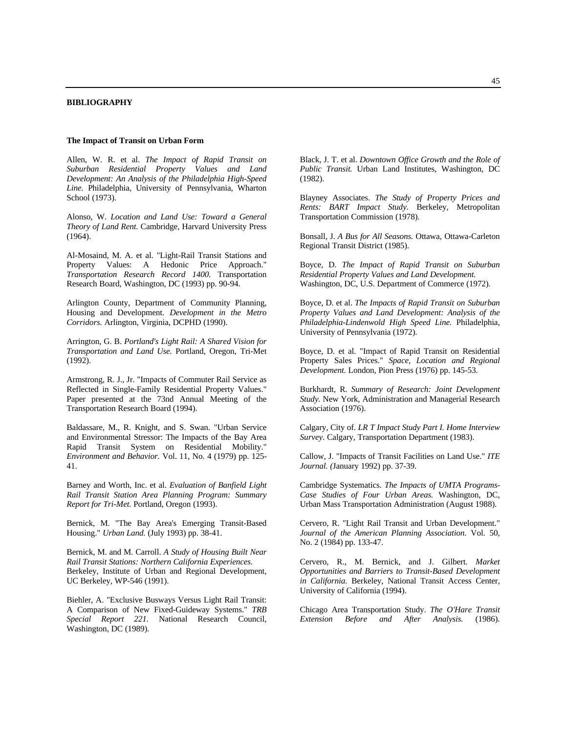#### **BIBLIOGRAPHY**

#### **The Impact of Transit on Urban Form**

Allen, W. R. et al. *The Impact of Rapid Transit on Suburban Residential Property Values and Land Development: An Analysis of the Philadelphia High-Speed Line.* Philadelphia, University of Pennsylvania, Wharton School (1973).

Alonso, W. *Location and Land Use: Toward a General Theory of Land Rent.* Cambridge, Harvard University Press (1964).

Al-Mosaind, M. A. et al. "Light-Rail Transit Stations and Property Values: A Hedonic Price Approach." *Transportation Research Record 1400.* Transportation Research Board, Washington, DC (1993) pp. 90-94.

Arlington County, Department of Community Planning, Housing and Development. *Development in the Metro Corridors.* Arlington, Virginia, DCPHD (1990).

Arrington, G. B. *Portland's Light Rail: A Shared Vision for Transportation and Land Use.* Portland, Oregon, Tri-Met (1992).

Armstrong, R. J., Jr. "Impacts of Commuter Rail Service as Reflected in Single-Family Residential Property Values." Paper presented at the 73nd Annual Meeting of the Transportation Research Board (1994).

Baldassare, M., R. Knight, and S. Swan. "Urban Service and Environmental Stressor: The Impacts of the Bay Area Rapid Transit System on Residential Mobility." *Environment and Behavior.* Vol. 11, No. 4 (1979) pp. 125- 41.

Barney and Worth, Inc. et al. *Evaluation of Banfield Light Rail Transit Station Area Planning Program: Summary Report for Tri-Met.* Portland, Oregon (1993).

Bernick, M. "The Bay Area's Emerging Transit-Based Housing." *Urban Land.* (July 1993) pp. 38-41.

Bernick, M. and M. Carroll. *A Study of Housing Built Near Rail Transit Stations: Northern California Experiences.* Berkeley, Institute of Urban and Regional Development, UC Berkeley, WP-546 (1991).

Biehler, A. "Exclusive Busways Versus Light Rail Transit: A Comparison of New Fixed-Guideway Systems." *TRB Special Report 221.* National Research Council, Washington, DC (1989).

Black, J. T. et al. *Downtown Office Growth and the Role of Public Transit.* Urban Land Institutes, Washington, DC (1982).

Blayney Associates. *The Study of Property Prices and Rents: BART Impact Study.* Berkeley, Metropolitan Transportation Commission (1978).

Bonsall, J. *A Bus for All Seasons.* Ottawa, Ottawa-Carleton Regional Transit District (1985).

Boyce, D. *The Impact of Rapid Transit on Suburban Residential Property Values and Land Development.* Washington, DC, U.S. Department of Commerce (1972).

Boyce, D. et al. *The Impacts of Rapid Transit on Suburban Property Values and Land Development: Analysis of the Philadelphia-Lindenwold High Speed Line.* Philadelphia, University of Pennsylvania (1972).

Boyce, D. et al. "Impact of Rapid Transit on Residential Property Sales Prices." *Space, Location and Regional Development.* London, Pion Press (1976) pp. 145-53.

Burkhardt, R. *Summary of Research: Joint Development Study.* New York, Administration and Managerial Research Association (1976).

Calgary, City of. *LR T Impact Study Part I. Home Interview Survey.* Calgary, Transportation Department (1983).

Callow, J. "Impacts of Transit Facilities on Land Use." *ITE Journal. (*January 1992) pp. 37-39.

Cambridge Systematics. *The Impacts of UMTA Programs-Case Studies of Four Urban Areas.* Washington, DC, Urban Mass Transportation Administration (August 1988).

Cervero, R. "Light Rail Transit and Urban Development." *Journal of the American Planning Association.* Vol. 50, No. 2 (1984) pp. 133-47.

Cervero, R., M. Bernick, and J. Gilbert. *Market Opportunities and Barriers to Transit-Based Development in California.* Berkeley, National Transit Access Center, University of California (1994).

Chicago Area Transportation Study. *The O'Hare Transit Extension Before and After Analysis.* (1986).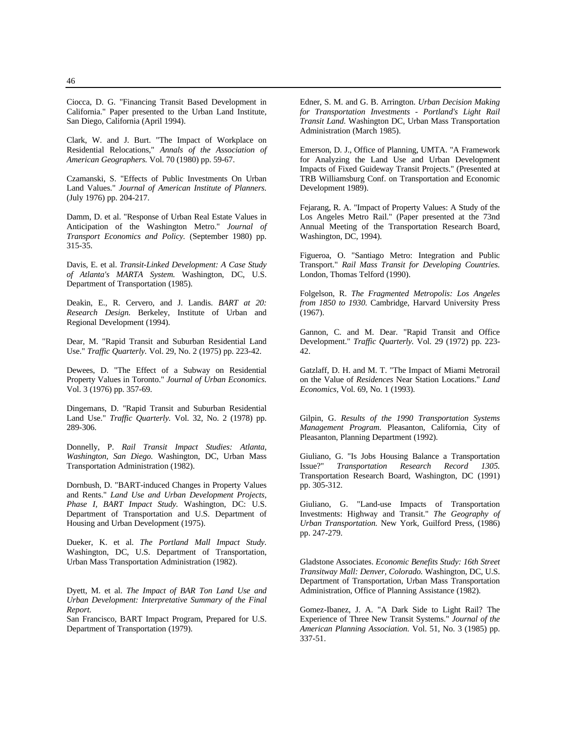Ciocca, D. G. "Financing Transit Based Development in California." Paper presented to the Urban Land Institute, San Diego, California (April 1994).

Clark, W. and J. Burt. "The Impact of Workplace on Residential Relocations," *Annals of the Association of American Geographers.* Vol. 70 (1980) pp. 59-67.

Czamanski, S. "Effects of Public Investments On Urban Land Values." *Journal of American Institute of Planners.* (July 1976) pp. 204-217.

Damm, D. et al. "Response of Urban Real Estate Values in Anticipation of the Washington Metro." *Journal of Transport Economics and Policy.* (September 1980) pp.  $315 - 35.$ 

Davis, E. et al. *Transit-Linked Development: A Case Study of Atlanta's MARTA System.* Washington, DC, U.S. Department of Transportation (1985).

Deakin, E., R. Cervero, and J. Landis. *BART at 20: Research Design.* Berkeley, Institute of Urban and Regional Development (1994).

Dear, M. "Rapid Transit and Suburban Residential Land Use." *Traffic Quarterly.* Vol. 29, No. 2 (1975) pp. 223-42.

Dewees, D. "The Effect of a Subway on Residential Property Values in Toronto." *Journal of Urban Economics.* Vol. 3 (1976) pp. 357-69.

Dingemans, D. "Rapid Transit and Suburban Residential Land Use." *Traffic Quarterly.* Vol. 32, No. 2 (1978) pp. 289-306.

Donnelly, P. *Rail Transit Impact Studies: Atlanta, Washington, San Diego.* Washington, DC, Urban Mass Transportation Administration (1982).

Dornbush, D. "BART-induced Changes in Property Values and Rents." *Land Use and Urban Development Projects, Phase I, BART Impact Study.* Washington, DC: U.S. Department of Transportation and U.S. Department of Housing and Urban Development (1975).

Dueker, K. et al. *The Portland Mall Impact Study.* Washington, DC, U.S. Department of Transportation, Urban Mass Transportation Administration (1982).

Dyett, M. et al. *The Impact of BAR Ton Land Use and Urban Development: Interpretative Summary of the Final Report.*

San Francisco, BART Impact Program, Prepared for U.S. Department of Transportation (1979).

Edner, S. M. and G. B. Arrington. *Urban Decision Making for Transportation Investments - Portland's Light Rail Transit Land.* Washington DC, Urban Mass Transportation Administration (March 1985).

Emerson, D. J., Office of Planning, UMTA. "A Framework for Analyzing the Land Use and Urban Development Impacts of Fixed Guideway Transit Projects." (Presented at TRB Williamsburg Conf. on Transportation and Economic Development 1989).

Fejarang, R. A. "Impact of Property Values: A Study of the Los Angeles Metro Rail." (Paper presented at the 73nd Annual Meeting of the Transportation Research Board, Washington, DC, 1994).

Figueroa, O. "Santiago Metro: Integration and Public Transport." *Rail Mass Transit for Developing Countries.* London, Thomas Telford (1990).

Folgelson, R. *The Fragmented Metropolis: Los Angeles from 1850 to 1930.* Cambridge, Harvard University Press (1967).

Gannon, C. and M. Dear. "Rapid Transit and Office Development." *Traffic Quarterly.* Vol. 29 (1972) pp. 223- 42.

Gatzlaff, D. H. and M. T. "The Impact of Miami Metrorail on the Value of *Residences* Near Station Locations." *Land Economics,* Vol. 69, No. 1 (1993).

Gilpin, G. *Results of the 1990 Transportation Systems Management Program.* Pleasanton, California, City of Pleasanton, Planning Department (1992).

Giuliano, G. "Is Jobs Housing Balance a Transportation<br>Issue?" Transportation Research Record 1305. **Transportation Research Record 1305.** Transportation Research Board, Washington, DC (1991) pp. 305-312.

Giuliano, G. "Land-use Impacts of Transportation Investments: Highway and Transit." *The Geography of Urban Transportation.* New York, Guilford Press, (1986) pp. 247-279.

Gladstone Associates. *Economic Benefits Study: 16th Street Transitway Mall: Denver, Colorado.* Washington, DC, U.S. Department of Transportation, Urban Mass Transportation Administration, Office of Planning Assistance (1982).

Gomez-Ibanez, J. A. "A Dark Side to Light Rail? The Experience of Three New Transit Systems." *Journal of the American Planning Association.* Vol. 51, No. 3 (1985) pp. 337-51.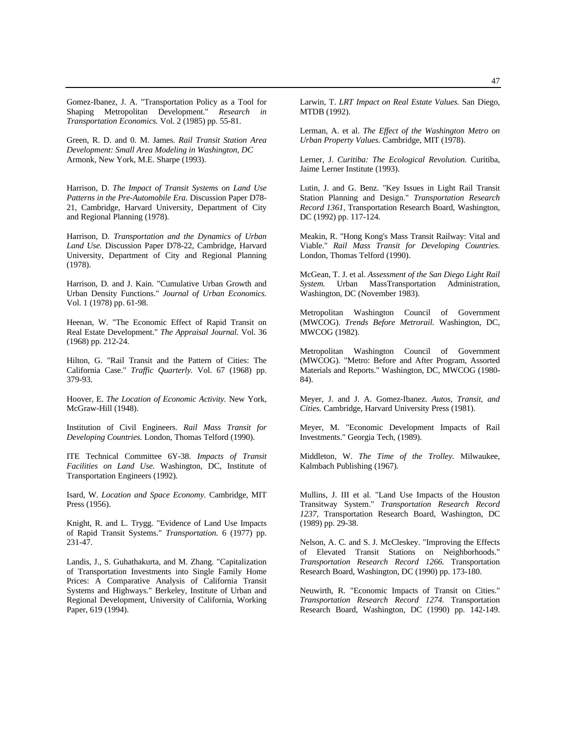Gomez-Ibanez, J. A. "Transportation Policy as a Tool for Shaping Metropolitan Development." *Research in Transportation Economics.* Vol. 2 (1985) pp. 55-81.

Green, R. D. and 0. M. James. *Rail Transit Station Area Development: Small Area Modeling in Washington, DC* Armonk, New York, M.E. Sharpe (1993).

Harrison, D. *The Impact of Transit Systems on Land Use Patterns in the Pre-Automobile Era.* Discussion Paper D78- 21, Cambridge, Harvard University, Department of City and Regional Planning (1978).

Harrison, D. *Transportation and the Dynamics of Urban Land Use.* Discussion Paper D78-22, Cambridge, Harvard University, Department of City and Regional Planning (1978).

Harrison, D. and J. Kain. "Cumulative Urban Growth and Urban Density Functions." *Journal of Urban Economics.* Vol. 1 (1978) pp. 61-98.

Heenan, W. "The Economic Effect of Rapid Transit on Real Estate Development." *The Appraisal Journal.* Vol. 36 (1968) pp. 212-24.

Hilton, G. "Rail Transit and the Pattern of Cities: The California Case." *Traffic Quarterly.* Vol. 67 (1968) pp. 379-93.

Hoover, E. *The Location of Economic Activity.* New York, McGraw-Hill (1948).

Institution of Civil Engineers. *Rail Mass Transit for Developing Countries.* London, Thomas Telford (1990).

ITE Technical Committee 6Y-38. *Impacts of Transit Facilities on Land Use.* Washington, DC, Institute of Transportation Engineers (1992).

Isard, W. *Location and Space Economy.* Cambridge, MIT Press (1956).

Knight, R. and L. Trygg. "Evidence of Land Use Impacts of Rapid Transit Systems." *Transportation.* 6 (1977) pp. 231-47.

Landis, J., S. Guhathakurta, and M. Zhang. "Capitalization of Transportation Investments into Single Family Home Prices: A Comparative Analysis of California Transit Systems and Highways." Berkeley, Institute of Urban and Regional Development, University of California, Working Paper, 619 (1994).

Lerman, A. et al. *The Effect of the Washington Metro on Urban Property Values.* Cambridge, MIT (1978).

Lerner, J. *Curitiba: The Ecological Revolution.* Curitiba, Jaime Lerner Institute (1993).

Lutin, J. and G. Benz. "Key Issues in Light Rail Transit Station Planning and Design." *Transportation Research Record 1361,* Transportation Research Board, Washington, DC (1992) pp. 117-124.

Meakin, R. "Hong Kong's Mass Transit Railway: Vital and Viable." *Rail Mass Transit for Developing Countries.* London, Thomas Telford (1990).

McGean, T. J. et al. *Assessment of the San Diego Light Rail System.* Urban MassTransportation Administration, Washington, DC (November 1983).

Metropolitan Washington Council of Government (MWCOG). *Trends Before Metrorail.* Washington, DC, MWCOG (1982).

Metropolitan Washington Council of Government (MWCOG). "Metro: Before and After Program, Assorted Materials and Reports." Washington, DC, MWCOG (1980- 84).

Meyer, J. and J. A. Gomez-Ibanez. *Autos, Transit, and Cities.* Cambridge, Harvard University Press (1981).

Meyer, M. "Economic Development Impacts of Rail Investments." Georgia Tech, (1989).

Middleton, W. *The Time of the Trolley.* Milwaukee, Kalmbach Publishing (1967).

Mullins, J. III et al. "Land Use Impacts of the Houston Transitway System." *Transportation Research Record 1237,* Transportation Research Board, Washington, DC (1989) pp. 29-38.

Nelson, A. C. and S. J. McCleskey. "Improving the Effects of Elevated Transit Stations on Neighborhoods." *Transportation Research Record 1266.* Transportation Research Board, Washington, DC (1990) pp. 173-180.

Neuwirth, R. "Economic Impacts of Transit on Cities." *Transportation Research Record 1274.* Transportation Research Board, Washington, DC (1990) pp. 142-149.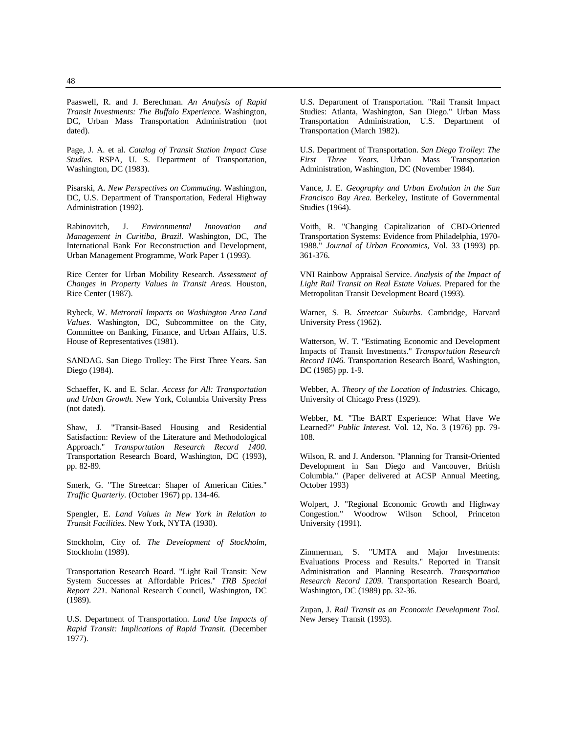Paaswell, R. and J. Berechman. *An Analysis of Rapid Transit Investments: The Buffalo Experience.* Washington, DC, Urban Mass Transportation Administration (not dated).

Page, J. A. et al. *Catalog of Transit Station Impact Case Studies.* RSPA, U. S. Department of Transportation, Washington, DC (1983).

Pisarski, A. *New Perspectives on Commuting.* Washington, DC, U.S. Department of Transportation, Federal Highway Administration (1992).

Rabinovitch, J. *Environmental Innovation and Management in Curitiba, Brazil.* Washington, DC, The International Bank For Reconstruction and Development, Urban Management Programme, Work Paper 1 (1993).

Rice Center for Urban Mobility Research. *Assessment of Changes in Property Values in Transit Areas.* Houston, Rice Center (1987).

Rybeck, W. *Metrorail Impacts on Washington Area Land Values.* Washington, DC, Subcommittee on the City, Committee on Banking, Finance, and Urban Affairs, U.S. House of Representatives (1981).

SANDAG. San Diego Trolley: The First Three Years. San Diego (1984).

Schaeffer, K. and E. Sclar. *Access for All: Transportation and Urban Growth.* New York, Columbia University Press (not dated).

Shaw, J. "Transit-Based Housing and Residential Satisfaction: Review of the Literature and Methodological Approach." *Transportation Research Record 1400.* Transportation Research Board, Washington, DC (1993), pp. 82-89.

Smerk, G. "The Streetcar: Shaper of American Cities." *Traffic Quarterly.* (October 1967) pp. 134-46.

Spengler, E. *Land Values in New York in Relation to Transit Facilities.* New York, NYTA (1930).

Stockholm, City of. *The Development of Stockholm,* Stockholm (1989).

Transportation Research Board. "Light Rail Transit: New System Successes at Affordable Prices." *TRB Special Report 221.* National Research Council, Washington, DC (1989).

U.S. Department of Transportation. *Land Use Impacts of Rapid Transit: Implications of Rapid Transit.* (December 1977).

U.S. Department of Transportation. "Rail Transit Impact Studies: Atlanta, Washington, San Diego." Urban Mass Transportation Administration, U.S. Department of Transportation (March 1982).

U.S. Department of Transportation. *San Diego Trolley: The First Three Years.* Urban Mass Transportation Administration, Washington, DC (November 1984).

Vance, J. E. *Geography and Urban Evolution in the San Francisco Bay Area.* Berkeley, Institute of Governmental Studies (1964).

Voith, R. "Changing Capitalization of CBD-Oriented Transportation Systems: Evidence from Philadelphia, 1970- 1988." *Journal of Urban Economics,* Vol. 33 (1993) pp. 361-376.

VNI Rainbow Appraisal Service. *Analysis of the Impact of Light Rail Transit on Real Estate Values.* Prepared for the Metropolitan Transit Development Board (1993).

Warner, S. B. *Streetcar Suburbs.* Cambridge, Harvard University Press (1962).

Watterson, W. T. "Estimating Economic and Development Impacts of Transit Investments." *Transportation Research Record 1046.* Transportation Research Board, Washington, DC (1985) pp. 1-9.

Webber, A. *Theory of the Location of Industries.* Chicago, University of Chicago Press (1929).

Webber, M. "The BART Experience: What Have We Learned?" *Public Interest.* Vol. 12, No. 3 (1976) pp. 79- 108.

Wilson, R. and J. Anderson. "Planning for Transit-Oriented Development in San Diego and Vancouver, British Columbia." (Paper delivered at ACSP Annual Meeting, October 1993)

Wolpert, J. "Regional Economic Growth and Highway<br>Congestion." Woodrow Wilson School, Princeton Wilson School, Princeton University (1991).

Zimmerman, S. "UMTA and Major Investments: Evaluations Process and Results." Reported in Transit Administration and Planning Research. *Transportation Research Record 1209.* Transportation Research Board, Washington, DC (1989) pp. 32-36.

Zupan, J. *Rail Transit as an Economic Development Tool.* New Jersey Transit (1993).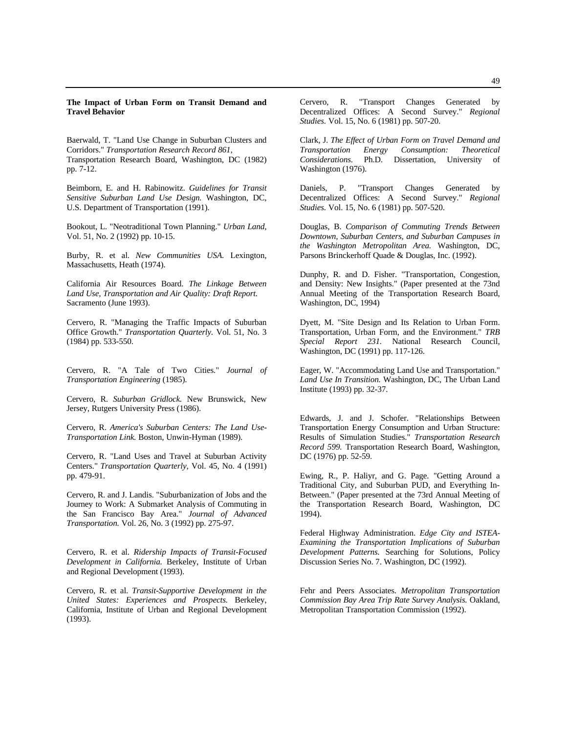#### **The Impact of Urban Form on Transit Demand and Travel Behavior**

Baerwald, T. "Land Use Change in Suburban Clusters and Corridors." *Transportation Research Record 861,* Transportation Research Board, Washington, DC (1982) pp. 7-12.

Beimborn, E. and H. Rabinowitz. *Guidelines for Transit Sensitive Suburban Land Use Design.* Washington, DC, U.S. Department of Transportation (1991).

Bookout, L. "Neotraditional Town Planning." *Urban Land,* Vol. 51, No. 2 (1992) pp. 10-15.

Burby, R. et al. *New Communities USA.* Lexington, Massachusetts, Heath (1974).

California Air Resources Board. *The Linkage Between Land Use, Transportation and Air Quality: Draft Report.* Sacramento (June 1993).

Cervero, R. "Managing the Traffic Impacts of Suburban Office Growth." *Transportation Quarterly.* Vol. 51, No. 3 (1984) pp. 533-550.

Cervero, R. "A Tale of Two Cities." *Journal of Transportation Engineering* (1985).

Cervero, R. *Suburban Gridlock.* New Brunswick, New Jersey, Rutgers University Press (1986).

Cervero, R. *America's Suburban Centers: The Land Use-Transportation Link.* Boston, Unwin-Hyman (1989).

Cervero, R. "Land Uses and Travel at Suburban Activity Centers." *Transportation Quarterly,* Vol. 45, No. 4 (1991) pp. 479-91.

Cervero, R. and J. Landis. "Suburbanization of Jobs and the Journey to Work: A Submarket Analysis of Commuting in the San Francisco Bay Area." *Journal of Advanced Transportation.* Vol. 26, No. 3 (1992) pp. 275-97.

Cervero, R. et al. *Ridership Impacts of Transit-Focused Development in California.* Berkeley, Institute of Urban and Regional Development (1993).

Cervero, R. et al. *Transit-Supportive Development in the United States: Experiences and Prospects.* Berkeley, California, Institute of Urban and Regional Development (1993).

Cervero, R. "Transport Changes Generated by Decentralized Offices: A Second Survey." *Regional Studies.* Vol. 15, No. 6 (1981) pp. 507-20.

Clark, J. *The Effect of Urban Form on Travel Demand and Transportation Energy Consumption: Theoretical Considerations.* Ph.D. Dissertation, University of Washington (1976).

Daniels, P. "Transport Changes Generated by Decentralized Offices: A Second Survey." *Regional Studies.* Vol. 15, No. 6 (1981) pp. 507-520.

Douglas, B. *Comparison of Commuting Trends Between Downtown, Suburban Centers, and Suburban Campuses in the Washington Metropolitan Area.* Washington, DC, Parsons Brinckerhoff Quade & Douglas, Inc. (1992).

Dunphy, R. and D. Fisher. "Transportation, Congestion, and Density: New Insights." (Paper presented at the 73nd Annual Meeting of the Transportation Research Board, Washington, DC, 1994)

Dyett, M. "Site Design and Its Relation to Urban Form. Transportation, Urban Form, and the Environment." *TRB Special Report 231.* National Research Council, Washington, DC (1991) pp. 117-126.

Eager, W. "Accommodating Land Use and Transportation." *Land Use In Transition.* Washington, DC, The Urban Land Institute (1993) pp. 32-37.

Edwards, J. and J. Schofer. "Relationships Between Transportation Energy Consumption and Urban Structure: Results of Simulation Studies." *Transportation Research Record 599.* Transportation Research Board, Washington, DC (1976) pp. 52-59.

Ewing, R., P. Haliyr, and G. Page. "Getting Around a Traditional City, and Suburban PUD, and Everything In-Between." (Paper presented at the 73rd Annual Meeting of the Transportation Research Board, Washington, DC 1994).

Federal Highway Administration. *Edge City and ISTEA-Examining the Transportation Implications of Suburban Development Patterns.* Searching for Solutions, Policy Discussion Series No. 7. Washington, DC (1992).

Fehr and Peers Associates. *Metropolitan Transportation Commission Bay Area Trip Rate Survey Analysis.* Oakland, Metropolitan Transportation Commission (1992).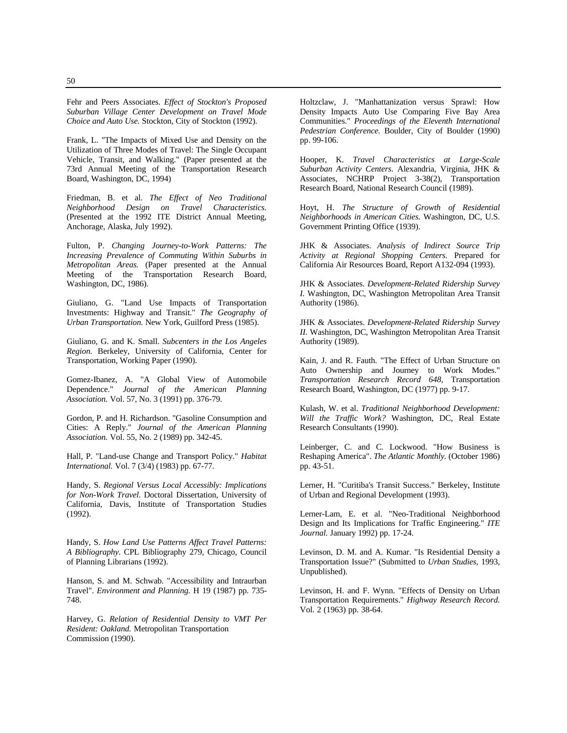Fehr and Peers Associates. *Effect of Stockton's Proposed Suburban Village Center Development on Travel Mode Choice and Auto Use.* Stockton, City of Stockton (1992).

Frank, L. "The Impacts of Mixed Use and Density on the Utilization of Three Modes of Travel: The Single Occupant Vehicle, Transit, and Walking." (Paper presented at the 73rd Annual Meeting of the Transportation Research Board, Washington, DC, 1994)

Friedman, B. et al. *The Effect of Neo Traditional Neighborhood Design on Travel Characteristics.* (Presented at the 1992 ITE District Annual Meeting, Anchorage, Alaska, July 1992).

Fulton, P. *Changing Journey-to-Work Patterns: The Increasing Prevalence of Commuting Within Suburbs in Metropolitan Areas.* (Paper presented at the Annual Meeting of the Transportation Research Board, Washington, DC, 1986).

Giuliano, G. "Land Use Impacts of Transportation Investments: Highway and Transit." *The Geography of Urban Transportation.* New York, Guilford Press (1985).

Giuliano, G. and K. Small. *Subcenters in the Los Angeles Region.* Berkeley, University of California, Center for Transportation, Working Paper (1990).

Gomez-Ibanez, A. "A Global View of Automobile Dependence." *Journal of the American Planning Association.* Vol. 57, No. 3 (1991) pp. 376-79.

Gordon, P. and H. Richardson. "Gasoline Consumption and Cities: A Reply." *Journal of the American Planning Association.* Vol. 55, No. 2 (1989) pp. 342-45.

Hall, P. "Land-use Change and Transport Policy." *Habitat International.* Vol. 7 (3/4) (1983) pp. 67-77.

Handy, S. *Regional Versus Local Accessibly: Implications for Non-Work Travel.* Doctoral Dissertation, University of California, Davis, Institute of Transportation Studies (1992).

Handy, S. *How Land Use Patterns Affect Travel Patterns: A Bibliography.* CPL Bibliography 279, Chicago, Council of Planning Librarians (1992).

Hanson, S. and M. Schwab. "Accessibility and Intraurban Travel". *Environment and Planning.* H 19 (1987) pp. 735- 748.

Harvey, G. *Relation of Residential Density to VMT Per Resident: Oakland.* Metropolitan Transportation Commission (1990).

Holtzclaw, J. "Manhattanization versus Sprawl: How Density Impacts Auto Use Comparing Five Bay Area Communities." *Proceedings of the Eleventh International Pedestrian Conference.* Boulder, City of Boulder (1990) pp. 99-106.

Hooper, K. *Travel Characteristics at Large-Scale Suburban Activity Centers.* Alexandria, Virginia, JHK & Associates, NCHRP Project 3-38(2), Transportation Research Board, National Research Council (1989).

Hoyt, H. *The Structure of Growth of Residential Neighborhoods in American Cities.* Washington, DC, U.S. Government Printing Office (1939).

JHK & Associates. *Analysis of Indirect Source Trip Activity at Regional Shopping Centers.* Prepared for California Air Resources Board, Report A132-094 (1993).

JHK & Associates. *Development-Related Ridership Survey I.* Washington, DC, Washington Metropolitan Area Transit Authority (1986).

JHK & Associates. *Development-Related Ridership Survey II.* Washington, DC, Washington Metropolitan Area Transit Authority (1989).

Kain, J. and R. Fauth. "The Effect of Urban Structure on Auto Ownership and Journey to Work Modes." *Transportation Research Record 648,* Transportation Research Board, Washington, DC (1977) pp. 9-17.

Kulash, W. et al. *Traditional Neighborhood Development: Will the Traffic Work?* Washington, DC, Real Estate Research Consultants (1990).

Leinberger, C. and C. Lockwood. "How Business is Reshaping America". *The Atlantic Monthly.* (October 1986) pp. 43-51.

Lerner, H. "Curitiba's Transit Success." Berkeley, Institute of Urban and Regional Development (1993).

Lerner-Lam, E. et al. "Neo-Traditional Neighborhood Design and Its Implications for Traffic Engineering." *ITE Journal.* January 1992) pp. 17-24.

Levinson, D. M. and A. Kumar. "Is Residential Density a Transportation Issue?" (Submitted to *Urban Studies,* 1993, Unpublished).

Levinson, H. and F. Wynn. "Effects of Density on Urban Transportation Requirements." *Highway Research Record.* Vol. 2 (1963) pp. 38-64.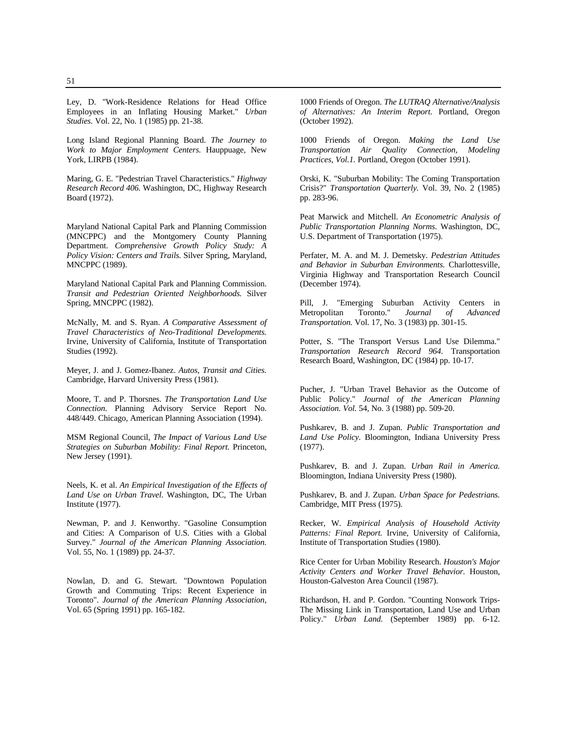Ley, D. "Work-Residence Relations for Head Office Employees in an Inflating Housing Market." *Urban Studies.* Vol. 22, No. 1 (1985) pp. 21-38.

Long Island Regional Planning Board. *The Journey to Work to Major Employment Centers.* Hauppuage, New York, LIRPB (1984).

Maring, G. E. "Pedestrian Travel Characteristics." *Highway Research Record 406.* Washington, DC, Highway Research Board (1972).

Maryland National Capital Park and Planning Commission (MNCPPC) and the Montgomery County Planning Department. *Comprehensive Growth Policy Study: A Policy Vision: Centers and Trails.* Silver Spring, Maryland, MNCPPC (1989).

Maryland National Capital Park and Planning Commission. *Transit and Pedestrian Oriented Neighborhoods.* Silver Spring, MNCPPC (1982).

McNally, M. and S. Ryan. *A Comparative Assessment of Travel Characteristics of Neo-Traditional Developments.* Irvine, University of California, Institute of Transportation Studies (1992).

Meyer, J. and J. Gomez-Ibanez. *Autos, Transit and Cities.* Cambridge, Harvard University Press (1981).

Moore, T. and P. Thorsnes. *The Transportation Land Use Connection.* Planning Advisory Service Report No. 448/449. Chicago, American Planning Association (1994).

MSM Regional Council, *The Impact of Various Land Use Strategies on Suburban Mobility: Final Report.* Princeton, New Jersey (1991).

Neels, K. et al. *An Empirical Investigation of the Effects of Land Use on Urban Travel.* Washington, DC, The Urban Institute (1977).

Newman, P. and J. Kenworthy. "Gasoline Consumption and Cities: A Comparison of U.S. Cities with a Global Survey." *Journal of the American Planning Association.* Vol. 55, No. 1 (1989) pp. 24-37.

Nowlan, D. and G. Stewart. "Downtown Population Growth and Commuting Trips: Recent Experience in Toronto". *Journal of the American Planning Association,* Vol. 65 (Spring 1991) pp. 165-182.

1000 Friends of Oregon. *The LUTRAQ Alternative/Analysis of Alternatives: An Interim Report.* Portland, Oregon (October 1992).

1000 Friends of Oregon. *Making the Land Use Transportation Air Quality Connection, Modeling Practices, Vol.1.* Portland, Oregon (October 1991).

Orski, K. "Suburban Mobility: The Coming Transportation Crisis?" *Transportation Quarterly.* Vol. 39, No. 2 (1985) pp. 283-96.

Peat Marwick and Mitchell. *An Econometric Analysis of Public Transportation Planning Norms.* Washington, DC, U.S. Department of Transportation (1975).

Perfater, M. A. and M. J. Demetsky. *Pedestrian Attitudes and Behavior in Suburban Environments.* Charlottesville, Virginia Highway and Transportation Research Council (December 1974).

Pill, J. "Emerging Suburban Activity Centers in Metropolitan Toronto." *Journal of Advanced Transportation.* Vol. 17, No. 3 (1983) pp. 301-15.

Potter, S. "The Transport Versus Land Use Dilemma." *Transportation Research Record 964.* Transportation Research Board, Washington, DC (1984) pp. 10-17.

Pucher, J. "Urban Travel Behavior as the Outcome of Public Policy." *Journal of the American Planning Association. Vol.* 54, No. 3 (1988) pp. 509-20.

Pushkarev, B. and J. Zupan. *Public Transportation and Land Use Policy.* Bloomington, Indiana University Press (1977).

Pushkarev, B. and J. Zupan. *Urban Rail in America.* Bloomington, Indiana University Press (1980).

Pushkarev, B. and J. Zupan. *Urban Space for Pedestrians.* Cambridge, MIT Press (1975).

Recker, W. *Empirical Analysis of Household Activity Patterns: Final Report.* Irvine, University of California, Institute of Transportation Studies (1980).

Rice Center for Urban Mobility Research. *Houston's Major Activity Centers and Worker Travel Behavior.* Houston, Houston-Galveston Area Council (1987).

Richardson, H. and P. Gordon. "Counting Nonwork Trips-The Missing Link in Transportation, Land Use and Urban Policy." *Urban Land.* (September 1989) pp. 6-12.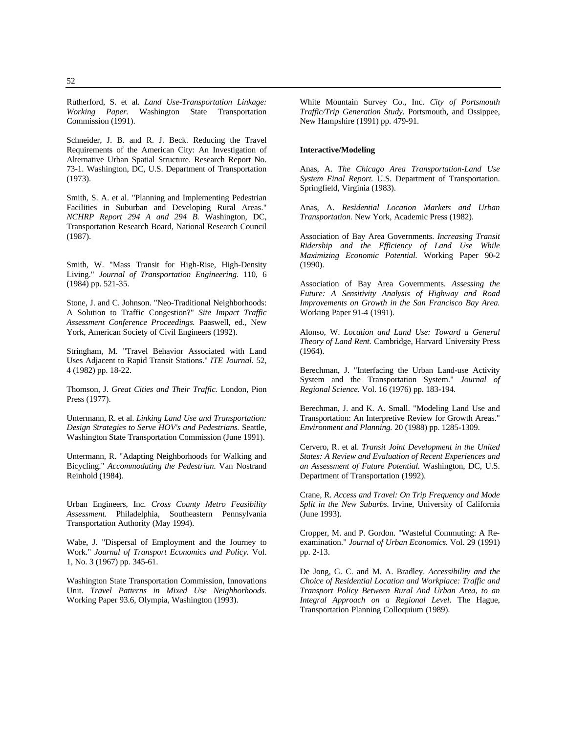Rutherford, S. et al. *Land Use-Transportation Linkage: Working Paper.* Washington State Transportation Commission (1991).

Schneider, J. B. and R. J. Beck. Reducing the Travel Requirements of the American City: An Investigation of Alternative Urban Spatial Structure. Research Report No. 73-1. Washington, DC, U.S. Department of Transportation (1973).

Smith, S. A. et al. "Planning and Implementing Pedestrian Facilities in Suburban and Developing Rural Areas." *NCHRP Report 294 A and 294 B.* Washington, DC, Transportation Research Board, National Research Council (1987).

Smith, W. "Mass Transit for High-Rise, High-Density Living." *Journal of Transportation Engineering.* 110, 6 (1984) pp. 521-35.

Stone, J. and C. Johnson. "Neo-Traditional Neighborhoods: A Solution to Traffic Congestion?" *Site Impact Traffic Assessment Conference Proceedings.* Paaswell, ed., New York, American Society of Civil Engineers (1992).

Stringham, M. "Travel Behavior Associated with Land Uses Adjacent to Rapid Transit Stations." *ITE Journal.* 52, 4 (1982) pp. 18-22.

Thomson, J. *Great Cities and Their Traffic.* London, Pion Press (1977).

Untermann, R. et al. *Linking Land Use and Transportation: Design Strategies to Serve HOV's and Pedestrians.* Seattle, Washington State Transportation Commission (June 1991).

Untermann, R. "Adapting Neighborhoods for Walking and Bicycling." *Accommodating the Pedestrian.* Van Nostrand Reinhold (1984).

Urban Engineers, Inc. *Cross County Metro Feasibility Assessment.* Philadelphia, Southeastern Pennsylvania Transportation Authority (May 1994).

Wabe, J. "Dispersal of Employment and the Journey to Work." *Journal of Transport Economics and Policy.* Vol. 1, No. 3 (1967) pp. 345-61.

Washington State Transportation Commission, Innovations Unit. *Travel Patterns in Mixed Use Neighborhoods.* Working Paper 93.6, Olympia, Washington (1993).

White Mountain Survey Co., Inc. *City of Portsmouth Traffic/Trip Generation Study.* Portsmouth, and Ossippee, New Hampshire (1991) pp. 479-91.

#### **Interactive/Modeling**

Anas, A. *The Chicago Area Transportation-Land Use System Final Report.* U.S. Department of Transportation. Springfield, Virginia (1983).

Anas, A. *Residential Location Markets and Urban Transportation.* New York, Academic Press (1982).

Association of Bay Area Governments. *Increasing Transit Ridership and the Efficiency of Land Use While Maximizing Economic Potential.* Working Paper 90-2 (1990).

Association of Bay Area Governments. *Assessing the Future: A Sensitivity Analysis of Highway and Road Improvements on Growth in the San Francisco Bay Area.* Working Paper 91-4 (1991).

Alonso, W. *Location and Land Use: Toward a General Theory of Land Rent.* Cambridge, Harvard University Press (1964).

Berechman, J. "Interfacing the Urban Land-use Activity System and the Transportation System." *Journal of Regional Science.* Vol. 16 (1976) pp. 183-194.

Berechman, J. and K. A. Small. "Modeling Land Use and Transportation: An Interpretive Review for Growth Areas." *Environment and Planning.* 20 (1988) pp. 1285-1309.

Cervero, R. et al. *Transit Joint Development in the United States: A Review and Evaluation of Recent Experiences and an Assessment of Future Potential.* Washington, DC, U.S. Department of Transportation (1992).

Crane, R. *Access and Travel: On Trip Frequency and Mode Split in the New Suburbs.* Irvine, University of California (June 1993).

Cropper, M. and P. Gordon. "Wasteful Commuting: A Reexamination." *Journal of Urban Economics.* Vol. 29 (1991) pp. 2-13.

De Jong, G. C. and M. A. Bradley. *Accessibility and the Choice of Residential Location and Workplace: Traffic and Transport Policy Between Rural And Urban Area, to an Integral Approach on a Regional Level.* The Hague, Transportation Planning Colloquium (1989).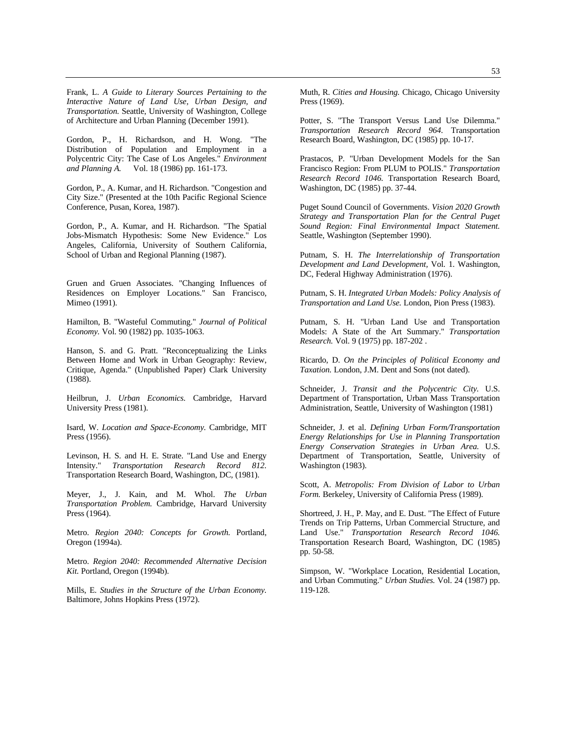Frank, L. *A Guide to Literary Sources Pertaining to the Interactive Nature of Land Use, Urban Design, and Transportation.* Seattle, University of Washington, College of Architecture and Urban Planning (December 1991).

Gordon, P., H. Richardson, and H. Wong. "The Distribution of Population and Employment in a Polycentric City: The Case of Los Angeles." *Environment and Planning A.* Vol. 18 (1986) pp. 161-173.

Gordon, P., A. Kumar, and H. Richardson. "Congestion and City Size." (Presented at the 10th Pacific Regional Science Conference, Pusan, Korea, 1987).

Gordon, P., A. Kumar, and H. Richardson. "The Spatial Jobs-Mismatch Hypothesis: Some New Evidence." Los Angeles, California, University of Southern California, School of Urban and Regional Planning (1987).

Gruen and Gruen Associates. "Changing Influences of Residences on Employer Locations." San Francisco, Mimeo (1991).

Hamilton, B. "Wasteful Commuting." *Journal of Political Economy.* Vol. 90 (1982) pp. 1035-1063.

Hanson, S. and G. Pratt. "Reconceptualizing the Links Between Home and Work in Urban Geography: Review, Critique, Agenda." (Unpublished Paper) Clark University (1988).

Heilbrun, J. *Urban Economics.* Cambridge, Harvard University Press (1981).

Isard, W. *Location and Space-Economy.* Cambridge, MIT Press (1956).

Levinson, H. S. and H. E. Strate. "Land Use and Energy Intensity." *Transportation Research Record 812.* Transportation Research Board, Washington, DC, (1981).

Meyer, J., J. Kain, and M. Whol. *The Urban Transportation Problem.* Cambridge, Harvard University Press (1964).

Metro. *Region 2040: Concepts for Growth.* Portland, Oregon (1994a).

Metro. *Region 2040: Recommended Alternative Decision Kit.* Portland, Oregon (1994b).

Mills, E. *Studies in the Structure of the Urban Economy.* Baltimore, Johns Hopkins Press (1972).

Muth, R. *Cities and Housing.* Chicago, Chicago University Press (1969).

Potter, S. "The Transport Versus Land Use Dilemma." *Transportation Research Record 964.* Transportation Research Board, Washington, DC (1985) pp. 10-17.

Prastacos, P. "Urban Development Models for the San Francisco Region: From PLUM to POLIS." *Transportation Research Record 1046.* Transportation Research Board, Washington, DC (1985) pp. 37-44.

Puget Sound Council of Governments. *Vision 2020 Growth Strategy and Transportation Plan for the Central Puget Sound Region: Final Environmental Impact Statement.* Seattle, Washington (September 1990).

Putnam, S. H. *The Interrelationship of Transportation Development and Land Development,* Vol. 1. Washington, DC, Federal Highway Administration (1976).

Putnam, S. H. *Integrated Urban Models: Policy Analysis of Transportation and Land Use.* London, Pion Press (1983).

Putnam, S. H. "Urban Land Use and Transportation Models: A State of the Art Summary." *Transportation Research.* Vol. 9 (1975) pp. 187-202 .

Ricardo, D. *On the Principles of Political Economy and Taxation.* London, J.M. Dent and Sons (not dated).

Schneider, J. *Transit and the Polycentric City.* U.S. Department of Transportation, Urban Mass Transportation Administration, Seattle, University of Washington (1981)

Schneider, J. et al. *Defining Urban Form/Transportation Energy Relationships for Use in Planning Transportation Energy Conservation Strategies in Urban Area.* U.S. Department of Transportation, Seattle, University of Washington (1983).

Scott, A. *Metropolis: From Division of Labor to Urban Form.* Berkeley, University of California Press (1989).

Shortreed, J. H., P. May, and E. Dust. "The Effect of Future Trends on Trip Patterns, Urban Commercial Structure, and Land Use." *Transportation Research Record 1046.* Transportation Research Board, Washington, DC (1985) pp. 50-58.

Simpson, W. "Workplace Location, Residential Location, and Urban Commuting." *Urban Studies.* Vol. 24 (1987) pp. 119-128.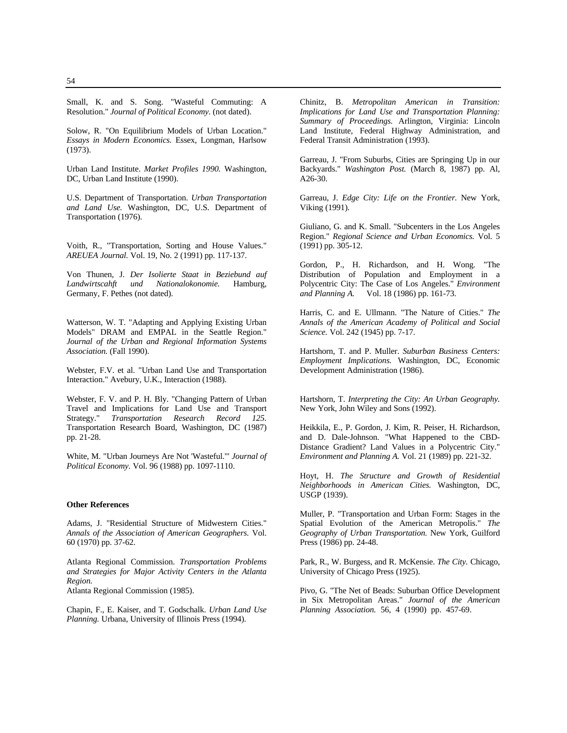Small, K. and S. Song. "Wasteful Commuting: A Resolution." *Journal of Political Economy.* (not dated).

Solow, R. "On Equilibrium Models of Urban Location." *Essays in Modern Economics.* Essex, Longman, Harlsow (1973).

Urban Land Institute. *Market Profiles 1990.* Washington, DC, Urban Land Institute (1990).

U.S. Department of Transportation. *Urban Transportation and Land Use.* Washington, DC, U.S. Department of Transportation (1976).

Voith, R., "Transportation, Sorting and House Values." *AREUEA Journal.* Vol. 19, No. 2 (1991) pp. 117-137.

Von Thunen, J. *Der Isolierte Staat in Beziebund auf*  $Landwirtschaft$  und Nationalokonomie. Germany, F. Pethes (not dated).

Watterson, W. T. "Adapting and Applying Existing Urban Models" DRAM and EMPAL in the Seattle Region." *Journal of the Urban and Regional Information Systems Association.* (Fall 1990).

Webster, F.V. et al. "Urban Land Use and Transportation Interaction." Avebury, U.K., Interaction (1988).

Webster, F. V. and P. H. Bly. "Changing Pattern of Urban Travel and Implications for Land Use and Transport Strategy." *Transportation Research Record 125.* Transportation Research Board, Washington, DC (1987) pp. 21-28.

White, M. "Urban Journeys Are Not 'Wasteful."' *Journal of Political Economy.* Vol. 96 (1988) pp. 1097-1110.

#### **Other References**

Adams, J. "Residential Structure of Midwestern Cities." *Annals of the Association of American Geographers.* Vol. 60 (1970) pp. 37-62.

Atlanta Regional Commission. *Transportation Problems and Strategies for Major Activity Centers in the Atlanta Region.*

Atlanta Regional Commission (1985).

Chapin, F., E. Kaiser, and T. Godschalk. *Urban Land Use Planning.* Urbana, University of Illinois Press (1994).

Chinitz, B. *Metropolitan American in Transition: Implications for Land Use and Transportation Planning: Summary of Proceedings.* Arlington, Virginia: Lincoln Land Institute, Federal Highway Administration, and Federal Transit Administration (1993).

Garreau, J. "From Suburbs, Cities are Springing Up in our Backyards." *Washington Post.* (March 8, 1987) pp. Al, A26-30.

Garreau, J. *Edge City: Life on the Frontier.* New York, Viking (1991).

Giuliano, G. and K. Small. "Subcenters in the Los Angeles Region." *Regional Science and Urban Economics.* Vol. 5 (1991) pp. 305-12.

Gordon, P., H. Richardson, and H. Wong. "The Distribution of Population and Employment in a Polycentric City: The Case of Los Angeles." *Environment and Planning A.* Vol. 18 (1986) pp. 161-73.

Harris, C. and E. Ullmann. "The Nature of Cities." *The Annals of the American Academy of Political and Social Science.* Vol. 242 (1945) pp. 7-17.

Hartshorn, T. and P. Muller. *Suburban Business Centers: Employment Implications.* Washington, DC, Economic Development Administration (1986).

Hartshorn, T. *Interpreting the City: An Urban Geography.* New York, John Wiley and Sons (1992).

Heikkila, E., P. Gordon, J. Kim, R. Peiser, H. Richardson, and D. Dale-Johnson. "What Happened to the CBD-Distance Gradient? Land Values in a Polycentric City." *Environment and Planning A.* Vol. 21 (1989) pp. 221-32.

Hoyt, H. *The Structure and Growth of Residential Neighborhoods in American Cities.* Washington, DC, USGP (1939).

Muller, P. "Transportation and Urban Form: Stages in the Spatial Evolution of the American Metropolis." *The Geography of Urban Transportation.* New York, Guilford Press (1986) pp. 24-48.

Park, R., W. Burgess, and R. McKensie. *The City.* Chicago, University of Chicago Press (1925).

Pivo, G. "The Net of Beads: Suburban Office Development in Six Metropolitan Areas." *Journal of the American Planning Association.* 56, 4 (1990) pp. 457-69.